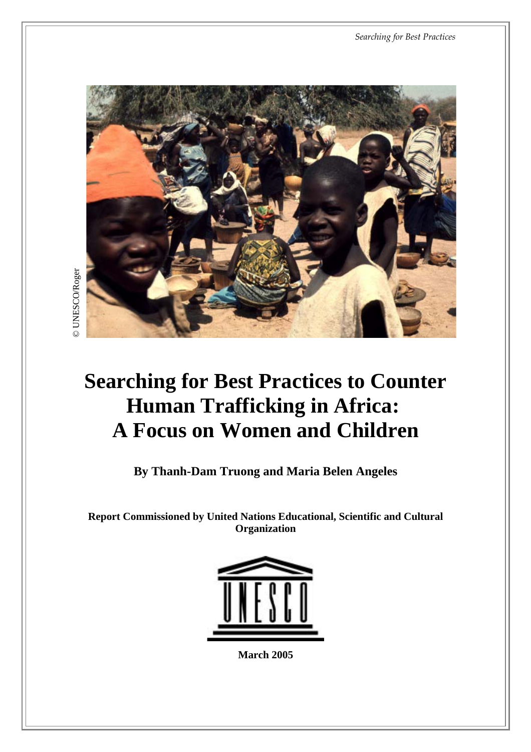*Searching for Best Practices*



## **Searching for Best Practices to Counter Human Trafficking in Africa: A Focus on Women and Children**

**By Thanh-Dam Truong and Maria Belen Angeles**

**Report Commissioned by United Nations Educational, Scientific and Cultural Organization**



**March 2005**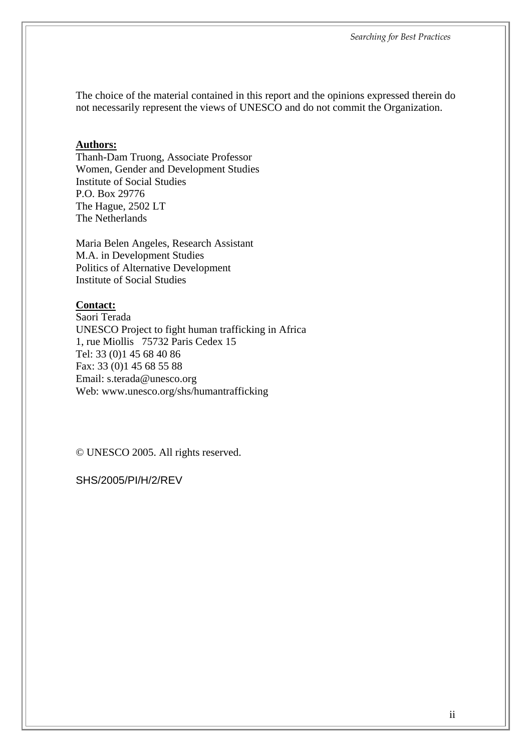The choice of the material contained in this report and the opinions expressed therein do not necessarily represent the views of UNESCO and do not commit the Organization.

#### **Authors:**

Thanh-Dam Truong, Associate Professor Women, Gender and Development Studies Institute of Social Studies P.O. Box 29776 The Hague, 2502 LT The Netherlands

Maria Belen Angeles, Research Assistant M.A. in Development Studies Politics of Alternative Development Institute of Social Studies

#### **Contact:**

Saori Terada UNESCO Project to fight human trafficking in Africa 1, rue Miollis 75732 Paris Cedex 15 Tel: 33 (0)1 45 68 40 86 Fax: 33 (0)1 45 68 55 88 Email: s.terada@unesco.org Web: www.unesco.org/shs/humantrafficking

© UNESCO 2005. All rights reserved.

SHS/2005/PI/H/2/REV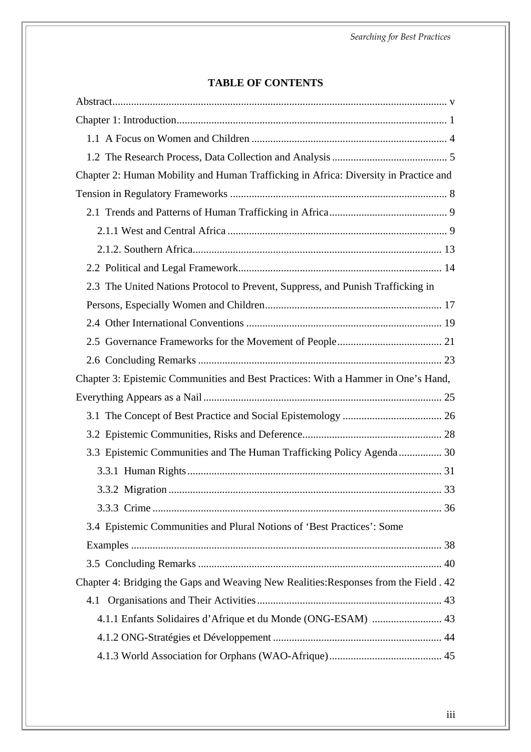#### **TABLE OF CONTENTS**

| Chapter 2: Human Mobility and Human Trafficking in Africa: Diversity in Practice and |
|--------------------------------------------------------------------------------------|
|                                                                                      |
|                                                                                      |
|                                                                                      |
|                                                                                      |
|                                                                                      |
| 2.3 The United Nations Protocol to Prevent, Suppress, and Punish Trafficking in      |
|                                                                                      |
|                                                                                      |
|                                                                                      |
|                                                                                      |
| Chapter 3: Epistemic Communities and Best Practices: With a Hammer in One's Hand,    |
|                                                                                      |
|                                                                                      |
|                                                                                      |
| 3.3 Epistemic Communities and The Human Trafficking Policy Agenda 30                 |
|                                                                                      |
|                                                                                      |
|                                                                                      |
| 3.4 Epistemic Communities and Plural Notions of 'Best Practices': Some               |
|                                                                                      |
|                                                                                      |
| Chapter 4: Bridging the Gaps and Weaving New Realities: Responses from the Field. 42 |
| 4.1                                                                                  |
| 4.1.1 Enfants Solidaires d'Afrique et du Monde (ONG-ESAM)  43                        |
|                                                                                      |
|                                                                                      |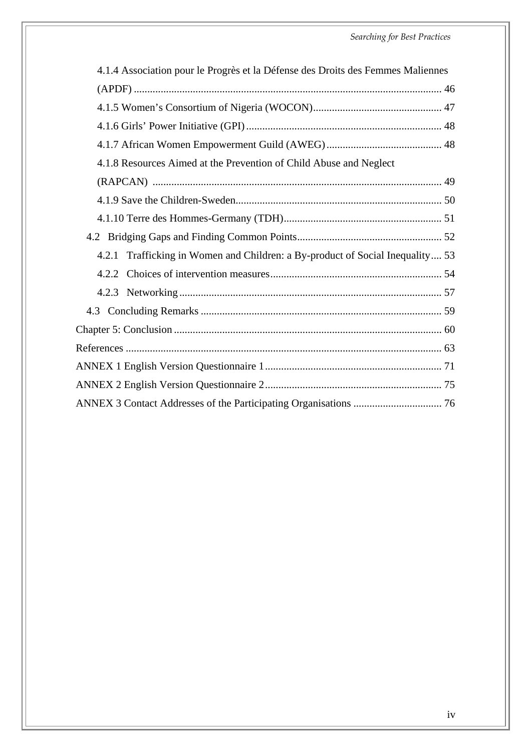| 4.1.4 Association pour le Progrès et la Défense des Droits des Femmes Maliennes |  |
|---------------------------------------------------------------------------------|--|
|                                                                                 |  |
|                                                                                 |  |
|                                                                                 |  |
|                                                                                 |  |
| 4.1.8 Resources Aimed at the Prevention of Child Abuse and Neglect              |  |
|                                                                                 |  |
|                                                                                 |  |
|                                                                                 |  |
|                                                                                 |  |
| 4.2.1 Trafficking in Women and Children: a By-product of Social Inequality 53   |  |
|                                                                                 |  |
|                                                                                 |  |
|                                                                                 |  |
|                                                                                 |  |
|                                                                                 |  |
|                                                                                 |  |
|                                                                                 |  |
|                                                                                 |  |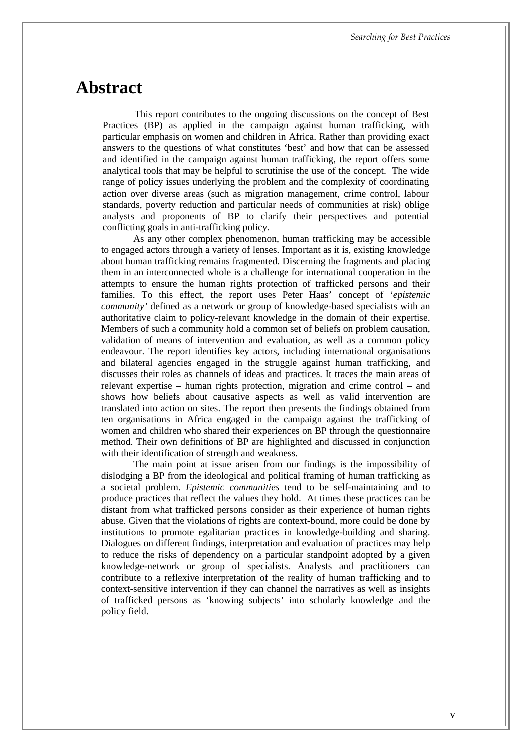### <span id="page-4-0"></span>**Abstract**

This report contributes to the ongoing discussions on the concept of Best Practices (BP) as applied in the campaign against human trafficking, with particular emphasis on women and children in Africa. Rather than providing exact answers to the questions of what constitutes 'best' and how that can be assessed and identified in the campaign against human trafficking, the report offers some analytical tools that may be helpful to scrutinise the use of the concept. The wide range of policy issues underlying the problem and the complexity of coordinating action over diverse areas (such as migration management, crime control, labour standards, poverty reduction and particular needs of communities at risk) oblige analysts and proponents of BP to clarify their perspectives and potential conflicting goals in anti-trafficking policy.

As any other complex phenomenon, human trafficking may be accessible to engaged actors through a variety of lenses. Important as it is, existing knowledge about human trafficking remains fragmented. Discerning the fragments and placing them in an interconnected whole is a challenge for international cooperation in the attempts to ensure the human rights protection of trafficked persons and their families. To this effect, the report uses Peter Haas' concept of '*epistemic community'* defined as a network or group of knowledge-based specialists with an authoritative claim to policy-relevant knowledge in the domain of their expertise. Members of such a community hold a common set of beliefs on problem causation, validation of means of intervention and evaluation, as well as a common policy endeavour. The report identifies key actors, including international organisations and bilateral agencies engaged in the struggle against human trafficking, and discusses their roles as channels of ideas and practices. It traces the main areas of relevant expertise – human rights protection, migration and crime control – and shows how beliefs about causative aspects as well as valid intervention are translated into action on sites. The report then presents the findings obtained from ten organisations in Africa engaged in the campaign against the trafficking of women and children who shared their experiences on BP through the questionnaire method. Their own definitions of BP are highlighted and discussed in conjunction with their identification of strength and weakness.

The main point at issue arisen from our findings is the impossibility of dislodging a BP from the ideological and political framing of human trafficking as a societal problem. *Epistemic communities* tend to be self-maintaining and to produce practices that reflect the values they hold. At times these practices can be distant from what trafficked persons consider as their experience of human rights abuse. Given that the violations of rights are context-bound, more could be done by institutions to promote egalitarian practices in knowledge-building and sharing. Dialogues on different findings, interpretation and evaluation of practices may help to reduce the risks of dependency on a particular standpoint adopted by a given knowledge-network or group of specialists. Analysts and practitioners can contribute to a reflexive interpretation of the reality of human trafficking and to context-sensitive intervention if they can channel the narratives as well as insights of trafficked persons as 'knowing subjects' into scholarly knowledge and the policy field.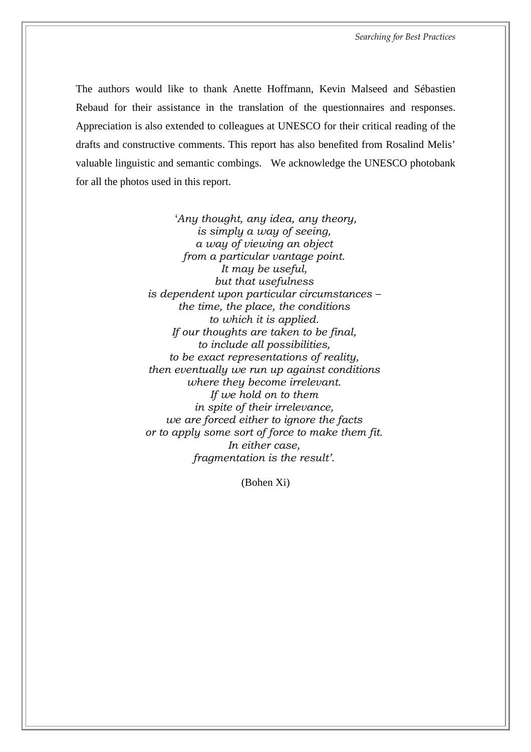The authors would like to thank Anette Hoffmann, Kevin Malseed and Sébastien Rebaud for their assistance in the translation of the questionnaires and responses. Appreciation is also extended to colleagues at UNESCO for their critical reading of the drafts and constructive comments. This report has also benefited from Rosalind Melis' valuable linguistic and semantic combings. We acknowledge the UNESCO photobank for all the photos used in this report.

> '*Any thought, any idea, any theory, is simply a way of seeing, a way of viewing an object from a particular vantage point. It may be useful, but that usefulness is dependent upon particular circumstances – the time, the place, the conditions to which it is applied. If our thoughts are taken to be final, to include all possibilities, to be exact representations of reality, then eventually we run up against conditions where they become irrelevant. If we hold on to them in spite of their irrelevance, we are forced either to ignore the facts or to apply some sort of force to make them fit. In either case, fragmentation is the result'*.

> > (Bohen Xi)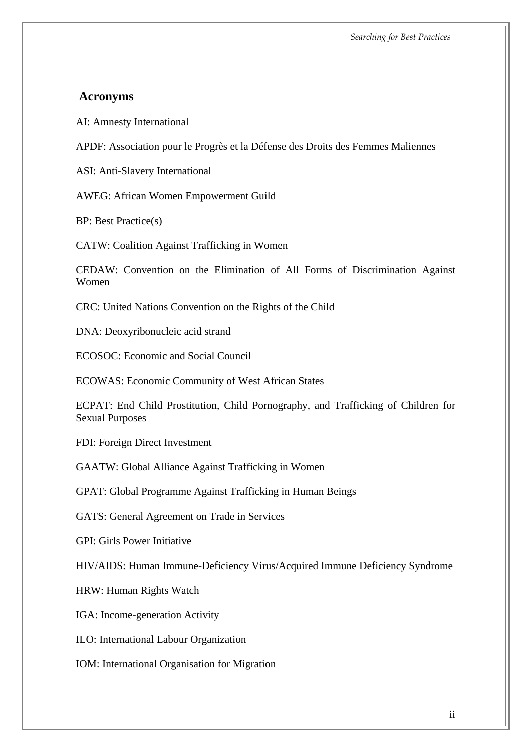#### **Acronyms**

AI: Amnesty International

APDF: Association pour le Progrès et la Défense des Droits des Femmes Maliennes

ASI: Anti-Slavery International

AWEG: African Women Empowerment Guild

BP: Best Practice(s)

CATW: Coalition Against Trafficking in Women

CEDAW: Convention on the Elimination of All Forms of Discrimination Against Women

CRC: United Nations Convention on the Rights of the Child

DNA: Deoxyribonucleic acid strand

ECOSOC: Economic and Social Council

ECOWAS: Economic Community of West African States

ECPAT: End Child Prostitution, Child Pornography, and Trafficking of Children for Sexual Purposes

FDI: Foreign Direct Investment

GAATW: Global Alliance Against Trafficking in Women

GPAT: Global Programme Against Trafficking in Human Beings

GATS: General Agreement on Trade in Services

GPI: Girls Power Initiative

HIV/AIDS: Human Immune-Deficiency Virus/Acquired Immune Deficiency Syndrome

HRW: Human Rights Watch

IGA: Income-generation Activity

ILO: International Labour Organization

IOM: International Organisation for Migration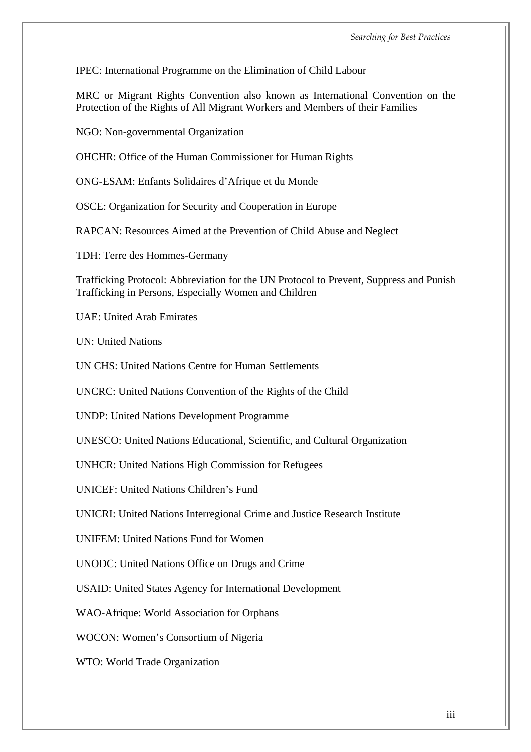IPEC: International Programme on the Elimination of Child Labour

MRC or Migrant Rights Convention also known as International Convention on the Protection of the Rights of All Migrant Workers and Members of their Families

NGO: Non-governmental Organization

OHCHR: Office of the Human Commissioner for Human Rights

ONG-ESAM: Enfants Solidaires d'Afrique et du Monde

OSCE: Organization for Security and Cooperation in Europe

RAPCAN: Resources Aimed at the Prevention of Child Abuse and Neglect

TDH: Terre des Hommes-Germany

Trafficking Protocol: Abbreviation for the UN Protocol to Prevent, Suppress and Punish Trafficking in Persons, Especially Women and Children

UAE: United Arab Emirates

UN: United Nations

UN CHS: United Nations Centre for Human Settlements

UNCRC: United Nations Convention of the Rights of the Child

UNDP: United Nations Development Programme

UNESCO: United Nations Educational, Scientific, and Cultural Organization

UNHCR: United Nations High Commission for Refugees

UNICEF: United Nations Children's Fund

UNICRI: United Nations Interregional Crime and Justice Research Institute

UNIFEM: United Nations Fund for Women

UNODC: United Nations Office on Drugs and Crime

USAID: United States Agency for International Development

WAO-Afrique: World Association for Orphans

WOCON: Women's Consortium of Nigeria

WTO: World Trade Organization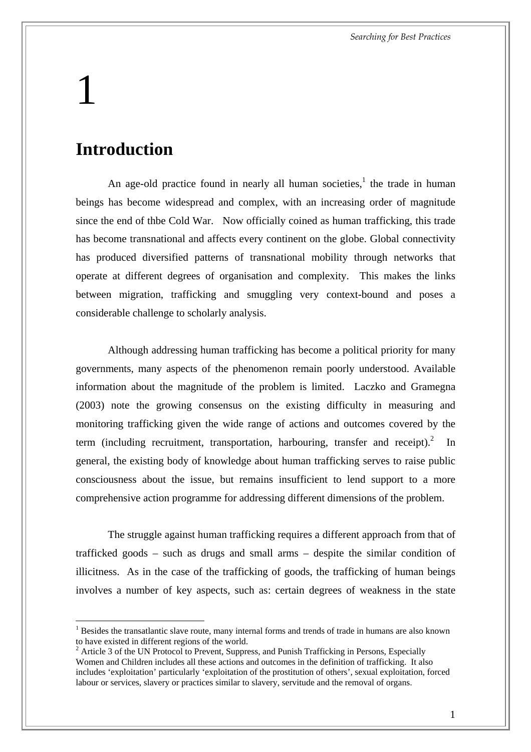# <span id="page-8-0"></span>1

 $\overline{a}$ 

### **Introduction**

An age-old practice found in nearly all human societies, $<sup>1</sup>$  the trade in human</sup> beings has become widespread and complex, with an increasing order of magnitude since the end of thbe Cold War. Now officially coined as human trafficking, this trade has become transnational and affects every continent on the globe. Global connectivity has produced diversified patterns of transnational mobility through networks that operate at different degrees of organisation and complexity. This makes the links between migration, trafficking and smuggling very context-bound and poses a considerable challenge to scholarly analysis.

Although addressing human trafficking has become a political priority for many governments, many aspects of the phenomenon remain poorly understood. Available information about the magnitude of the problem is limited. Laczko and Gramegna (2003) note the growing consensus on the existing difficulty in measuring and monitoring trafficking given the wide range of actions and outcomes covered by the term (including recruitment, transportation, harbouring, transfer and receipt). $^{2}$  In general, the existing body of knowledge about human trafficking serves to raise public consciousness about the issue, but remains insufficient to lend support to a more comprehensive action programme for addressing different dimensions of the problem.

The struggle against human trafficking requires a different approach from that of trafficked goods – such as drugs and small arms – despite the similar condition of illicitness. As in the case of the trafficking of goods, the trafficking of human beings involves a number of key aspects, such as: certain degrees of weakness in the state

<span id="page-8-1"></span><sup>1</sup> Besides the transatlantic slave route, many internal forms and trends of trade in humans are also known to have existed in different regions of the world.

<span id="page-8-2"></span><sup>&</sup>lt;sup>2</sup> Article 3 of the UN Protocol to Prevent, Suppress, and Punish Trafficking in Persons, Especially Women and Children includes all these actions and outcomes in the definition of trafficking. It also includes 'exploitation' particularly 'exploitation of the prostitution of others', sexual exploitation, forced labour or services, slavery or practices similar to slavery, servitude and the removal of organs.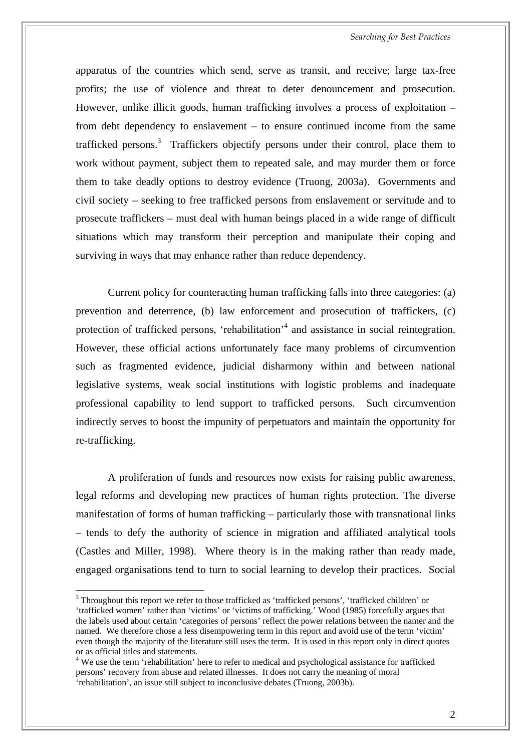*Searching for Best Practices* 

apparatus of the countries which send, serve as transit, and receive; large tax-free profits; the use of violence and threat to deter denouncement and prosecution. However, unlike illicit goods, human trafficking involves a process of exploitation – from debt dependency to enslavement – to ensure continued income from the same trafficked persons.<sup>3</sup> Traffickers objectify persons under their control, place them to work without payment, subject them to repeated sale, and may murder them or force them to take deadly options to destroy evidence (Truong, 2003a). Governments and civil society – seeking to free trafficked persons from enslavement or servitude and to prosecute traffickers – must deal with human beings placed in a wide range of difficult situations which may transform their perception and manipulate their coping and surviving in ways that may enhance rather than reduce dependency.

Current policy for counteracting human trafficking falls into three categories: (a) prevention and deterrence, (b) law enforcement and prosecution of traffickers, (c) protection of trafficked persons, 'rehabilitation'<sup>4</sup> and assistance in social reintegration. However, these official actions unfortunately face many problems of circumvention such as fragmented evidence, judicial disharmony within and between national legislative systems, weak social institutions with logistic problems and inadequate professional capability to lend support to trafficked persons. Such circumvention indirectly serves to boost the impunity of perpetuators and maintain the opportunity for re-trafficking.

A proliferation of funds and resources now exists for raising public awareness, legal reforms and developing new practices of human rights protection. The diverse manifestation of forms of human trafficking – particularly those with transnational links – tends to defy the authority of science in migration and affiliated analytical tools (Castles and Miller, 1998). Where theory is in the making rather than ready made, engaged organisations tend to turn to social learning to develop their practices. Social

<span id="page-9-0"></span> $3$  Throughout this report we refer to those trafficked as 'trafficked persons', 'trafficked children' or 'trafficked women' rather than 'victims' or 'victims of trafficking.' Wood (1985) forcefully argues that the labels used about certain 'categories of persons' reflect the power relations between the namer and the named. We therefore chose a less disempowering term in this report and avoid use of the term 'victim' even though the majority of the literature still uses the term. It is used in this report only in direct quotes or as official titles and statements.

<span id="page-9-1"></span> $4$  We use the term 'rehabilitation' here to refer to medical and psychological assistance for trafficked persons' recovery from abuse and related illnesses. It does not carry the meaning of moral 'rehabilitation', an issue still subject to inconclusive debates (Truong, 2003b).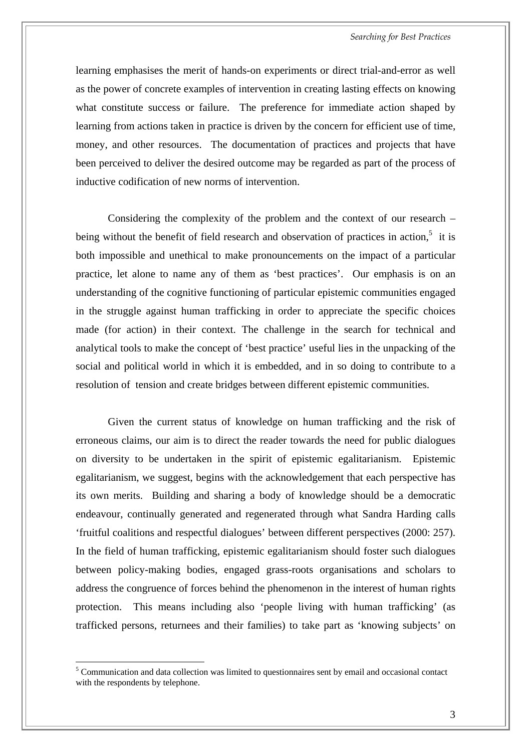learning emphasises the merit of hands-on experiments or direct trial-and-error as well as the power of concrete examples of intervention in creating lasting effects on knowing what constitute success or failure. The preference for immediate action shaped by learning from actions taken in practice is driven by the concern for efficient use of time, money, and other resources. The documentation of practices and projects that have been perceived to deliver the desired outcome may be regarded as part of the process of inductive codification of new norms of intervention.

Considering the complexity of the problem and the context of our research – being without the benefit of field research and observation of practices in action,<sup>5</sup> it is both impossible and unethical to make pronouncements on the impact of a particular practice, let alone to name any of them as 'best practices'. Our emphasis is on an understanding of the cognitive functioning of particular epistemic communities engaged in the struggle against human trafficking in order to appreciate the specific choices made (for action) in their context. The challenge in the search for technical and analytical tools to make the concept of 'best practice' useful lies in the unpacking of the social and political world in which it is embedded, and in so doing to contribute to a resolution of tension and create bridges between different epistemic communities.

Given the current status of knowledge on human trafficking and the risk of erroneous claims, our aim is to direct the reader towards the need for public dialogues on diversity to be undertaken in the spirit of epistemic egalitarianism. Epistemic egalitarianism, we suggest, begins with the acknowledgement that each perspective has its own merits. Building and sharing a body of knowledge should be a democratic endeavour, continually generated and regenerated through what Sandra Harding calls 'fruitful coalitions and respectful dialogues' between different perspectives (2000: 257). In the field of human trafficking, epistemic egalitarianism should foster such dialogues between policy-making bodies, engaged grass-roots organisations and scholars to address the congruence of forces behind the phenomenon in the interest of human rights protection. This means including also 'people living with human trafficking' (as trafficked persons, returnees and their families) to take part as 'knowing subjects' on

<span id="page-10-0"></span> $<sup>5</sup>$  Communication and data collection was limited to questionnaires sent by email and occasional contact</sup> with the respondents by telephone.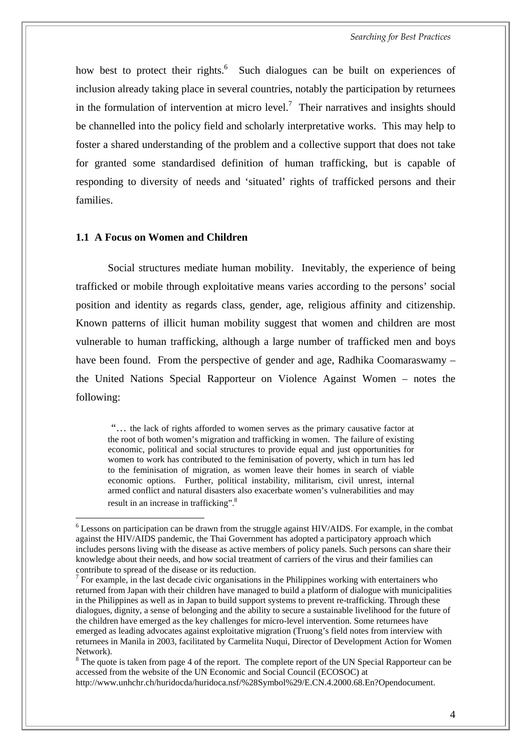<span id="page-11-0"></span>how best to protect their rights.<sup>6</sup> Such dialogues can be built on experiences of inclusion already taking place in several countries, notably the participation by returnees in the formulation of intervention at micro level.<sup>7</sup> Their narratives and insights should be channelled into the policy field and scholarly interpretative works. This may help to foster a shared understanding of the problem and a collective support that does not take for granted some standardised definition of human trafficking, but is capable of responding to diversity of needs and 'situated' rights of trafficked persons and their families.

#### **1.1 A Focus on Women and Children**

 $\overline{a}$ 

Social structures mediate human mobility. Inevitably, the experience of being trafficked or mobile through exploitative means varies according to the persons' social position and identity as regards class, gender, age, religious affinity and citizenship. Known patterns of illicit human mobility suggest that women and children are most vulnerable to human trafficking, although a large number of trafficked men and boys have been found. From the perspective of gender and age, Radhika Coomaraswamy – the United Nations Special Rapporteur on Violence Against Women – notes the following:

 "… the lack of rights afforded to women serves as the primary causative factor at the root of both women's migration and trafficking in women. The failure of existing economic, political and social structures to provide equal and just opportunities for women to work has contributed to the feminisation of poverty, which in turn has led to the feminisation of migration, as women leave their homes in search of viable economic options. Further, political instability, militarism, civil unrest, internal armed conflict and natural disasters also exacerbate women's vulnerabilities and may result in an increase in trafficking".<sup>8</sup>

<span id="page-11-1"></span><sup>6</sup> Lessons on participation can be drawn from the struggle against HIV/AIDS. For example, in the combat against the HIV/AIDS pandemic, the Thai Government has adopted a participatory approach which includes persons living with the disease as active members of policy panels. Such persons can share their knowledge about their needs, and how social treatment of carriers of the virus and their families can contribute to spread of the disease or its reduction.

<span id="page-11-2"></span> $<sup>7</sup>$  For example, in the last decade civic organisations in the Philippines working with entertainers who</sup> returned from Japan with their children have managed to build a platform of dialogue with municipalities in the Philippines as well as in Japan to build support systems to prevent re-trafficking. Through these dialogues, dignity, a sense of belonging and the ability to secure a sustainable livelihood for the future of the children have emerged as the key challenges for micro-level intervention. Some returnees have emerged as leading advocates against exploitative migration (Truong's field notes from interview with returnees in Manila in 2003, facilitated by Carmelita Nuqui, Director of Development Action for Women Network).

<span id="page-11-3"></span> $8$  The quote is taken from page 4 of the report. The complete report of the UN Special Rapporteur can be accessed from the website of the UN Economic and Social Council (ECOSOC) at <http://www.unhchr.ch/huridocda/huridoca.nsf/%28Symbol%29/E.CN.4.2000.68.En?Opendocument.>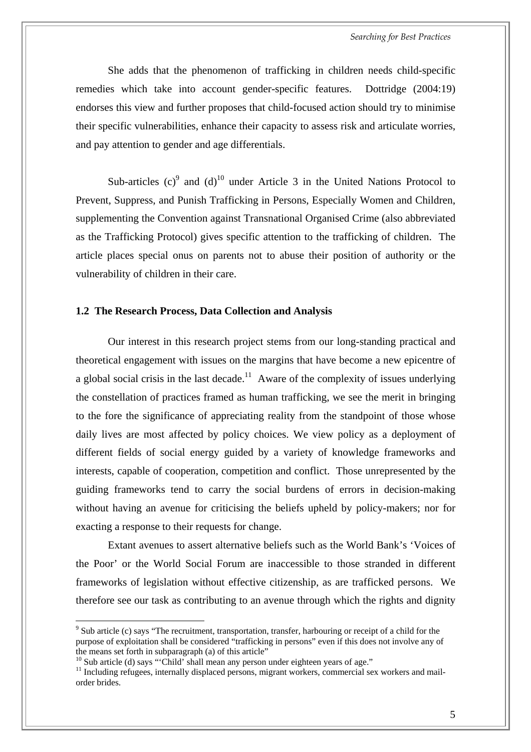<span id="page-12-0"></span>She adds that the phenomenon of trafficking in children needs child-specific remedies which take into account gender-specific features. Dottridge (2004:19) endorses this view and further proposes that child-focused action should try to minimise their specific vulnerabilities, enhance their capacity to assess risk and articulate worries, and pay attention to gender and age differentials.

Sub-articles  $(c)^9$  and  $(d)^{10}$  under Article 3 in the United Nations Protocol to Prevent, Suppress, and Punish Trafficking in Persons, Especially Women and Children, supplementing the Convention against Transnational Organised Crime (also abbreviated as the Trafficking Protocol) gives specific attention to the trafficking of children. The article places special onus on parents not to abuse their position of authority or the vulnerability of children in their care.

#### **1.2 The Research Process, Data Collection and Analysis**

Our interest in this research project stems from our long-standing practical and theoretical engagement with issues on the margins that have become a new epicentre of a global social crisis in the last decade.<sup>11</sup> Aware of the complexity of issues underlying the constellation of practices framed as human trafficking, we see the merit in bringing to the fore the significance of appreciating reality from the standpoint of those whose daily lives are most affected by policy choices. We view policy as a deployment of different fields of social energy guided by a variety of knowledge frameworks and interests, capable of cooperation, competition and conflict. Those unrepresented by the guiding frameworks tend to carry the social burdens of errors in decision-making without having an avenue for criticising the beliefs upheld by policy-makers; nor for exacting a response to their requests for change.

Extant avenues to assert alternative beliefs such as the World Bank's 'Voices of the Poor' or the World Social Forum are inaccessible to those stranded in different frameworks of legislation without effective citizenship, as are trafficked persons. We therefore see our task as contributing to an avenue through which the rights and dignity

<span id="page-12-1"></span> $9$  Sub article (c) says "The recruitment, transportation, transfer, harbouring or receipt of a child for the purpose of exploitation shall be considered "trafficking in persons" even if this does not involve any of the means set forth in subparagraph (a) of this article"<br>
<sup>10</sup> Sub article (d) says "Child' shall mean any person under eighteen years of age."

<span id="page-12-2"></span>

<span id="page-12-3"></span><sup>&</sup>lt;sup>11</sup> Including refugees, internally displaced persons, migrant workers, commercial sex workers and mailorder brides.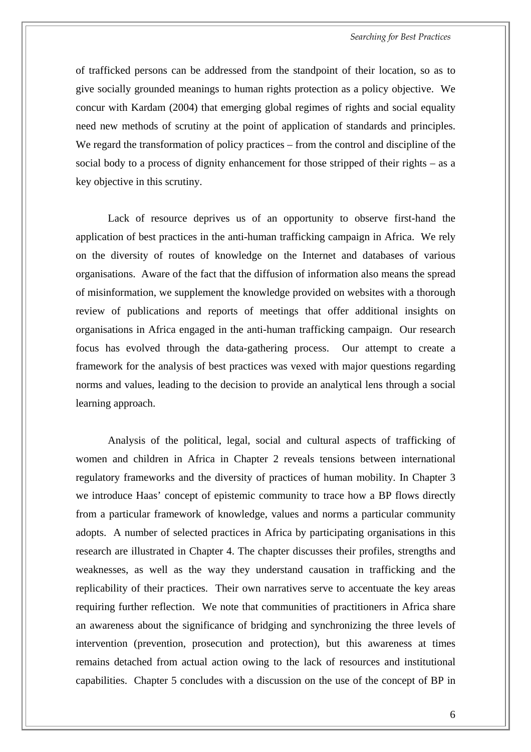of trafficked persons can be addressed from the standpoint of their location, so as to give socially grounded meanings to human rights protection as a policy objective. We concur with Kardam (2004) that emerging global regimes of rights and social equality need new methods of scrutiny at the point of application of standards and principles. We regard the transformation of policy practices – from the control and discipline of the social body to a process of dignity enhancement for those stripped of their rights – as a key objective in this scrutiny.

Lack of resource deprives us of an opportunity to observe first-hand the application of best practices in the anti-human trafficking campaign in Africa. We rely on the diversity of routes of knowledge on the Internet and databases of various organisations. Aware of the fact that the diffusion of information also means the spread of misinformation, we supplement the knowledge provided on websites with a thorough review of publications and reports of meetings that offer additional insights on organisations in Africa engaged in the anti-human trafficking campaign. Our research focus has evolved through the data-gathering process. Our attempt to create a framework for the analysis of best practices was vexed with major questions regarding norms and values, leading to the decision to provide an analytical lens through a social learning approach.

Analysis of the political, legal, social and cultural aspects of trafficking of women and children in Africa in Chapter 2 reveals tensions between international regulatory frameworks and the diversity of practices of human mobility. In Chapter 3 we introduce Haas' concept of epistemic community to trace how a BP flows directly from a particular framework of knowledge, values and norms a particular community adopts. A number of selected practices in Africa by participating organisations in this research are illustrated in Chapter 4. The chapter discusses their profiles, strengths and weaknesses, as well as the way they understand causation in trafficking and the replicability of their practices. Their own narratives serve to accentuate the key areas requiring further reflection. We note that communities of practitioners in Africa share an awareness about the significance of bridging and synchronizing the three levels of intervention (prevention, prosecution and protection), but this awareness at times remains detached from actual action owing to the lack of resources and institutional capabilities. Chapter 5 concludes with a discussion on the use of the concept of BP in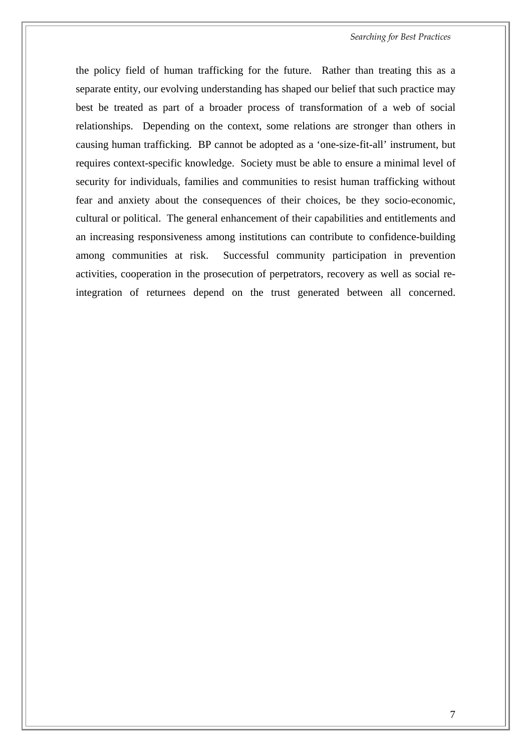the policy field of human trafficking for the future. Rather than treating this as a separate entity, our evolving understanding has shaped our belief that such practice may best be treated as part of a broader process of transformation of a web of social relationships. Depending on the context, some relations are stronger than others in causing human trafficking. BP cannot be adopted as a 'one-size-fit-all' instrument, but requires context-specific knowledge. Society must be able to ensure a minimal level of security for individuals, families and communities to resist human trafficking without fear and anxiety about the consequences of their choices, be they socio-economic, cultural or political. The general enhancement of their capabilities and entitlements and an increasing responsiveness among institutions can contribute to confidence-building among communities at risk. Successful community participation in prevention activities, cooperation in the prosecution of perpetrators, recovery as well as social reintegration of returnees depend on the trust generated between all concerned.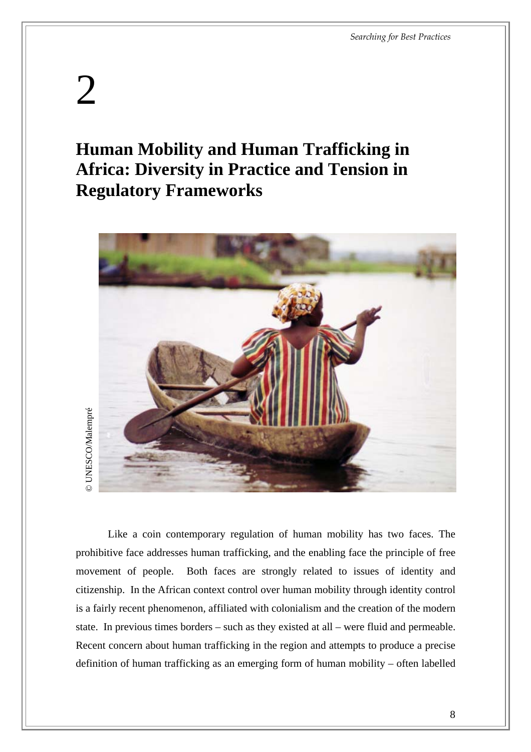## <span id="page-15-0"></span>2

### **Human Mobility and Human Trafficking in Africa: Diversity in Practice and Tension in Regulatory Frameworks**



Like a coin contemporary regulation of human mobility has two faces. The prohibitive face addresses human trafficking, and the enabling face the principle of free movement of people. Both faces are strongly related to issues of identity and citizenship. In the African context control over human mobility through identity control is a fairly recent phenomenon, affiliated with colonialism and the creation of the modern state. In previous times borders – such as they existed at all – were fluid and permeable. Recent concern about human trafficking in the region and attempts to produce a precise Like a coin contemporary regulation of human mobility has two faces. The<br>prohibitive face addresses human trafficking, and the enabling face the principle of free<br>movement of people. Both faces are strongly related to issu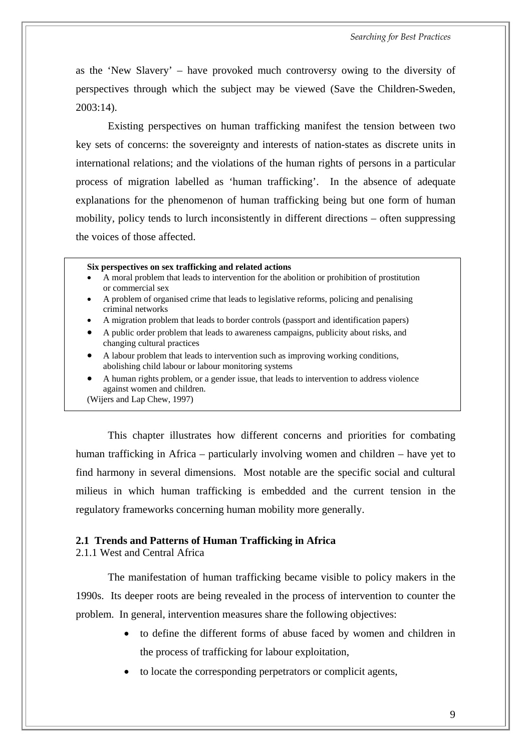as the 'New Slavery' – have provoked much controversy owing to the diversity of perspectives through which the subject may be viewed (Save the Children-Sweden, 2003:14).

Existing perspectives on human trafficking manifest the tension between two key sets of concerns: the sovereignty and interests of nation-states as discrete units in international relations; and the violations of the human rights of persons in a particular process of migration labelled as 'human trafficking'. In the absence of adequate explanations for the phenomenon of human trafficking being but one form of human mobility, policy tends to lurch inconsistently in different directions – often suppressing the voices of those affected.

#### **Six perspectives on sex trafficking and related actions**

- A moral problem that leads to intervention for the abolition or prohibition of prostitution or commercial sex
- A problem of organised crime that leads to legislative reforms, policing and penalising criminal networks
- <span id="page-16-0"></span>• A migration problem that leads to border controls (passport and identification papers)
- A public order problem that leads to awareness campaigns, publicity about risks, and changing cultural practices
- A labour problem that leads to intervention such as improving working conditions, abolishing child labour or labour monitoring systems
- A human rights problem, or a gender issue, that leads to intervention to address violence against women and children.

This chapter illustrates how different concerns and priorities for combating human trafficking in Africa – particularly involving women and children – have yet to find harmony in several dimensions. Most notable are the specific social and cultural milieus in which human trafficking is embedded and the current tension in the regulatory frameworks concerning human mobility more generally.

#### **2.1 Trends and Patterns of Human Trafficking in Africa**

2.1.1 West and Central Africa

The manifestation of human trafficking became visible to policy makers in the 1990s. Its deeper roots are being revealed in the process of intervention to counter the problem. In general, intervention measures share the following objectives:

- to define the different forms of abuse faced by women and children in the process of trafficking for labour exploitation,
- to locate the corresponding perpetrators or complicit agents,

<sup>(</sup>Wijers and Lap Chew, 1997)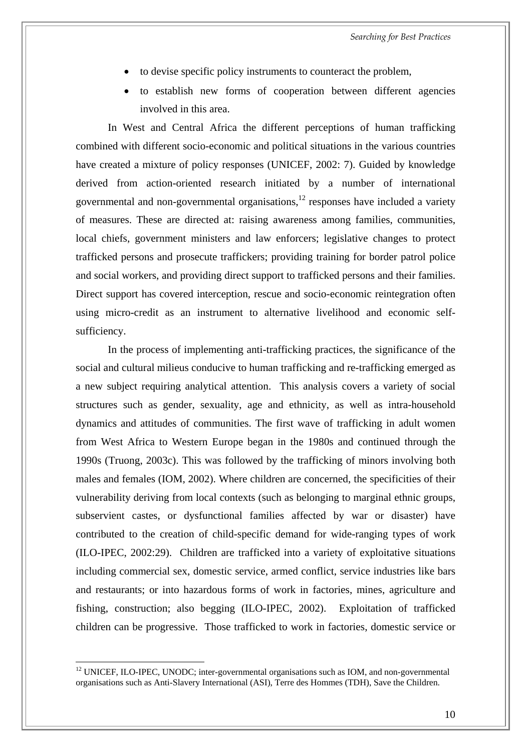- to devise specific policy instruments to counteract the problem,
- to establish new forms of cooperation between different agencies involved in this area.

In West and Central Africa the different perceptions of human trafficking combined with different socio-economic and political situations in the various countries have created a mixture of policy responses (UNICEF, 2002: 7). Guided by knowledge derived from action-oriented research initiated by a number of international governmental and non-governmental organisations,  $12$  responses have included a variety of measures. These are directed at: raising awareness among families, communities, local chiefs, government ministers and law enforcers; legislative changes to protect trafficked persons and prosecute traffickers; providing training for border patrol police and social workers, and providing direct support to trafficked persons and their families. Direct support has covered interception, rescue and socio-economic reintegration often using micro-credit as an instrument to alternative livelihood and economic selfsufficiency.

In the process of implementing anti-trafficking practices, the significance of the social and cultural milieus conducive to human trafficking and re-trafficking emerged as a new subject requiring analytical attention. This analysis covers a variety of social structures such as gender, sexuality, age and ethnicity, as well as intra-household dynamics and attitudes of communities. The first wave of trafficking in adult women from West Africa to Western Europe began in the 1980s and continued through the 1990s (Truong, 2003c). This was followed by the trafficking of minors involving both males and females (IOM, 2002). Where children are concerned, the specificities of their vulnerability deriving from local contexts (such as belonging to marginal ethnic groups, subservient castes, or dysfunctional families affected by war or disaster) have contributed to the creation of child-specific demand for wide-ranging types of work (ILO-IPEC, 2002:29). Children are trafficked into a variety of exploitative situations including commercial sex, domestic service, armed conflict, service industries like bars and restaurants; or into hazardous forms of work in factories, mines, agriculture and fishing, construction; also begging (ILO-IPEC, 2002). Exploitation of trafficked children can be progressive. Those trafficked to work in factories, domestic service or

<span id="page-17-0"></span> $12$  UNICEF, ILO-IPEC, UNODC; inter-governmental organisations such as IOM, and non-governmental organisations such as Anti-Slavery International (ASI), Terre des Hommes (TDH), Save the Children.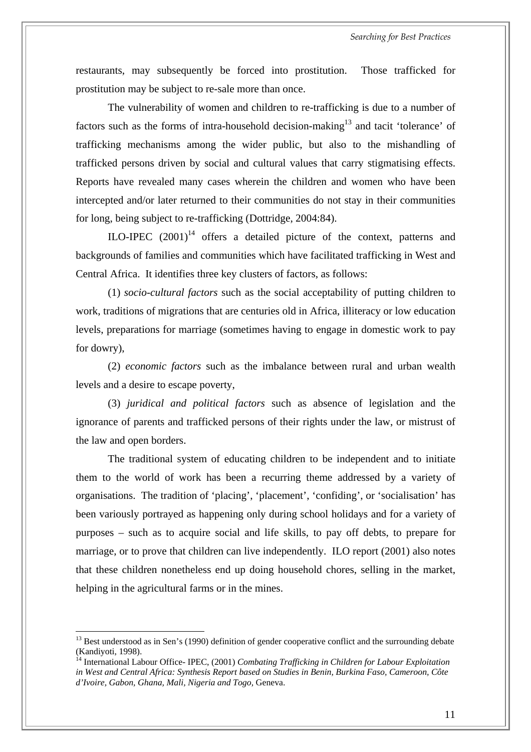restaurants, may subsequently be forced into prostitution. Those trafficked for prostitution may be subject to re-sale more than once.

 The vulnerability of women and children to re-trafficking is due to a number of factors such as the forms of intra-household decision-making<sup>13</sup> and tacit 'tolerance' of trafficking mechanisms among the wider public, but also to the mishandling of trafficked persons driven by social and cultural values that carry stigmatising effects. Reports have revealed many cases wherein the children and women who have been intercepted and/or later returned to their communities do not stay in their communities for long, being subject to re-trafficking (Dottridge, 2004:84).

ILO-IPEC  $(2001)^{14}$  offers a detailed picture of the context, patterns and backgrounds of families and communities which have facilitated trafficking in West and Central Africa. It identifies three key clusters of factors, as follows:

(1) *socio-cultural factors* such as the social acceptability of putting children to work, traditions of migrations that are centuries old in Africa, illiteracy or low education levels, preparations for marriage (sometimes having to engage in domestic work to pay for dowry),

(2) *economic factors* such as the imbalance between rural and urban wealth levels and a desire to escape poverty,

(3) *juridical and political factors* such as absence of legislation and the ignorance of parents and trafficked persons of their rights under the law, or mistrust of the law and open borders.

The traditional system of educating children to be independent and to initiate them to the world of work has been a recurring theme addressed by a variety of organisations. The tradition of 'placing', 'placement', 'confiding', or 'socialisation' has been variously portrayed as happening only during school holidays and for a variety of purposes – such as to acquire social and life skills, to pay off debts, to prepare for marriage, or to prove that children can live independently. ILO report (2001) also notes that these children nonetheless end up doing household chores, selling in the market, helping in the agricultural farms or in the mines.

<span id="page-18-0"></span><sup>&</sup>lt;sup>13</sup> Best understood as in Sen's (1990) definition of gender cooperative conflict and the surrounding debate (Kandiyoti, 1998).

<span id="page-18-1"></span><sup>14</sup> International Labour Office- IPEC, (2001) *Combating Trafficking in Children for Labour Exploitation in West and Central Africa: Synthesis Report based on Studies in Benin, Burkina Faso, Cameroon, Côte d'Ivoire, Gabon, Ghana, Mali, Nigeria and Togo,* Geneva.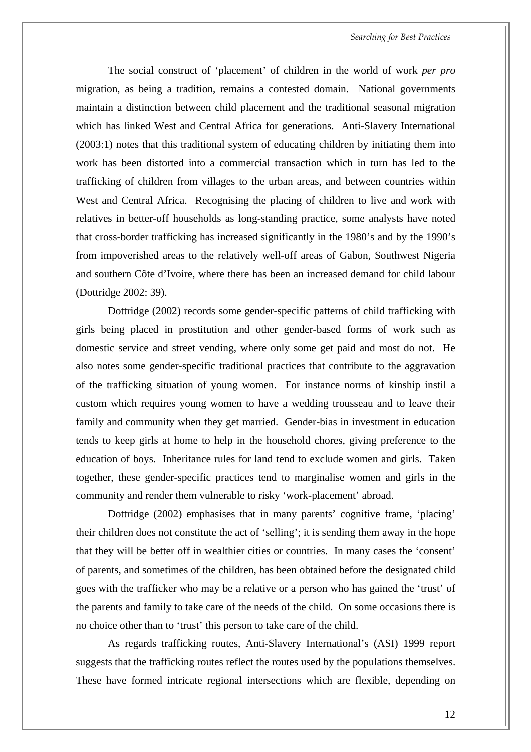The social construct of 'placement' of children in the world of work *per pro* migration, as being a tradition, remains a contested domain. National governments maintain a distinction between child placement and the traditional seasonal migration which has linked West and Central Africa for generations. Anti-Slavery International (2003:1) notes that this traditional system of educating children by initiating them into work has been distorted into a commercial transaction which in turn has led to the trafficking of children from villages to the urban areas, and between countries within West and Central Africa. Recognising the placing of children to live and work with relatives in better-off households as long-standing practice, some analysts have noted that cross-border trafficking has increased significantly in the 1980's and by the 1990's from impoverished areas to the relatively well-off areas of Gabon, Southwest Nigeria and southern Côte d'Ivoire, where there has been an increased demand for child labour (Dottridge 2002: 39).

Dottridge (2002) records some gender-specific patterns of child trafficking with girls being placed in prostitution and other gender-based forms of work such as domestic service and street vending, where only some get paid and most do not. He also notes some gender-specific traditional practices that contribute to the aggravation of the trafficking situation of young women. For instance norms of kinship instil a custom which requires young women to have a wedding trousseau and to leave their family and community when they get married. Gender-bias in investment in education tends to keep girls at home to help in the household chores, giving preference to the education of boys. Inheritance rules for land tend to exclude women and girls. Taken together, these gender-specific practices tend to marginalise women and girls in the community and render them vulnerable to risky 'work-placement' abroad.

Dottridge (2002) emphasises that in many parents' cognitive frame, 'placing' their children does not constitute the act of 'selling'; it is sending them away in the hope that they will be better off in wealthier cities or countries. In many cases the 'consent' of parents, and sometimes of the children, has been obtained before the designated child goes with the trafficker who may be a relative or a person who has gained the 'trust' of the parents and family to take care of the needs of the child. On some occasions there is no choice other than to 'trust' this person to take care of the child.

As regards trafficking routes, Anti-Slavery International's (ASI) 1999 report suggests that the trafficking routes reflect the routes used by the populations themselves. These have formed intricate regional intersections which are flexible, depending on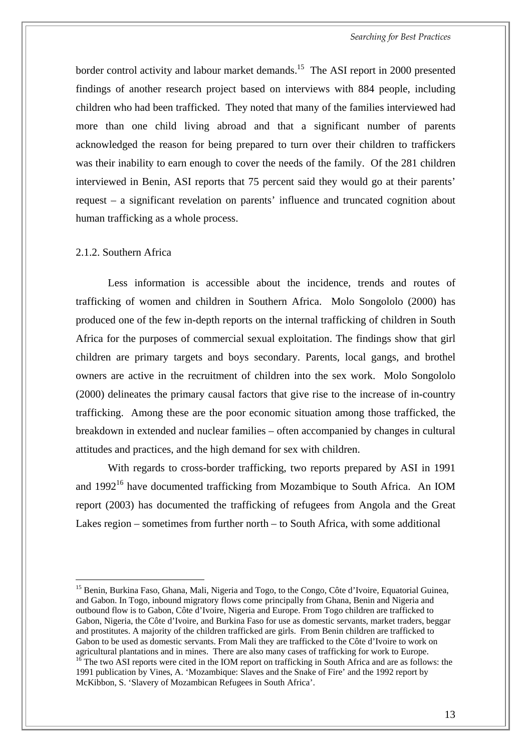*Searching for Best Practices* 

<span id="page-20-0"></span>border control activity and labour market demands.<sup>15</sup> The ASI report in 2000 presented findings of another research project based on interviews with 884 people, including children who had been trafficked. They noted that many of the families interviewed had more than one child living abroad and that a significant number of parents acknowledged the reason for being prepared to turn over their children to traffickers was their inability to earn enough to cover the needs of the family. Of the 281 children interviewed in Benin, ASI reports that 75 percent said they would go at their parents' request – a significant revelation on parents' influence and truncated cognition about human trafficking as a whole process.

#### 2.1.2. Southern Africa

 $\overline{a}$ 

Less information is accessible about the incidence, trends and routes of trafficking of women and children in Southern Africa. Molo Songololo (2000) has produced one of the few in-depth reports on the internal trafficking of children in South Africa for the purposes of commercial sexual exploitation. The findings show that girl children are primary targets and boys secondary. Parents, local gangs, and brothel owners are active in the recruitment of children into the sex work. Molo Songololo (2000) delineates the primary causal factors that give rise to the increase of in-country trafficking. Among these are the poor economic situation among those trafficked, the breakdown in extended and nuclear families – often accompanied by changes in cultural attitudes and practices, and the high demand for sex with children.

With regards to cross-border trafficking, two reports prepared by ASI in 1991 and  $1992^{16}$  have documented trafficking from Mozambique to South Africa. An IOM report (2003) has documented the trafficking of refugees from Angola and the Great Lakes region – sometimes from further north – to South Africa, with some additional

<span id="page-20-1"></span><sup>&</sup>lt;sup>15</sup> Benin, Burkina Faso, Ghana, Mali, Nigeria and Togo, to the Congo, Côte d'Ivoire, Equatorial Guinea, and Gabon. In Togo, inbound migratory flows come principally from Ghana, Benin and Nigeria and outbound flow is to Gabon, Côte d'Ivoire, Nigeria and Europe. From Togo children are trafficked to Gabon, Nigeria, the Côte d'Ivoire, and Burkina Faso for use as domestic servants, market traders, beggar and prostitutes. A majority of the children trafficked are girls. From Benin children are trafficked to Gabon to be used as domestic servants. From Mali they are trafficked to the Côte d'Ivoire to work on agricultural plantations and in mines. There are also many cases of trafficking for work to Europe.  $\frac{16}{16}$  The two ASI reports were cited in the IOM report on trafficking in South Africa and are as follows: the 1991 publication by Vines, A. 'Mozambique: Slaves and the Snake of Fire' and the 1992 report by

<span id="page-20-2"></span>McKibbon, S. 'Slavery of Mozambican Refugees in South Africa'.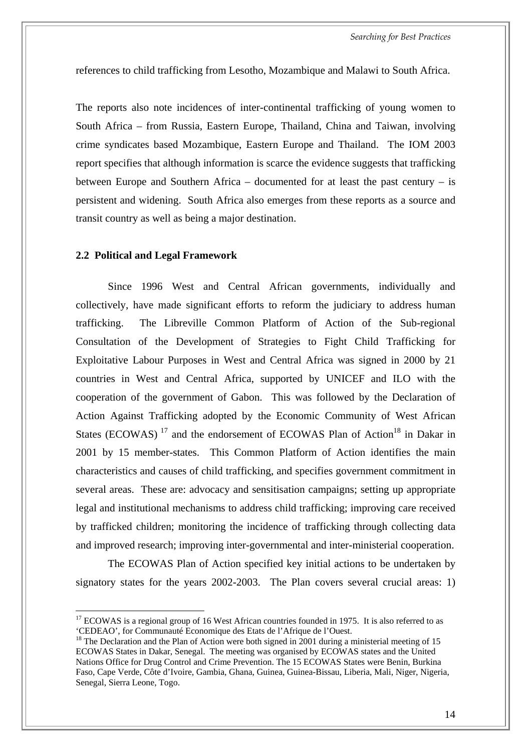*Searching for Best Practices* 

<span id="page-21-0"></span>references to child trafficking from Lesotho, Mozambique and Malawi to South Africa.

The reports also note incidences of inter-continental trafficking of young women to South Africa – from Russia, Eastern Europe, Thailand, China and Taiwan, involving crime syndicates based Mozambique, Eastern Europe and Thailand. The IOM 2003 report specifies that although information is scarce the evidence suggests that trafficking between Europe and Southern Africa – documented for at least the past century – is persistent and widening. South Africa also emerges from these reports as a source and transit country as well as being a major destination.

#### **2.2 Political and Legal Framework**

 $\overline{a}$ 

Since 1996 West and Central African governments, individually and collectively, have made significant efforts to reform the judiciary to address human trafficking. The Libreville Common Platform of Action of the Sub-regional Consultation of the Development of Strategies to Fight Child Trafficking for Exploitative Labour Purposes in West and Central Africa was signed in 2000 by 21 countries in West and Central Africa, supported by UNICEF and ILO with the cooperation of the government of Gabon. This was followed by the Declaration of Action Against T[raff](#page-21-1)icking adopted by the Economic Community of [W](#page-21-2)est African States (ECOWAS)<sup>17</sup> and the endorsement of ECOWAS Plan of Action<sup>18</sup> in Dakar in 2001 by 15 member-states. This Common Platform of Action identifies the main characteristics and causes of child trafficking, and specifies government commitment in several areas. These are: advocacy and sensitisation campaigns; setting up appropriate legal and institutional mechanisms to address child trafficking; improving care received by trafficked children; monitoring the incidence of trafficking through collecting data and improved research; improving inter-governmental and inter-ministerial cooperation.

The ECOWAS Plan of Action specified key initial actions to be undertaken by signatory states for the years 2002-2003. The Plan covers several crucial areas: 1)

<span id="page-21-1"></span><sup>&</sup>lt;sup>17</sup> ECOWAS is a regional group of 16 West African countries founded in 1975. It is also referred to as 'CEDEAO', for Communauté Economique des Etats de l'Afrique de l'Ouest.

<span id="page-21-2"></span><sup>&</sup>lt;sup>18</sup> The Declaration and the Plan of Action were both signed in 2001 during a ministerial meeting of 15 ECOWAS States in Dakar, Senegal. The meeting was organised by ECOWAS states and the United Nations Office for Drug Control and Crime Prevention. The 15 ECOWAS States were Benin, Burkina Faso, Cape Verde, Côte d'Ivoire, Gambia, Ghana, Guinea, Guinea-Bissau, Liberia, Mali, Niger, Nigeria, Senegal, Sierra Leone, Togo.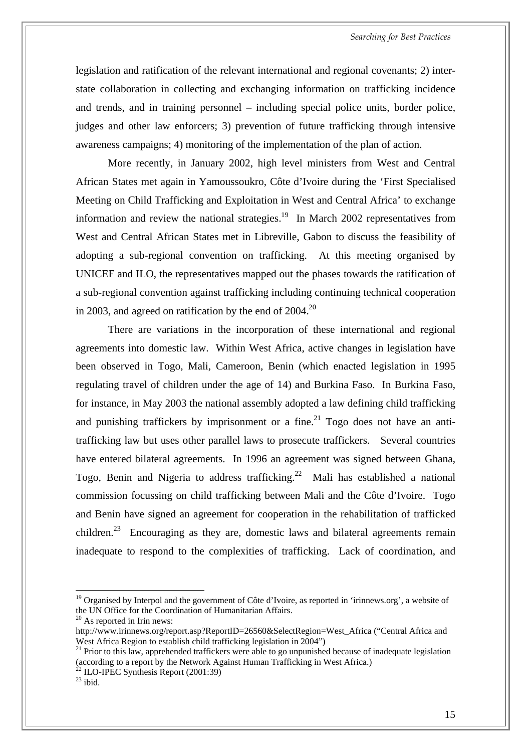legislation and ratification of the relevant international and regional covenants; 2) interstate collaboration in collecting and exchanging information on trafficking incidence and trends, and in training personnel – including special police units, border police, judges and other law enforcers; 3) prevention of future trafficking through intensive awareness campaigns; 4) monitoring of the implementation of the plan of action.

More recently, in January 2002, high level ministers from West and Central African States met again in Yamoussoukro, Côte d'Ivoire during the 'First Specialised Meeting on Child Trafficking and Exploitation [in](#page-22-0) West and Central Africa' to exchange information and review the national strategies.<sup>19</sup> In March 2002 representatives from West and Central African States met in Libreville, Gabon to discuss the feasibility of adopting a sub-regional convention on trafficking. At this meeting organised by UNICEF and ILO, the representatives mapped out the phases towards the ratification of a sub-regional convention against trafficking includin[g c](#page-22-1)ontinuing technical cooperation in 2003, and agreed on ratification by the end of  $2004$ <sup>20</sup>

There are variations in the incorporation of these international and regional agreements into domestic law. Within West Africa, active changes in legislation have been observed in Togo, Mali, Cameroon, Benin (which enacted legislation in 1995 regulating travel of children under the age of 14) and Burkina Faso. In Burkina Faso, for instance, in May 2003 the national assembly adopt[ed](#page-22-2) a law defining child trafficking and punishing traffickers by imprisonment or a fine.<sup>21</sup> Togo does not have an antitrafficking law but uses other parallel laws to prosecute traffickers. Several countries have entered bilateral agreements. In 1996 an a[gre](#page-22-3)ement was signed between Ghana, Togo, Benin and Nigeria to address trafficking.<sup>22</sup> Mali has established a national commission focussing on child trafficking between Mali and the Côte d'Ivoire. Togo and Ben[in](#page-22-4) have signed an agreement for cooperation in the rehabilitation of trafficked children.<sup>23</sup> Encouraging as they are, domestic laws and bilateral agreements remain inadequate to respond to the complexities of trafficking. Lack of coordination, and

<span id="page-22-0"></span> $19$  Organised by Interpol and the government of Côte d'Ivoire, as reported in 'irinnews.org', a website of the UN Office for the Coordination of Humanitarian Affairs.

<span id="page-22-1"></span> $20$  As reported in Irin news:

[http://www.irinnews.org/report.asp?ReportID=26560&SelectRegion=West\\_Africa](http://www.irinnews.org/report.asp?ReportID=26560&SelectRegion=West_Africa) ("Central Africa and West Africa Region to establish child trafficking legislation in 2004")

<span id="page-22-2"></span><sup>&</sup>lt;sup>21</sup> Prior to this law, apprehended traffickers were able to go unpunished because of inadequate legislation (according to a report by the Network Against Human Trafficking in West Africa.)<br><sup>22</sup> ILO-IPEC Synthesis Report (2001:39)<br><sup>23</sup> ibid.

<span id="page-22-3"></span>

<span id="page-22-4"></span>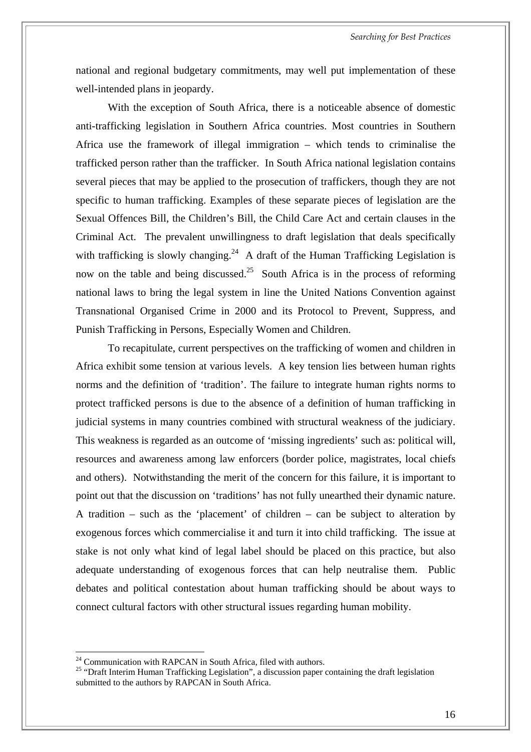national and regional budgetary commitments, may well put implementation of these well-intended plans in jeopardy.

With the exception of South Africa, there is a noticeable absence of domestic anti-trafficking legislation in Southern Africa countries. Most countries in Southern Africa use the framework of illegal immigration – which tends to criminalise the trafficked person rather than the trafficker. In South Africa national legislation contains several pieces that may be applied to the prosecution of traffickers, though they are not specific to human trafficking. Examples of these separate pieces of legislation are the Sexual Offences Bill, the Children'[s B](#page-23-0)ill, the Child Care Act and certain clauses in the Criminal Act. The prevalent unwilli[ngn](#page-23-1)ess to draft legislation that deals specifically with trafficking is slowly changing.<sup>24</sup> A draft of the Human Trafficking Legislation is now on the table and being discussed.<sup>25</sup> South Africa is in the process of reforming national laws to bring the legal system in line the United Nations Convention against Transnational Organised Crime in 2000 and its Protocol to Prevent, Suppress, and Punish Trafficking in Persons, Especially Women and Children.

To recapitulate, current perspectives on the trafficking of women and children in Africa exhibit some tension at various levels. A key tension lies between human rights norms and the definition of 'tradition'. The failure to integrate human rights norms to protect trafficked persons is due to the absence of a definition of human trafficking in judicial systems in many countries combined with structural weakness of the judiciary. This weakness is regarded as an outcome of 'missing ingredients' such as: political will, resources and awareness among law enforcers (border police, magistrates, local chiefs and others). Notwithstanding the merit of the concern for this failure, it is important to point out that the discussion on 'traditions' has not fully unearthed their dynamic nature. A tradition – such as the 'placement' of children – can be subject to alteration by exogenous forces which commercialise it and turn it into child trafficking. The issue at stake is not only what kind of legal label should be placed on this practice, but also adequate understanding of exogenous forces that can help neutralise them. Public debates and political contestation about human trafficking should be about ways to connect cultural factors with other structural issues regarding human mobility.

<span id="page-23-0"></span> $24$  Communication with RAPCAN in South Africa, filed with authors.

<span id="page-23-1"></span><sup>&</sup>lt;sup>25</sup> "Draft Interim Human Trafficking Legislation", a discussion paper containing the draft legislation submitted to the authors by RAPCAN in South Africa.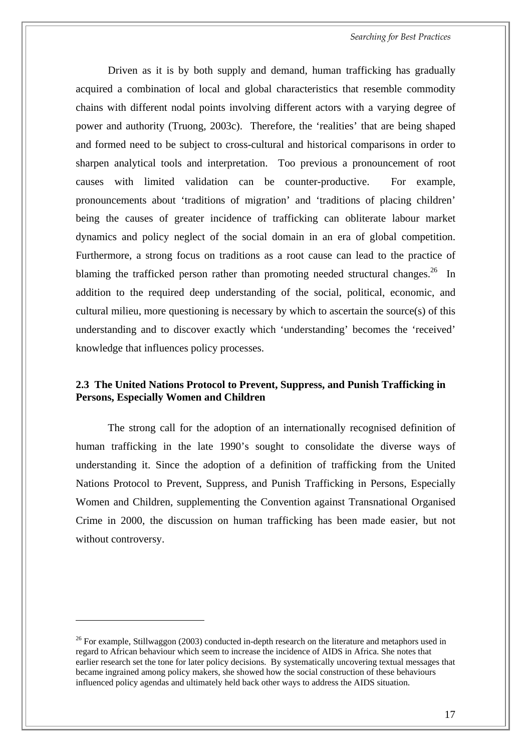Driven as it is by both supply and demand, human trafficking has gradually acquired a combination of local and global characteristics that resemble commodity chains with different nodal points involving different actors with a varying degree of power and authority (Truong, 2003c). Therefore, the 'realities' that are being shaped and formed need to be subject to cross-cultural and historical comparisons in order to sharpen analytical tools and interpretation. Too previous a pronouncement of root causes with limited validation can be counter-productive. For example, pronouncements about 'traditions of migration' and 'traditions of placing children' being the causes of greater incidence of trafficking can obliterate labour [ma](#page-24-1)rket dynamics and policy neglect of the social domain in an era of global competition. Furthermore, a strong focus on traditions as a root cause can lead to the practice of blaming the trafficked person rather than promoting needed structural changes.<sup>26</sup> In addition to the required deep understanding of the social, political, economic, and cultural milieu, more questioning is necessary by which to ascertain the source(s) of this understanding and to discover exactly which 'understanding' becomes the 'received' knowledge that influences policy processes.

#### <span id="page-24-0"></span>**2.3 The United Nations Protocol to Prevent, Suppress, and Punish Trafficking in Persons, Especially Women and Children**

The strong call for the adoption of an internationally recognised definition of human trafficking in the late 1990's sought to consolidate the diverse ways of understanding it. Since the adoption of a definition of trafficking from the United Nations Protocol to Prevent, Suppress, and Punish Trafficking in Persons, Especially Women and Children, supplementing the Convention against Transnational Organised Crime in 2000, the discussion on human trafficking has been made easier, but not without controversy.

<span id="page-24-1"></span><sup>&</sup>lt;sup>26</sup> For example, Stillwaggon (2003) conducted in-depth research on the literature and metaphors used in regard to African behaviour which seem to increase the incidence of AIDS in Africa. She notes that earlier research set the tone for later policy decisions. By systematically uncovering textual messages that became ingrained among policy makers, she showed how the social construction of these behaviours influenced policy agendas and ultimately held back other ways to address the AIDS situation.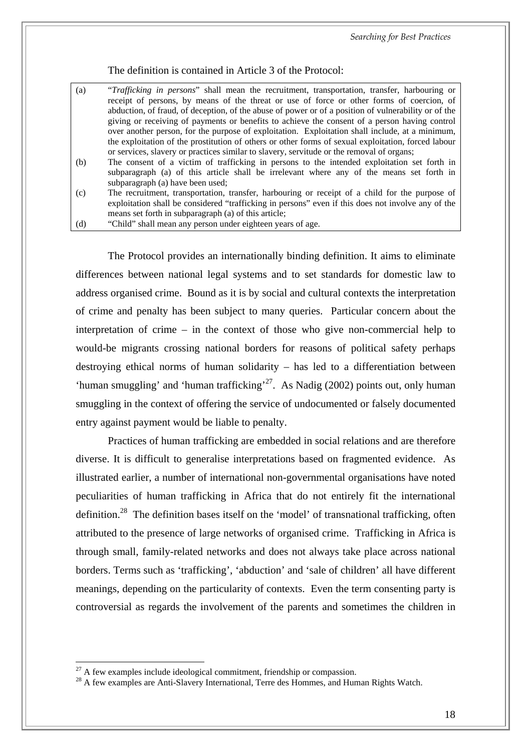*Searching for Best Practices* 

The definition is contained in Article 3 of the Protocol:

| (a) | <i>"Trafficking in persons"</i> shall mean the recruitment, transportation, transfer, harbouring or<br>receipt of persons, by means of the threat or use of force or other forms of coercion, of |
|-----|--------------------------------------------------------------------------------------------------------------------------------------------------------------------------------------------------|
|     | abduction, of fraud, of deception, of the abuse of power or of a position of vulnerability or of the                                                                                             |
|     | giving or receiving of payments or benefits to achieve the consent of a person having control                                                                                                    |
|     | over another person, for the purpose of exploitation. Exploitation shall include, at a minimum,                                                                                                  |
|     | the exploitation of the prostitution of others or other forms of sexual exploitation, forced labour                                                                                              |
|     | or services, slavery or practices similar to slavery, servitude or the removal of organs;                                                                                                        |
| (b) | The consent of a victim of trafficking in persons to the intended exploitation set forth in                                                                                                      |
|     | subparagraph (a) of this article shall be irrelevant where any of the means set forth in                                                                                                         |
|     | subparagraph (a) have been used;                                                                                                                                                                 |
| (c) | The recruitment, transportation, transfer, harbouring or receipt of a child for the purpose of                                                                                                   |
|     | exploitation shall be considered "trafficking in persons" even if this does not involve any of the                                                                                               |
|     | means set forth in subparagraph (a) of this article;                                                                                                                                             |

(d) "Child" shall mean any person under eighteen years of age.

The Protocol provides an internationally binding definition. It aims to eliminate differences between national legal systems and to set standards for domestic law to address organised crime. Bound as it is by social and cultural contexts the interpretation of crime and penalty has been subject to many queries. Particular concern about the interpretation of crime – in the context of those who give non-commercial help to would-be migrants crossing national borders for reasons of political safety perhaps destroying ethical norms of human solidarity – has led to a differentiation between 'human smuggling' and 'human trafficking'<sup>27</sup>. As Nadig (2002) points out, only human smuggling in the context of offering the service of undocumented or falsely documented entry against payment would be liable to penalty.

Practices of human trafficking are embedded in social relations and are therefore diverse. It is difficult to generalise interpretations based on fragmented evidence. As illustrated earlier, a number of international non-governmental organisations have noted peculiarities of human trafficking in Africa that do not entirely fit the international definition.<sup>28</sup> The definition bases itself on the 'model' of transnational trafficking, often attributed to the presence of large networks of organised crime. Trafficking in Africa is through small, family-related networks and does not always take place across national borders. Terms such as 'trafficking', 'abduction' and 'sale of children' all have different meanings, depending on the particularity of contexts. Even the term consenting party is controversial as regards the involvement of the parents and sometimes the children in

 $\overline{a}$ 

<span id="page-25-1"></span><span id="page-25-0"></span><sup>&</sup>lt;sup>27</sup> A few examples include ideological commitment, friendship or compassion.<br><sup>28</sup> A few examples are Anti-Slavery International, Terre des Hommes, and Human Rights Watch.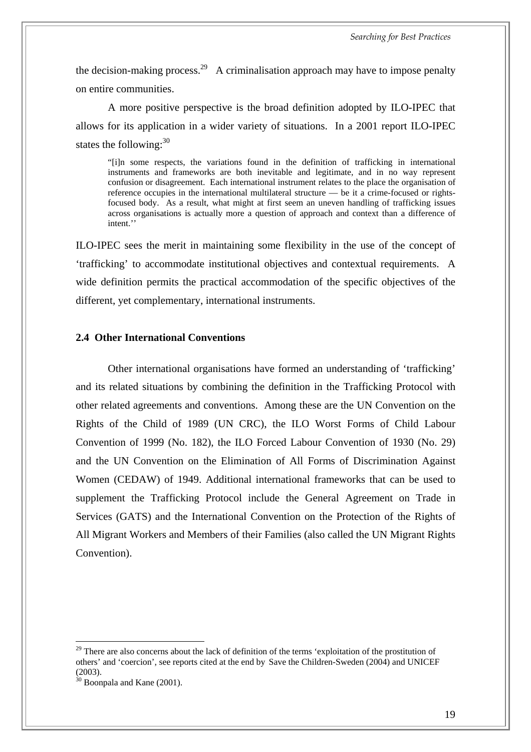the decision-making process.<sup>29</sup> A criminalisation approach may have to impose penalty on entire communities.

A more positive perspective is the broad definition adopted by ILO-IPEC that allows for its application in a wider variety of situations. In a 2001 report ILO-IPEC states the following:  $30<sup>30</sup>$ 

"[i]n some respects, the variations found in the definition of trafficking in international instruments and frameworks are both inevitable and legitimate, and in no way represent confusion or disagreement. Each international instrument relates to the place the organisation of reference occupies in the international multilateral structure — be it a crime-focused or rightsfocused body. As a result, what might at first seem an uneven handling of trafficking issues across organisations is actually more a question of approach and context than a difference of intent.''

ILO-IPEC sees the merit in maintaining some flexibility in the use of the concept of 'trafficking' to accommodate institutional objectives and contextual requirements. A wide definition permits the practical accommodation of the specific objectives of the different, yet complementary, international instruments.

#### <span id="page-26-0"></span>**2.4 Other International Conventions**

Other international organisations have formed an understanding of 'trafficking' and its related situations by combining the definition in the Trafficking Protocol with other related agreements and conventions. Among these are the UN Convention on the Rights of the Child of 1989 (UN CRC), the ILO Worst Forms of Child Labour Convention of 1999 (No. 182), the ILO Forced Labour Convention of 1930 (No. 29) and the UN Convention on the Elimination of All Forms of Discrimination Against Women (CEDAW) of 1949. Additional international frameworks that can be used to supplement the Trafficking Protocol include the General Agreement on Trade in Services (GATS) and the International Convention on the Protection of the Rights of All Migrant Workers and Members of their Families (also called the UN Migrant Rights Convention).

<span id="page-26-1"></span> $29$  There are also concerns about the lack of definition of the terms 'exploitation of the prostitution of others' and 'coercion', see reports cited at the end by Save the Children-Sweden (2004) and UNICEF  $(2003)$ .

<span id="page-26-2"></span> $30$  Boonpala and Kane (2001).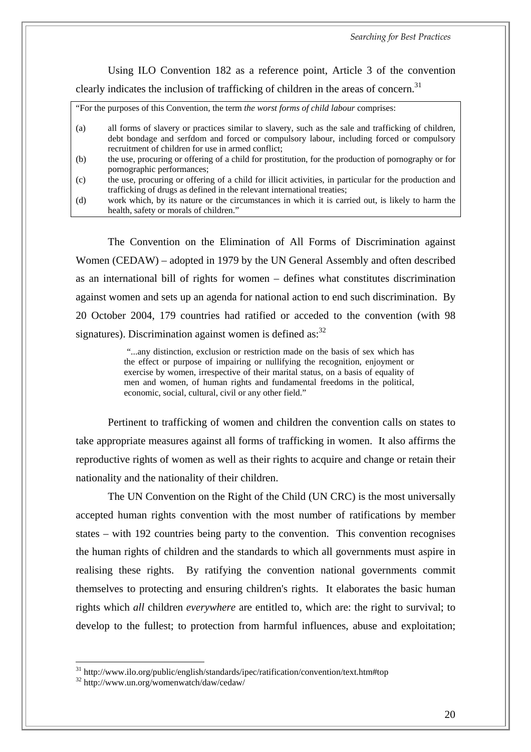*Searching for Best Practices* 

Using ILO Convention 182 as a reference point, Article 3 of the convention clearly indicates the inclusion of trafficking of children in the areas of concern.<sup>[31](#page-27-0)</sup>

"For the purposes of this Convention, the term *the worst forms of child labour* comprises:

- (a) all forms of slavery or practices similar to slavery, such as the sale and trafficking of children, debt bondage and serfdom and forced or compulsory labour, including forced or compulsory recruitment of children for use in armed conflict;
- (b) the use, procuring or offering of a child for prostitution, for the production of pornography or for pornographic performances;
- (c) the use, procuring or offering of a child for illicit activities, in particular for the production and trafficking of drugs as defined in the relevant international treaties;
- (d) work which, by its nature or the circumstances in which it is carried out, is likely to harm the health, safety or morals of children."

The Convention on the Elimination of All Forms of Discrimination against Women (CEDAW) – adopted in 1979 by the UN General Assembly and often described as an international bill of rights for women – defines what constitutes discrimination against women and sets up an agenda for national action to end such discrimination. By 20 October 2004, 179 countries had ratified or acceded to the convention (with 98 signatures). Discrimination against women is defined as:  $32$ 

> "...any distinction, exclusion or restriction made on the basis of sex which has the effect or purpose of impairing or nullifying the recognition, enjoyment or exercise by women, irrespective of their marital status, on a basis of equality of men and women, of human rights and fundamental freedoms in the political, economic, social, cultural, civil or any other field."

Pertinent to trafficking of women and children the convention calls on states to take appropriate measures against all forms of trafficking in women. It also affirms the reproductive rights of women as well as their rights to acquire and change or retain their nationality and the nationality of their children.

The UN Convention on the Right of the Child (UN CRC) is the most universally accepted human rights convention with the most number of ratifications by member states – with 192 countries being party to the convention. This convention recognises the human rights of children and the standards to which all governments must aspire in realising these rights. By ratifying the convention national governments commit themselves to protecting and ensuring children's rights. It elaborates the basic human rights which *all* children *everywhere* are entitled to, which are: the right to survival; to develop to the fullest; to protection from harmful influences, abuse and exploitation;

<span id="page-27-0"></span> $^{31}$  <http://www.ilo.org/public/english/standards/ipec/ratification/convention/text.htm#top>  $^{32}$  <http://www.un.org/womenwatch/daw/cedaw/>

<span id="page-27-1"></span>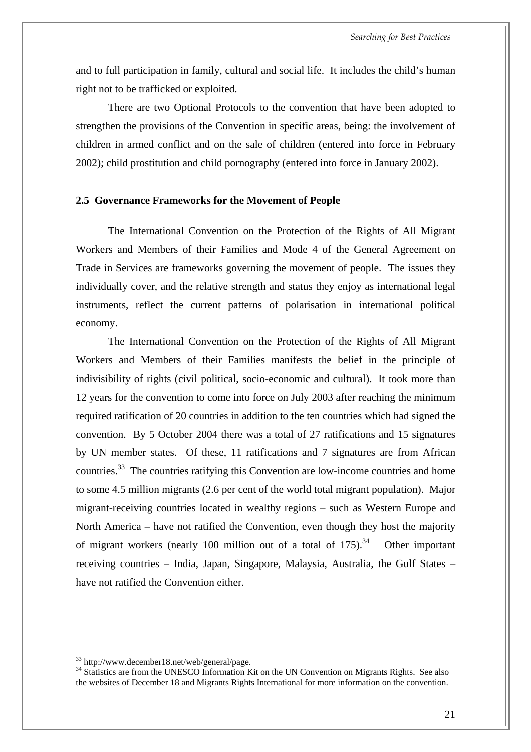<span id="page-28-0"></span>and to full participation in family, cultural and social life. It includes the child's human right not to be trafficked or exploited.

There are two Optional Protocols to the convention that have been adopted to strengthen the provisions of the Convention in specific areas, being: the involvement of children in armed conflict and on the sale of children (entered into force in February 2002); child prostitution and child pornography (entered into force in January 2002).

#### **2.5 Governance Frameworks for the Movement of People**

The International Convention on the Protection of the Rights of All Migrant Workers and Members of their Families and Mode 4 of the General Agreement on Trade in Services are frameworks governing the movement of people. The issues they individually cover, and the relative strength and status they enjoy as international legal instruments, reflect the current patterns of polarisation in international political economy.

The International Convention on the Protection of the Rights of All Migrant Workers and Members of their Families manifests the belief in the principle of indivisibility of rights (civil political, socio-economic and cultural). It took more than 12 years for the convention to come into force on July 2003 after reaching the minimum required ratification of 20 countries in addition to the ten countries which had signed the convention. By 5 October 2004 there was a total of 27 ratifications and 15 signatures by UN member states. Of these, 11 ratifications and 7 signatures are from African countries[.33](#page-28-1) The countries ratifying this Convention are low-income countries and home to some 4.5 million migrants (2.6 per cent of the world total migrant population). Major migrant-receiving countries located in wealthy regions – such as Western Europe and North America – have not ratified the Convention, even though they host the majority of migrant workers (nearly 100 million out of a total of  $175$ ).<sup>34</sup> Other important receiving countries – India, Japan, Singapore, Malaysia, Australia, the Gulf States – have not ratified the Convention either.

<span id="page-28-1"></span><sup>&</sup>lt;sup>33</sup> http://www.december18.net/web/general/page.

<span id="page-28-2"></span><sup>&</sup>lt;sup>34</sup> Statistics are from the UNESCO Information Kit on the UN Convention on Migrants Rights. See also the websites of December 18 and Migrants Rights International for more information on the convention.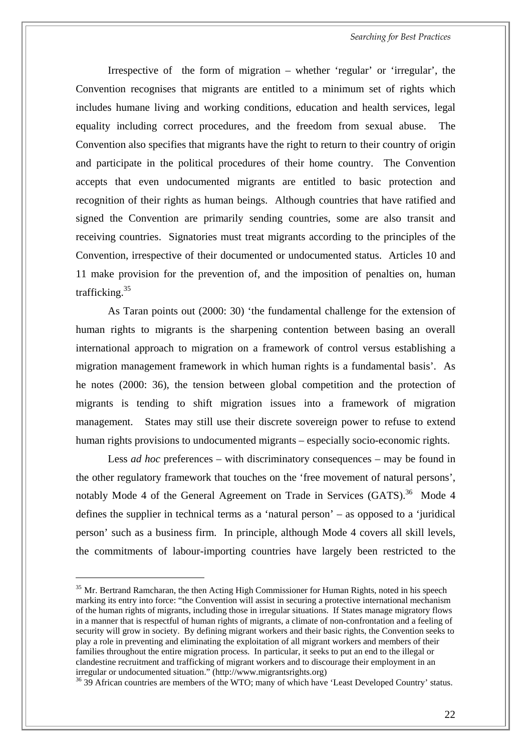Irrespective of the form of migration – whether 'regular' or 'irregular', the Convention recognises that migrants are entitled to a minimum set of rights which includes humane living and working conditions, education and health services, legal equality including correct procedures, and the freedom from sexual abuse. The Convention also specifies that migrants have the right to return to their country of origin and participate in the political procedures of their home country. The Convention accepts that even undocumented migrants are entitled to basic protection and recognition of their rights as human beings. Although countries that have ratified and signed the Convention are primarily sending countries, some are also transit and receiving countries. Signatories must treat migrants according to the principles of the Convention, irrespective of their documented or undocumented status. Articles 10 and 11 make provision for the prevention of, and the imposition of penalties on, human trafficking[.35](#page-29-0)

As Taran points out (2000: 30) 'the fundamental challenge for the extension of human rights to migrants is the sharpening contention between basing an overall international approach to migration on a framework of control versus establishing a migration management framework in which human rights is a fundamental basis'. As he notes (2000: 36), the tension between global competition and the protection of migrants is tending to shift migration issues into a framework of migration management. States may still use their discrete sovereign power to refuse to extend human rights provisions to undocumented migrants – especially socio-economic rights.

Less *ad hoc* preferences – with discriminatory consequences – may be found in the other regulatory framework that touches on the 'free movement of natural persons', notably Mode 4 of the General Agreement on Trade in Services  $(GATS)$ .<sup>36</sup> Mode 4 defines the supplier in technical terms as a 'natural person' – as opposed to a 'juridical person' such as a business firm. In principle, although Mode 4 covers all skill levels, the commitments of labour-importing countries have largely been restricted to the

<span id="page-29-0"></span><sup>&</sup>lt;sup>35</sup> Mr. Bertrand Ramcharan, the then Acting High Commissioner for Human Rights, noted in his speech marking its entry into force: "the Convention will assist in securing a protective international mechanism of the human rights of migrants, including those in irregular situations. If States manage migratory flows in a manner that is respectful of human rights of migrants, a climate of non-confrontation and a feeling of security will grow in society. By defining migrant workers and their basic rights, the Convention seeks to play a role in preventing and eliminating the exploitation of all migrant workers and members of their families throughout the entire migration process. In particular, it seeks to put an end to the illegal or clandestine recruitment and trafficking of migrant workers and to discourage their employment in an irregular or undocumented situation." [\(http://www.migrantsrights.org\)](http://www.migrantsrights.org)

<span id="page-29-1"></span><sup>36</sup> 39 African countries are members of the WTO; many of which have 'Least Developed Country' status.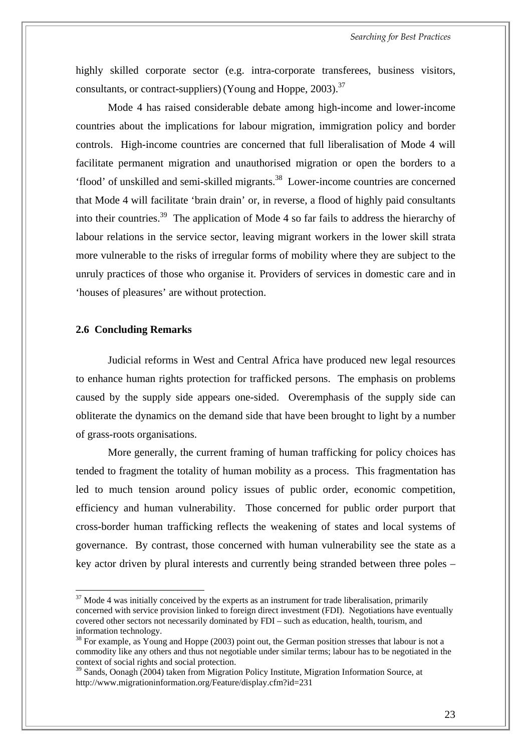highly skilled corporate sector (e.g. intra-corporate transferees, business visitors, consultants, or contract-suppliers) (Young and Hoppe,  $2003$ ).<sup>37</sup>

Mode 4 has raised considerable debate among high-income and lower-income countries about the implications for labour migration, immigration policy and border controls. High-income countries are concerned that full liberalisation of Mode 4 will facilitate permanent migration and unauthorised migration or open the borders to a 'flood' of unskilled and semi-skilled migrants[.38](#page-30-2) Lower-income countries are concerned that Mode 4 will facilitate 'brain drain' or, in reverse, a flood of highly paid consultants into their countries[.39](#page-30-3) The application of Mode 4 so far fails to address the hierarchy of labour relations in the service sector, leaving migrant workers in the lower skill strata more vulnerable to the risks of irregular forms of mobility where they are subject to the unruly practices of those who organise it. Providers of services in domestic care and in 'houses of pleasures' are without protection.

#### <span id="page-30-0"></span>**2.6 Concluding Remarks**

 $\overline{a}$ 

Judicial reforms in West and Central Africa have produced new legal resources to enhance human rights protection for trafficked persons. The emphasis on problems caused by the supply side appears one-sided. Overemphasis of the supply side can obliterate the dynamics on the demand side that have been brought to light by a number of grass-roots organisations.

More generally, the current framing of human trafficking for policy choices has tended to fragment the totality of human mobility as a process. This fragmentation has led to much tension around policy issues of public order, economic competition, efficiency and human vulnerability. Those concerned for public order purport that cross-border human trafficking reflects the weakening of states and local systems of governance. By contrast, those concerned with human vulnerability see the state as a key actor driven by plural interests and currently being stranded between three poles –

<span id="page-30-1"></span> $37$  Mode 4 was initially conceived by the experts as an instrument for trade liberalisation, primarily concerned with service provision linked to foreign direct investment (FDI). Negotiations have eventually covered other sectors not necessarily dominated by FDI – such as education, health, tourism, and information technology.

<span id="page-30-2"></span><sup>&</sup>lt;sup>38</sup> For example, as Young and Hoppe (2003) point out, the German position stresses that labour is not a commodity like any others and thus not negotiable under similar terms; labour has to be negotiated in the context of social rights and social protection.

<span id="page-30-3"></span><sup>&</sup>lt;sup>39</sup> Sands, Oonagh (2004) taken from Migration Policy Institute, Migration Information Source, at <http://www.migrationinformation.org/Feature/display.cfm?id=231>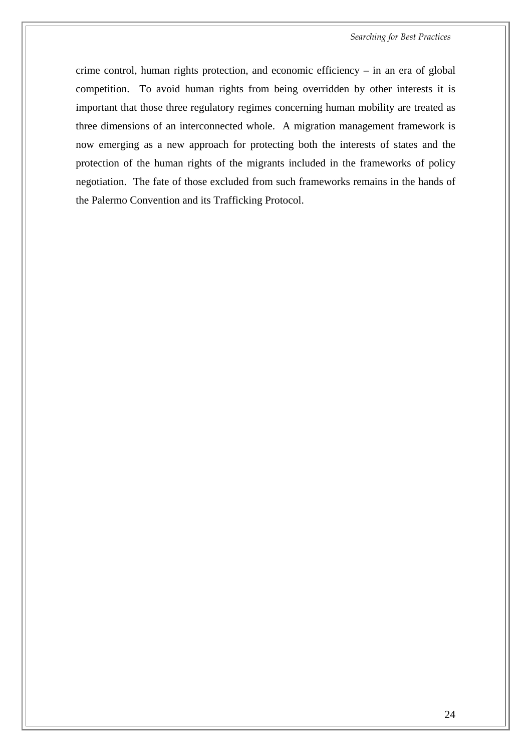crime control, human rights protection, and economic efficiency – in an era of global competition. To avoid human rights from being overridden by other interests it is important that those three regulatory regimes concerning human mobility are treated as three dimensions of an interconnected whole. A migration management framework is now emerging as a new approach for protecting both the interests of states and the protection of the human rights of the migrants included in the frameworks of policy negotiation. The fate of those excluded from such frameworks remains in the hands of the Palermo Convention and its Trafficking Protocol.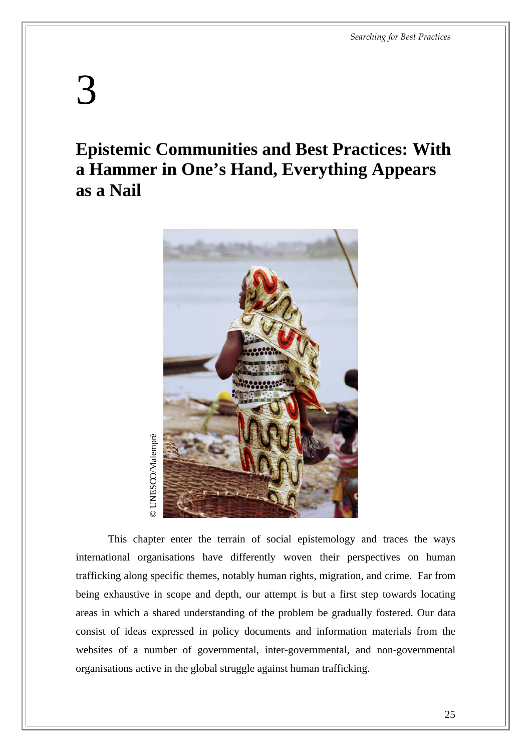# <span id="page-32-0"></span>3

## **Epistemic Communities and Best Practices: With a Hammer in One's Hand, Everything Appears as a Nail**



This chapter enter the terrain of social epistemology and traces the ways international organisations have differently woven their perspectives on human trafficking along specific themes, notably human rights, migration, and crime. Far from being exhaustive in scope and depth, our attempt is but a first step towards locating areas in which a shared understanding of the problem be gradually fostered. Our data consist of ideas expressed in policy documents and information materials from the websites of a number of governmental, inter-governmental, and non-governmental This chapter enter the terrain of social epistemology and international organisations have differently woven their perspectrafficking along specific themes, notably human rights, migration, as being exhaustive in scope and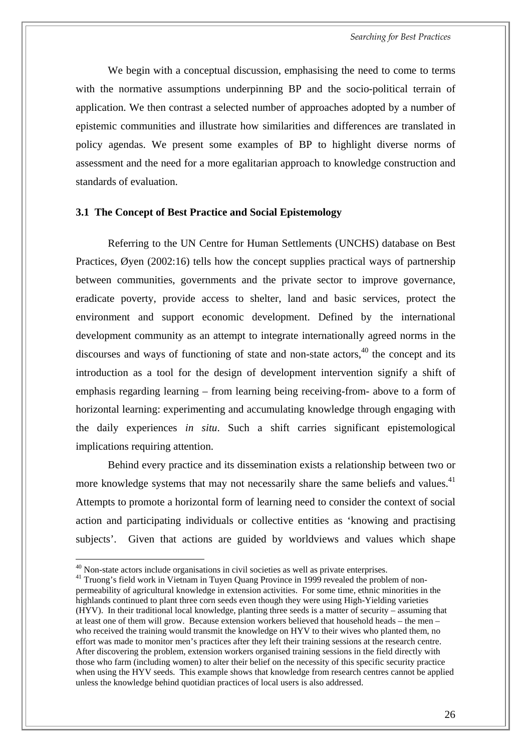<span id="page-33-0"></span>We begin with a conceptual discussion, emphasising the need to come to terms with the normative assumptions underpinning BP and the socio-political terrain of application. We then contrast a selected number of approaches adopted by a number of epistemic communities and illustrate how similarities and differences are translated in policy agendas. We present some examples of BP to highlight diverse norms of assessment and the need for a more egalitarian approach to knowledge construction and standards of evaluation.

#### **3.1 The Concept of Best Practice and Social Epistemology**

Referring to the UN Centre for Human Settlements (UNCHS) database on Best Practices, Øyen (2002:16) tells how the concept supplies practical ways of partnership between communities, governments and the private sector to improve governance, eradicate poverty, provide access to shelter, land and basic services, protect the environment and support economic development. Defined by the international development community as an attempt to integrate internationally agreed norms in the discourses and ways of functioning of state and non-state actors,  $40$  the concept and its introduction as a tool for the design of development intervention signify a shift of emphasis regarding learning – from learning being receiving-from- above to a form of horizontal learning: experimenting and accumulating knowledge through engaging with the daily experiences *in situ*. Such a shift carries significant epistemological implications requiring attention.

Behind every practice and its dissemination exists a relationship between two or more knowledge systems that may not necessarily share the same beliefs and values.<sup>41</sup> Attempts to promote a horizontal form of learning need to consider the context of social action and participating individuals or collective entities as 'knowing and practising subjects'. Given that actions are guided by worldviews and values which shape

<span id="page-33-1"></span> $40$  Non-state actors include organisations in civil societies as well as private enterprises.

<span id="page-33-2"></span><sup>&</sup>lt;sup>41</sup> Truong's field work in Vietnam in Tuyen Quang Province in 1999 revealed the problem of nonpermeability of agricultural knowledge in extension activities. For some time, ethnic minorities in the highlands continued to plant three corn seeds even though they were using High-Yielding varieties (HYV). In their traditional local knowledge, planting three seeds is a matter of security – assuming that at least one of them will grow. Because extension workers believed that household heads – the men – who received the training would transmit the knowledge on HYV to their wives who planted them, no effort was made to monitor men's practices after they left their training sessions at the research centre. After discovering the problem, extension workers organised training sessions in the field directly with those who farm (including women) to alter their belief on the necessity of this specific security practice when using the HYV seeds. This example shows that knowledge from research centres cannot be applied unless the knowledge behind quotidian practices of local users is also addressed.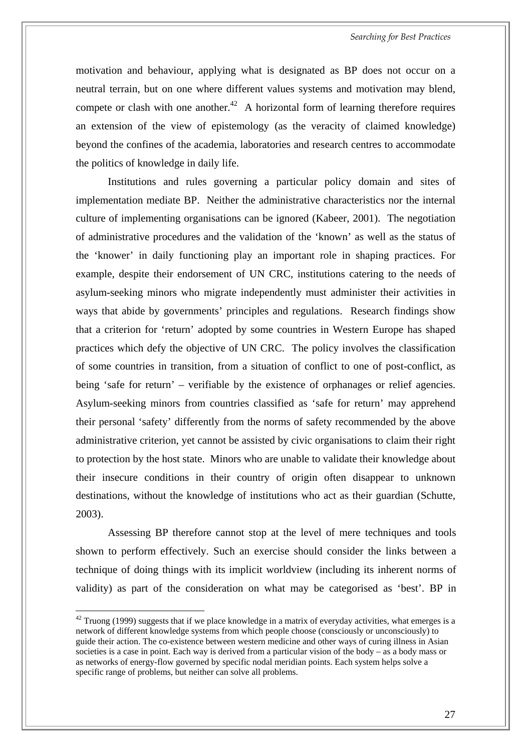motivation and behaviour, applying what is designated as BP does not occur on a neutral terrain, but on one where different values systems and motivation may blend, compete or clash with one another.<sup>42</sup> A horizontal form of learning therefore requires an extension of the view of epistemology (as the veracity of claimed knowledge) beyond the confines of the academia, laboratories and research centres to accommodate the politics of knowledge in daily life.

Institutions and rules governing a particular policy domain and sites of implementation mediate BP. Neither the administrative characteristics nor the internal culture of implementing organisations can be ignored (Kabeer, 2001). The negotiation of administrative procedures and the validation of the 'known' as well as the status of the 'knower' in daily functioning play an important role in shaping practices. For example, despite their endorsement of UN CRC, institutions catering to the needs of asylum-seeking minors who migrate independently must administer their activities in ways that abide by governments' principles and regulations. Research findings show that a criterion for 'return' adopted by some countries in Western Europe has shaped practices which defy the objective of UN CRC. The policy involves the classification of some countries in transition, from a situation of conflict to one of post-conflict, as being 'safe for return' – verifiable by the existence of orphanages or relief agencies. Asylum-seeking minors from countries classified as 'safe for return' may apprehend their personal 'safety' differently from the norms of safety recommended by the above administrative criterion, yet cannot be assisted by civic organisations to claim their right to protection by the host state. Minors who are unable to validate their knowledge about their insecure conditions in their country of origin often disappear to unknown destinations, without the knowledge of institutions who act as their guardian (Schutte, 2003).

Assessing BP therefore cannot stop at the level of mere techniques and tools shown to perform effectively. Such an exercise should consider the links between a technique of doing things with its implicit worldview (including its inherent norms of validity) as part of the consideration on what may be categorised as 'best'. BP in

<span id="page-34-0"></span> $42$  Truong (1999) suggests that if we place knowledge in a matrix of everyday activities, what emerges is a network of different knowledge systems from which people choose (consciously or unconsciously) to guide their action. The co-existence between western medicine and other ways of curing illness in Asian societies is a case in point. Each way is derived from a particular vision of the body – as a body mass or as networks of energy-flow governed by specific nodal meridian points. Each system helps solve a specific range of problems, but neither can solve all problems.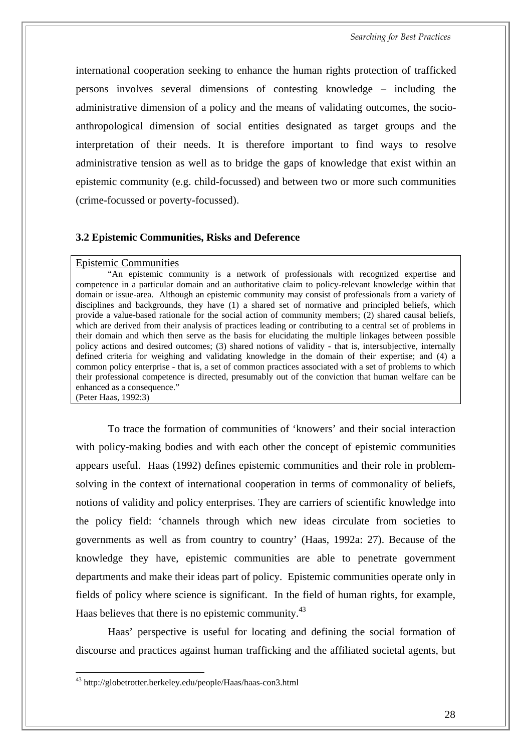<span id="page-35-0"></span>international cooperation seeking to enhance the human rights protection of trafficked persons involves several dimensions of contesting knowledge – including the administrative dimension of a policy and the means of validating outcomes, the socioanthropological dimension of social entities designated as target groups and the interpretation of their needs. It is therefore important to find ways to resolve administrative tension as well as to bridge the gaps of knowledge that exist within an epistemic community (e.g. child-focussed) and between two or more such communities (crime-focussed or poverty-focussed).

#### **3.2 Epistemic Communities, Risks and Deference**

#### Epistemic Communities

"An epistemic community is a network of professionals with recognized expertise and competence in a particular domain and an authoritative claim to policy-relevant knowledge within that domain or issue-area. Although an epistemic community may consist of professionals from a variety of disciplines and backgrounds, they have (1) a shared set of normative and principled beliefs, which provide a value-based rationale for the social action of community members; (2) shared causal beliefs, which are derived from their analysis of practices leading or contributing to a central set of problems in their domain and which then serve as the basis for elucidating the multiple linkages between possible policy actions and desired outcomes; (3) shared notions of validity - that is, intersubjective, internally defined criteria for weighing and validating knowledge in the domain of their expertise; and (4) a common policy enterprise - that is, a set of common practices associated with a set of problems to which their professional competence is directed, presumably out of the conviction that human welfare can be enhanced as a consequence." (Peter Haas, 1992:3)

To trace the formation of communities of 'knowers' and their social interaction with policy-making bodies and with each other the concept of epistemic communities appears useful. Haas (1992) defines epistemic communities and their role in problemsolving in the context of international cooperation in terms of commonality of beliefs, notions of validity and policy enterprises. They are carriers of scientific knowledge into the policy field: 'channels through which new ideas circulate from societies to governments as well as from country to country' (Haas, 1992a: 27). Because of the knowledge they have, epistemic communities are able to penetrate government departments and make their ideas part of policy. Epistemic communities operate only in fields of policy where science is significant. In the field of human rights, for example, Haas believes that there is no epistemic community.<sup>[43](#page-35-1)</sup>

Haas' perspective is useful for locating and defining the social formation of discourse and practices against human trafficking and the affiliated societal agents, but

<span id="page-35-1"></span><sup>43</sup> <http://globetrotter.berkeley.edu/people/Haas/haas-con3.html>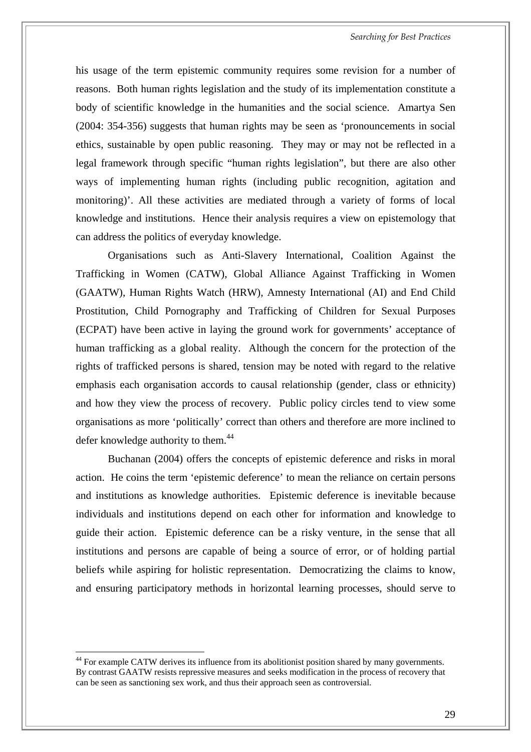his usage of the term epistemic community requires some revision for a number of reasons. Both human rights legislation and the study of its implementation constitute a body of scientific knowledge in the humanities and the social science. Amartya Sen (2004: 354-356) suggests that human rights may be seen as 'pronouncements in social ethics, sustainable by open public reasoning. They may or may not be reflected in a legal framework through specific "human rights legislation", but there are also other ways of implementing human rights (including public recognition, agitation and monitoring)'. All these activities are mediated through a variety of forms of local knowledge and institutions. Hence their analysis requires a view on epistemology that can address the politics of everyday knowledge.

Organisations such as Anti-Slavery International, Coalition Against the Trafficking in Women (CATW), Global Alliance Against Trafficking in Women (GAATW), Human Rights Watch (HRW), Amnesty International (AI) and End Child Prostitution, Child Pornography and Trafficking of Children for Sexual Purposes (ECPAT) have been active in laying the ground work for governments' acceptance of human trafficking as a global reality. Although the concern for the protection of the rights of trafficked persons is shared, tension may be noted with regard to the relative emphasis each organisation accords to causal relationship (gender, class or ethnicity) and how they view the process of recovery. Public policy circles tend to view some organisations as more 'politically' correct than others and therefore are more inclined to defer knowledge authority to them. $44$ 

Buchanan (2004) offers the concepts of epistemic deference and risks in moral action. He coins the term 'epistemic deference' to mean the reliance on certain persons and institutions as knowledge authorities. Epistemic deference is inevitable because individuals and institutions depend on each other for information and knowledge to guide their action. Epistemic deference can be a risky venture, in the sense that all institutions and persons are capable of being a source of error, or of holding partial beliefs while aspiring for holistic representation. Democratizing the claims to know, and ensuring participatory methods in horizontal learning processes, should serve to

<span id="page-36-0"></span><sup>&</sup>lt;sup>44</sup> For example CATW derives its influence from its abolitionist position shared by many governments. By contrast GAATW resists repressive measures and seeks modification in the process of recovery that can be seen as sanctioning sex work, and thus their approach seen as controversial.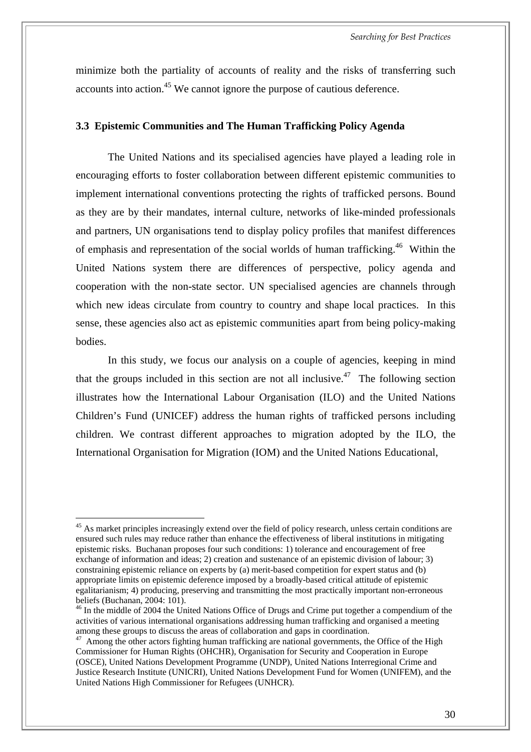minimize both the partiality of accounts of reality and the risks of transferring such accounts into action.<sup>45</sup> We cannot ignore the purpose of cautious deference.

#### **3.3 Epistemic Communities and The Human Trafficking Policy Agenda**

The United Nations and its specialised agencies have played a leading role in encouraging efforts to foster collaboration between different epistemic communities to implement international conventions protecting the rights of trafficked persons. Bound as they are by their mandates, internal culture, networks of like-minded professionals and partners, UN organisations tend to display policy profiles that manifest differences of emphasis and representation of the social worlds of human trafficking[.46](#page-37-1) Within the United Nations system there are differences of perspective, policy agenda and cooperation with the non-state sector. UN specialised agencies are channels through which new ideas circulate from country to country and shape local practices. In this sense, these agencies also act as epistemic communities apart from being policy-making bodies.

In this study, we focus our analysis on a couple of agencies, keeping in mind that the groups included in this section are not all inclusive.<sup>47</sup> The following section illustrates how the International Labour Organisation (ILO) and the United Nations Children's Fund (UNICEF) address the human rights of trafficked persons including children. We contrast different approaches to migration adopted by the ILO, the International Organisation for Migration (IOM) and the United Nations Educational,

<span id="page-37-0"></span><sup>&</sup>lt;sup>45</sup> As market principles increasingly extend over the field of policy research, unless certain conditions are ensured such rules may reduce rather than enhance the effectiveness of liberal institutions in mitigating epistemic risks. Buchanan proposes four such conditions: 1) tolerance and encouragement of free exchange of information and ideas; 2) creation and sustenance of an epistemic division of labour; 3) constraining epistemic reliance on experts by (a) merit-based competition for expert status and (b) appropriate limits on epistemic deference imposed by a broadly-based critical attitude of epistemic egalitarianism; 4) producing, preserving and transmitting the most practically important non-erroneous beliefs (Buchanan, 2004: 101).

<span id="page-37-1"></span><sup>&</sup>lt;sup>46</sup> In the middle of 2004 the United Nations Office of Drugs and Crime put together a compendium of the activities of various international organisations addressing human trafficking and organised a meeting among these groups to discuss the areas of collaboration and gaps in coordination.

<span id="page-37-2"></span><sup>&</sup>lt;sup>47</sup> Among the other actors fighting human trafficking are national governments, the Office of the High Commissioner for Human Rights (OHCHR), Organisation for Security and Cooperation in Europe (OSCE), United Nations Development Programme (UNDP), United Nations Interregional Crime and Justice Research Institute (UNICRI), United Nations Development Fund for Women (UNIFEM), and the United Nations High Commissioner for Refugees (UNHCR).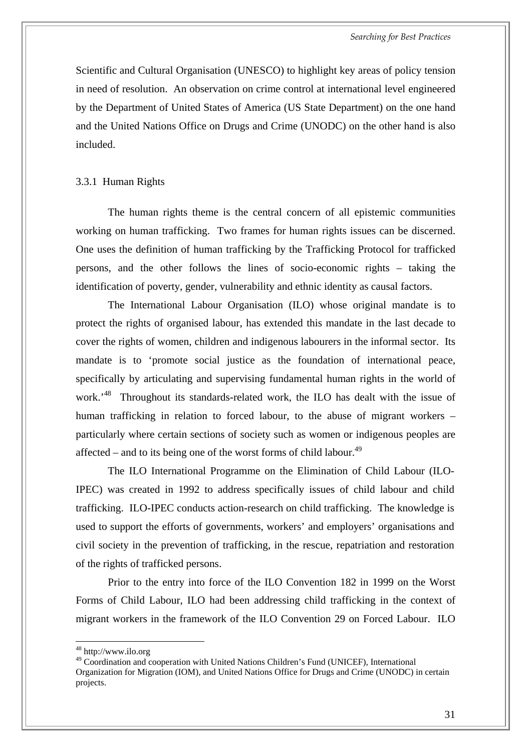Scientific and Cultural Organisation (UNESCO) to highlight key areas of policy tension in need of resolution. An observation on crime control at international level engineered by the Department of United States of America (US State Department) on the one hand and the United Nations Office on Drugs and Crime (UNODC) on the other hand is also included.

#### 3.3.1 Human Rights

The human rights theme is the central concern of all epistemic communities working on human trafficking. Two frames for human rights issues can be discerned. One uses the definition of human trafficking by the Trafficking Protocol for trafficked persons, and the other follows the lines of socio-economic rights – taking the identification of poverty, gender, vulnerability and ethnic identity as causal factors.

The International Labour Organisation (ILO) whose original mandate is to protect the rights of organised labour, has extended this mandate in the last decade to cover the rights of women, children and indigenous labourers in the informal sector. Its mandate is to 'promote social justice as the foundation of international peace, specifically by articulating and supervising fundamental human rights in the world of work.<sup>48</sup> Throughout its standards-related work, the ILO has dealt with the issue of human trafficking in relation to forced labour, to the abuse of migrant workers – particularly where certain sections of society such as women or indigenous peoples are affected – and to its being one of the worst forms of child labour.<sup>[49](#page-38-1)</sup>

The ILO International Programme on the Elimination of Child Labour (ILO-IPEC) was created in 1992 to address specifically issues of child labour and child trafficking. ILO-IPEC conducts action-research on child trafficking. The knowledge is used to support the efforts of governments, workers' and employers' organisations and civil society in the prevention of trafficking, in the rescue, repatriation and restoration of the rights of trafficked persons.

Prior to the entry into force of the ILO Convention 182 in 1999 on the Worst Forms of Child Labour, ILO had been addressing child trafficking in the context of migrant workers in the framework of the ILO Convention 29 on Forced Labour. ILO

<span id="page-38-0"></span><sup>48</sup> <http://www.ilo.org>

<span id="page-38-1"></span><sup>49</sup> Coordination and cooperation with United Nations Children's Fund (UNICEF), International Organization for Migration (IOM), and United Nations Office for Drugs and Crime (UNODC) in certain projects.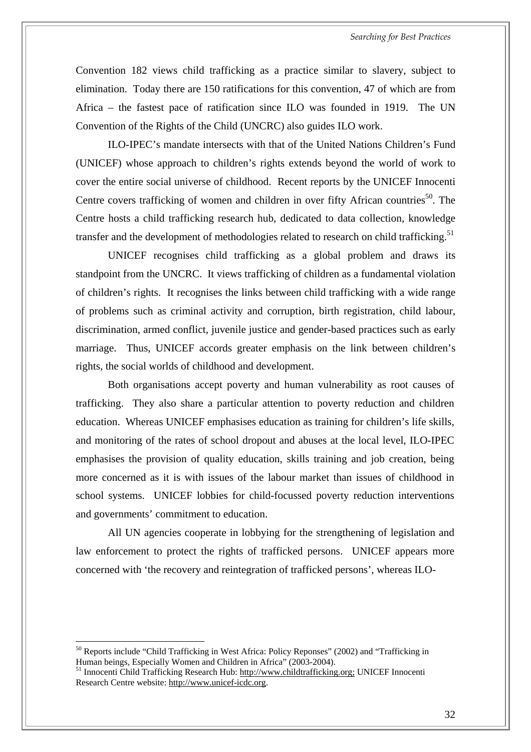Convention 182 views child trafficking as a practice similar to slavery, subject to elimination. Today there are 150 ratifications for this convention, 47 of which are from Africa – the fastest pace of ratification since ILO was founded in 1919. The UN Convention of the Rights of the Child (UNCRC) also guides ILO work.

ILO-IPEC's mandate intersects with that of the United Nations Children's Fund (UNICEF) whose approach to children's rights extends beyond the world of work to cover the entire social universe of childhood. Recent reports by the UNICEF Innocenti Centre covers trafficking of women and children in over fifty African countries<sup>50</sup>. The Centre hosts a child trafficking research hub, dedicated to data collection, knowledge transfer and the development of methodologies related to research on child trafficking.<sup>[51](#page-39-1)</sup>

UNICEF recognises child trafficking as a global problem and draws its standpoint from the UNCRC. It views trafficking of children as a fundamental violation of children's rights. It recognises the links between child trafficking with a wide range of problems such as criminal activity and corruption, birth registration, child labour, discrimination, armed conflict, juvenile justice and gender-based practices such as early marriage. Thus, UNICEF accords greater emphasis on the link between children's rights, the social worlds of childhood and development.

 Both organisations accept poverty and human vulnerability as root causes of trafficking. They also share a particular attention to poverty reduction and children education. Whereas UNICEF emphasises education as training for children's life skills, and monitoring of the rates of school dropout and abuses at the local level, ILO-IPEC emphasises the provision of quality education, skills training and job creation, being more concerned as it is with issues of the labour market than issues of childhood in school systems. UNICEF lobbies for child-focussed poverty reduction interventions and governments' commitment to education.

All UN agencies cooperate in lobbying for the strengthening of legislation and law enforcement to protect the rights of trafficked persons. UNICEF appears more concerned with 'the recovery and reintegration of trafficked persons', whereas ILO-

<span id="page-39-0"></span><sup>&</sup>lt;sup>50</sup> Reports include "Child Trafficking in West Africa: Policy Reponses" (2002) and "Trafficking in Human beings, Especially Women and Children in Africa" (2003-2004).<br><sup>51</sup> Innocenti Child Trafficking Research Hub: [http://www.childtrafficking.org;](http://www.childtrafficking.org) UNICEF Innocenti

<span id="page-39-1"></span>Research Centre website: [http://www.unicef-icdc.org.](http://www.unicef-icdc.org)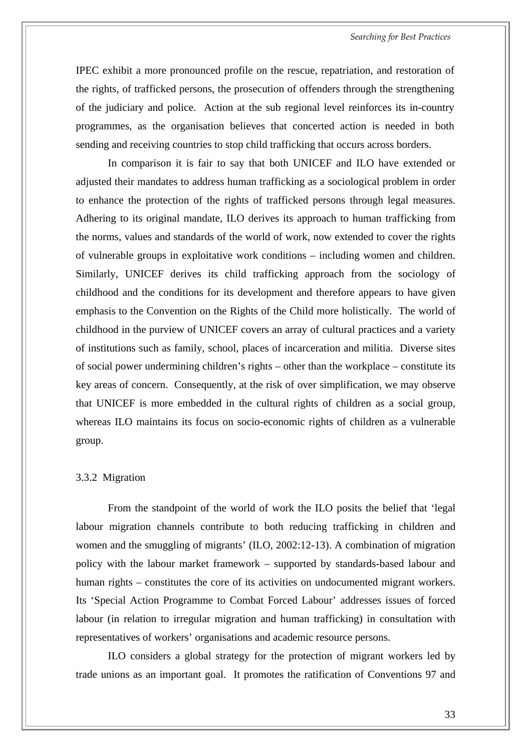*Searching for Best Practices* 

IPEC exhibit a more pronounced profile on the rescue, repatriation, and restoration of the rights, of trafficked persons, the prosecution of offenders through the strengthening of the judiciary and police. Action at the sub regional level reinforces its in-country programmes, as the organisation believes that concerted action is needed in both sending and receiving countries to stop child trafficking that occurs across borders.

In comparison it is fair to say that both UNICEF and ILO have extended or adjusted their mandates to address human trafficking as a sociological problem in order to enhance the protection of the rights of trafficked persons through legal measures. Adhering to its original mandate, ILO derives its approach to human trafficking from the norms, values and standards of the world of work, now extended to cover the rights of vulnerable groups in exploitative work conditions – including women and children. Similarly, UNICEF derives its child trafficking approach from the sociology of childhood and the conditions for its development and therefore appears to have given emphasis to the Convention on the Rights of the Child more holistically. The world of childhood in the purview of UNICEF covers an array of cultural practices and a variety of institutions such as family, school, places of incarceration and militia. Diverse sites of social power undermining children's rights – other than the workplace – constitute its key areas of concern. Consequently, at the risk of over simplification, we may observe that UNICEF is more embedded in the cultural rights of children as a social group, whereas ILO maintains its focus on socio-economic rights of children as a vulnerable group.

#### 3.3.2 Migration

From the standpoint of the world of work the ILO posits the belief that 'legal labour migration channels contribute to both reducing trafficking in children and women and the smuggling of migrants' (ILO, 2002:12-13). A combination of migration policy with the labour market framework – supported by standards-based labour and human rights – constitutes the core of its activities on undocumented migrant workers. Its 'Special Action Programme to Combat Forced Labour' addresses issues of forced labour (in relation to irregular migration and human trafficking) in consultation with representatives of workers' organisations and academic resource persons.

ILO considers a global strategy for the protection of migrant workers led by trade unions as an important goal. It promotes the ratification of Conventions 97 and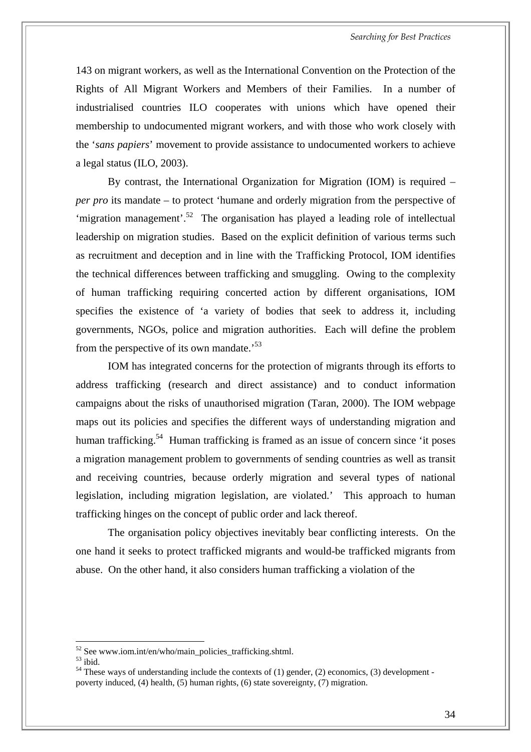143 on migrant workers, as well as the International Convention on the Protection of the Rights of All Migrant Workers and Members of their Families. In a number of industrialised countries ILO cooperates with unions which have opened their membership to undocumented migrant workers, and with those who work closely with the '*sans papiers*' movement to provide assistance to undocumented workers to achieve a legal status (ILO, 2003).

By contrast, the International Organization for Migration (IOM) is required – *per pro* its mandate – to protect 'humane and orderly migration from the perspective of 'migration management'.<sup>52</sup> The organisation has played a leading role of intellectual leadership on migration studies. Based on the explicit definition of various terms such as recruitment and deception and in line with the Trafficking Protocol, IOM identifies the technical differences between trafficking and smuggling. Owing to the complexity of human trafficking requiring concerted action by different organisations, IOM specifies the existence of 'a variety of bodies that seek to address it, including governments, NGOs, police and migration authorities. Each will define the problem from the perspective of its own mandate.<sup>53</sup>

IOM has integrated concerns for the protection of migrants through its efforts to address trafficking (research and direct assistance) and to conduct information campaigns about the risks of unauthorised migration (Taran, 2000). The IOM webpage maps out its policies and specifies the different ways of understanding migration and human trafficking.<sup>54</sup> Human trafficking is framed as an issue of concern since 'it poses a migration management problem to governments of sending countries as well as transit and receiving countries, because orderly migration and several types of national legislation, including migration legislation, are violated.' This approach to human trafficking hinges on the concept of public order and lack thereof.

The organisation policy objectives inevitably bear conflicting interests. On the one hand it seeks to protect trafficked migrants and would-be trafficked migrants from abuse. On the other hand, it also considers human trafficking a violation of the

<span id="page-41-0"></span>

<span id="page-41-2"></span><span id="page-41-1"></span>

<sup>&</sup>lt;sup>52</sup> See www.iom.int/en/who/main\_policies\_trafficking.shtml.<br><sup>53</sup> ibid.  $^{54}$  These wavs of understanding include the contexts of (1) gender, (2) economics, (3) development poverty induced, (4) health, (5) human rights, (6) state sovereignty, (7) migration.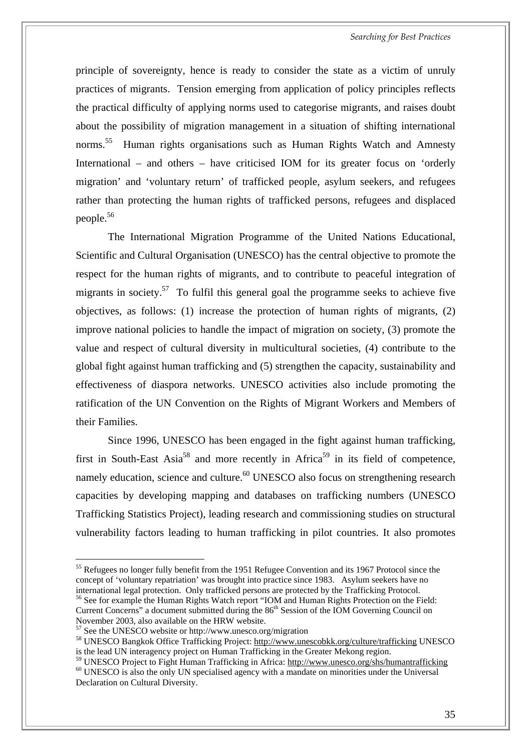*Searching for Best Practices* 

principle of sovereignty, hence is ready to consider the state as a victim of unruly practices of migrants. Tension emerging from application of policy principles reflects the practical difficulty of applying norms used to categorise migrants, and raises doubt about the possibility of migration management in a situation of shifting international norms.<sup>55</sup> Human rights organisations such as Human Rights Watch and Amnesty International – and others – have criticised IOM for its greater focus on 'orderly migration' and 'voluntary return' of trafficked people, asylum seekers, and refugees rather than protecting the human rights of trafficked persons, refugees and displaced people[.56](#page-42-1)

The International Migration Programme of the United Nations Educational, Scientific and Cultural Organisation (UNESCO) has the central objective to promote the respect for the human rights of migrants, and to contribute to peaceful integration of migrants in society.<sup>57</sup> To fulfil this general goal the programme seeks to achieve five objectives, as follows: (1) increase the protection of human rights of migrants, (2) improve national policies to handle the impact of migration on society, (3) promote the value and respect of cultural diversity in multicultural societies, (4) contribute to the global fight against human trafficking and (5) strengthen the capacity, sustainability and effectiveness of diaspora networks. UNESCO activities also include promoting the ratification of the UN Convention on the Rights of Migrant Workers and Members of their Families.

Since 1996, UNESCO has been engaged in the fight against human trafficking, first in South-East Asia<sup>58</sup> and more recently in Africa<sup>59</sup> in its field of competence, namely education, science and culture.<sup>60</sup> UNESCO also focus on strengthening research capacities by developing mapping and databases on trafficking numbers (UNESCO Trafficking Statistics Project), leading research and commissioning studies on structural vulnerability factors leading to human trafficking in pilot countries. It also promotes

<span id="page-42-2"></span>

<span id="page-42-0"></span><sup>&</sup>lt;sup>55</sup> Refugees no longer fully benefit from the 1951 Refugee Convention and its 1967 Protocol since the concept of 'voluntary repatriation' was brought into practice since 1983. Asylum seekers have no international legal protection. Only trafficked persons are protected by the Trafficking Protocol.<br><sup>56</sup> See for example the Human Rights Watch report "IOM and Human Rights Protection on the Field: Current Concerns" a document submitted during the 86<sup>th</sup> Session of the IOM Governing Council on

<span id="page-42-1"></span>November 2003, also available on the HRW website.<br><sup>57</sup> See the UNESCO website or http://www.unesco.org/migration

<span id="page-42-3"></span><sup>&</sup>lt;sup>58</sup> UNESCO Bangkok Office Trafficking Project: <http://www.unescobkk.org/culture/trafficking> UNESCO is the lead UN interagency project on Human Trafficking in the Greater Mekong region.<br><sup>59</sup> UNESCO Project to Fight Human Trafficking in Africa: http://www.unesco.org/shs/humantrafficking

<span id="page-42-5"></span><span id="page-42-4"></span> $60$  UNESCO is also the only UN specialised agency with a mandate on minorities under the Universal Declaration on Cultural Diversity.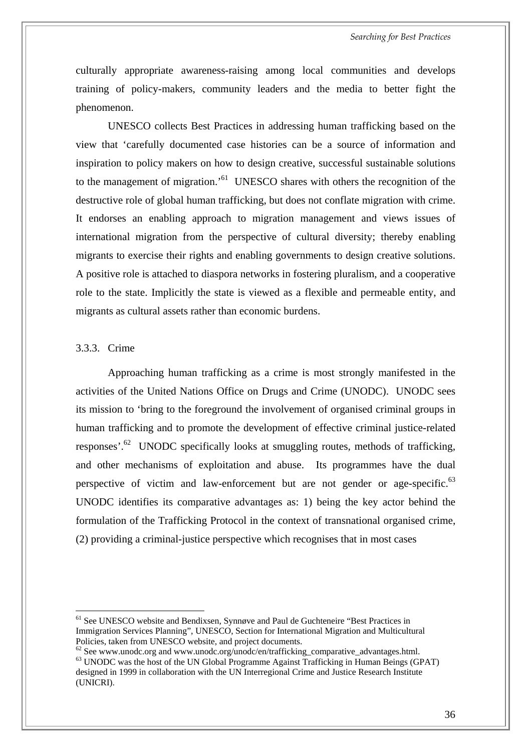culturally appropriate awareness-raising among local communities and develops training of policy-makers, community leaders and the media to better fight the phenomenon.

UNESCO collects Best Practices in addressing human trafficking based on the view that 'carefully documented case histories can be a source of information and inspiration to policy makers on how to design creative, successful sustainable solutions to the management of migration.['61](#page-43-0) UNESCO shares with others the recognition of the destructive role of global human trafficking, but does not conflate migration with crime. It endorses an enabling approach to migration management and views issues of international migration from the perspective of cultural diversity; thereby enabling migrants to exercise their rights and enabling governments to design creative solutions. A positive role is attached to diaspora networks in fostering pluralism, and a cooperative role to the state. Implicitly the state is viewed as a flexible and permeable entity, and migrants as cultural assets rather than economic burdens.

#### 3.3.3. Crime

 $\overline{a}$ 

Approaching human trafficking as a crime is most strongly manifested in the activities of the United Nations Office on Drugs and Crime (UNODC). UNODC sees its mission to 'bring to the foreground the involvement of organised criminal groups in human trafficking and to promote the development of effective criminal justice-related responses'[.62](#page-43-1)UNODC specifically looks at smuggling routes, methods of trafficking, and other mechanisms of exploitation and abuse. Its programmes have the dual perspective of victim and law-enforcement but are not gender or age-specific.<sup>63</sup> UNODC identifies its comparative advantages as: 1) being the key actor behind the formulation of the Trafficking Protocol in the context of transnational organised crime, (2) providing a criminal-justice perspective which recognises that in most cases

<span id="page-43-0"></span><sup>&</sup>lt;sup>61</sup> See UNESCO website and Bendixsen, Synnøve and Paul de Guchteneire "Best Practices in Immigration Services Planning", UNESCO, Section for International Migration and Multicultural Policies, taken from UNESCO website, and project documents.<br>
<sup>62</sup> See www.unodc.org and www.unodc.org/unodc/en/trafficking\_comparative\_advantages.html.

<span id="page-43-2"></span><span id="page-43-1"></span> $63$  UNODC was the host of the UN Global Programme Against Trafficking in Human Beings (GPAT) designed in 1999 in collaboration with the UN Interregional Crime and Justice Research Institute (UNICRI).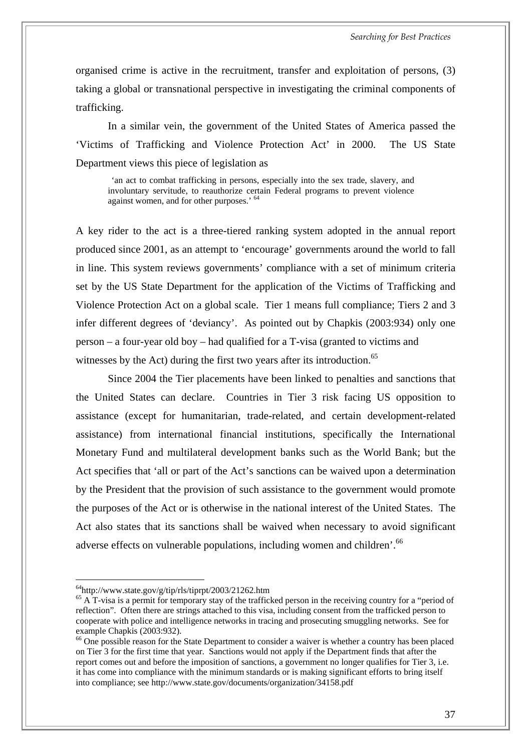organised crime is active in the recruitment, transfer and exploitation of persons, (3) taking a global or transnational perspective in investigating the criminal components of trafficking.

In a similar vein, the government of the United States of America passed the 'Victims of Trafficking and Violence Protection Act' in 2000. The US State Department views this piece of legislation as

'an act to combat trafficking in persons, especially into the sex trade, slavery, and involuntary servitude, to reauthorize certain Federal programs to prevent violence against women, and for other purposes.' [64](#page-44-0)

A key rider to the act is a three-tiered ranking system adopted in the annual report produced since 2001, as an attempt to 'encourage' governments around the world to fall in line. This system reviews governments' compliance with a set of minimum criteria set by the US State Department for the application of the Victims of Trafficking and Violence Protection Act on a global scale. Tier 1 means full compliance; Tiers 2 and 3 infer different degrees of 'deviancy'. As pointed out by Chapkis (2003:934) only one person – a four-year old boy – had qualified for a T-visa (granted to victims and witnesses by the Act) during the first two years after its introduction.<sup>65</sup>

Since 2004 the Tier placements have been linked to penalties and sanctions that the United States can declare. Countries in Tier 3 risk facing US opposition to assistance (except for humanitarian, trade-related, and certain development-related assistance) from international financial institutions, specifically the International Monetary Fund and multilateral development banks such as the World Bank; but the Act specifies that 'all or part of the Act's sanctions can be waived upon a determination by the President that the provision of such assistance to the government would promote the purposes of the Act or is otherwise in the national interest of the United States. The Act also states that its sanctions shall be waived when necessary to avoid significant adverse effects on vulnerable populations, including women and children'.  $66$ 

<span id="page-44-1"></span>

<span id="page-44-0"></span><sup>&</sup>lt;sup>64</sup>http://www.state.gov/g/tip/rls/tiprpt/2003/21262.htm<br><sup>65</sup> A T-visa is a permit for temporary stay of the trafficked person in the receiving country for a "period of reflection". Often there are strings attached to this visa, including consent from the trafficked person to cooperate with police and intelligence networks in tracing and prosecuting smuggling networks. See for example Chapkis (2003:932).

<span id="page-44-2"></span> $66$  One possible reason for the State Department to consider a waiver is whether a country has been placed on Tier 3 for the first time that year. Sanctions would not apply if the Department finds that after the report comes out and before the imposition of sanctions, a government no longer qualifies for Tier 3, i.e. it has come into compliance with the minimum standards or is making significant efforts to bring itself into compliance; see <http://www.state.gov/documents/organization/34158.pdf>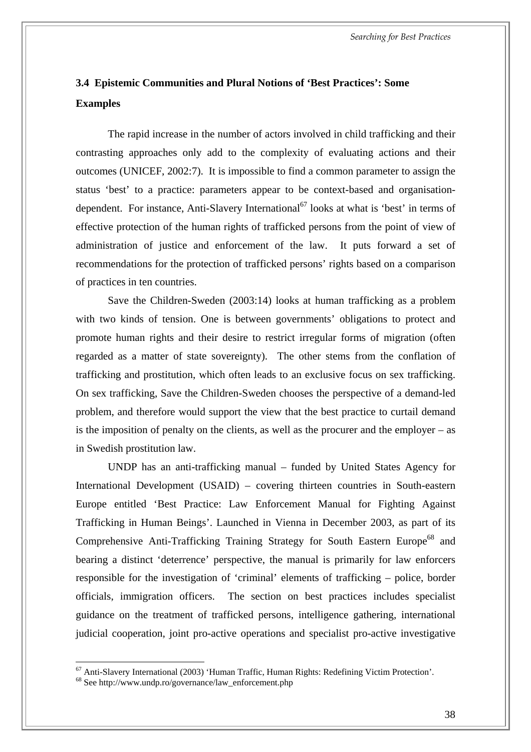*Searching for Best Practices* 

### **3.4 Epistemic Communities and Plural Notions of 'Best Practices': Some Examples**

The rapid increase in the number of actors involved in child trafficking and their contrasting approaches only add to the complexity of evaluating actions and their outcomes (UNICEF, 2002:7). It is impossible to find a common parameter to assign the status 'best' to a practice: parameters appear to [be](#page-45-0) context-based and organisationdependent. For instance, Anti-Slavery International<sup>67</sup> looks at what is 'best' in terms of effective protection of the human rights of trafficked persons from the point of view of administration of justice and enforcement of the law. It puts forward a set of recommendations for the protection of trafficked persons' rights based on a comparison of practices in ten countries.

Save the Children-Sweden (2003:14) looks at human trafficking as a problem with two kinds of tension. One is between governments' obligations to protect and promote human rights and their desire to restrict irregular forms of migration (often regarded as a matter of state sovereignty). The other stems from the conflation of trafficking and prostitution, which often leads to an exclusive focus on sex trafficking. On sex trafficking, Save the Children-Sweden chooses the perspective of a demand-led problem, and therefore would support the view that the best practice to curtail demand is the imposition of penalty on the clients, as well as the procurer and the employer – as in Swedish prostitution law.

UNDP has an anti-trafficking manual – funded by United States Agency for International Development (USAID) – covering thirteen countries in South-eastern Europe entitled 'Best Practice: Law Enforcement Manual for Fighting Against Trafficking in Human Beings'. Launched in Vienna in December 2003, as par[t o](#page-45-1)f its Comprehensive Anti-Trafficking Training Strategy for South Eastern Europe<sup>68</sup> and bearing a distinct 'deterrence' perspective, the manual is primarily for law enforcers responsible for the investigation of 'criminal' elements of trafficking – police, border officials, immigration officers. The section on best practices includes specialist guidance on the treatment of trafficked persons, intelligence gathering, international judicial cooperation, joint pro-active operations and specialist pro-active investigative

<span id="page-45-0"></span><sup>&</sup>lt;sup>67</sup> Anti-Slavery International (2003) 'Human Traffic, Human Rights: Redefining Victim Protection'.<br><sup>68</sup> See [http://www.undp.ro/governance/law\\_enforcement.php](http://www.undp.ro/governance/law_enforcement.php)

<span id="page-45-1"></span>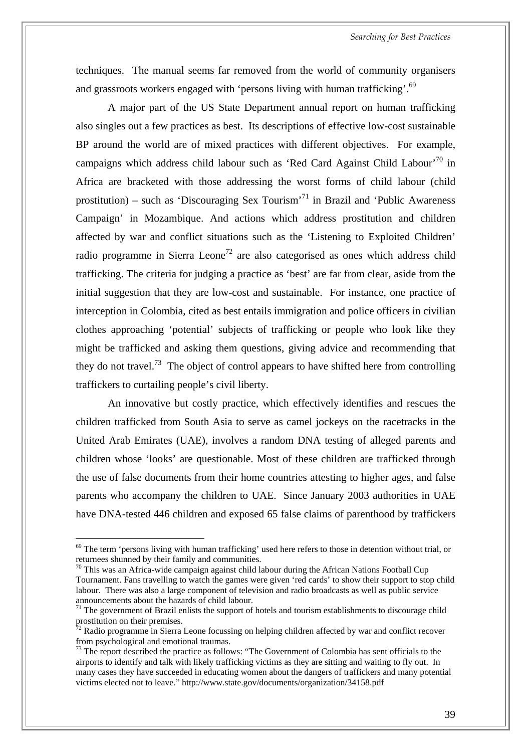techniques. The manual seems far removed from the world of community organisers and grassroots workers engaged with 'persons living with human trafficking'.<sup>69</sup>

A major part of the US State Department annual report on human trafficking also singles out a few practices as best. Its descriptions of effective low-cost sustainable BP around the world are of mixed practices with different objectives. For example, campaigns which address child labour such as 'Red Card Against Child Labour'<sup>70</sup> in Africa are bracketed with those addressing the worst forms of child labour (child prostitution) – such as 'Discouraging Sex Tourism'<sup>71</sup> in Brazil and 'Public Awareness' Campaign' in Mozambique. And actions which address prostitution and children affected by war and conflict situations such as the 'Listening to Exploited Children' radio programme in Sierra Leone<sup>72</sup> are also categorised as ones which address child trafficking. The criteria for judging a practice as 'best' are far from clear, aside from the initial suggestion that they are low-cost and sustainable. For instance, one practice of interception in Colombia, cited as best entails immigration and police officers in civilian clothes approaching 'potential' subjects of trafficking or people who look like they might be trafficked and asking them questions, giving advice and recommending that they do not travel.<sup>73</sup> The object of control appears to have shifted here from controlling traffickers to curtailing people's civil liberty.

An innovative but costly practice, which effectively identifies and rescues the children trafficked from South Asia to serve as camel jockeys on the racetracks in the United Arab Emirates (UAE), involves a random DNA testing of alleged parents and children whose 'looks' are questionable. Most of these children are trafficked through the use of false documents from their home countries attesting to higher ages, and false parents who accompany the children to UAE. Since January 2003 authorities in UAE have DNA-tested 446 children and exposed 65 false claims of parenthood by traffickers

<span id="page-46-0"></span> $69$  The term 'persons living with human trafficking' used here refers to those in detention without trial, or returnees shunned by their family and communities.

<span id="page-46-1"></span> $70$  This was an Africa-wide campaign against child labour during the African Nations Football Cup Tournament. Fans travelling to watch the games were given 'red cards' to show their support to stop child labour. There was also a large component of television and radio broadcasts as well as public service

<span id="page-46-2"></span><sup>&</sup>lt;sup>71</sup> The government of Brazil enlists the support of hotels and tourism establishments to discourage child prostitution on their premises.

<span id="page-46-3"></span> $\frac{72}{72}$  Radio programme in Sierra Leone focussing on helping children affected by war and conflict recover from psychological and emotional traumas.

<span id="page-46-4"></span><sup>&</sup>lt;sup>73</sup> The report described the practice as follows: "The Government of Colombia has sent officials to the airports to identify and talk with likely trafficking victims as they are sitting and waiting to fly out. In many cases they have succeeded in educating women about the dangers of traffickers and many potential victims elected not to leave." <http://www.state.gov/documents/organization/34158.pdf>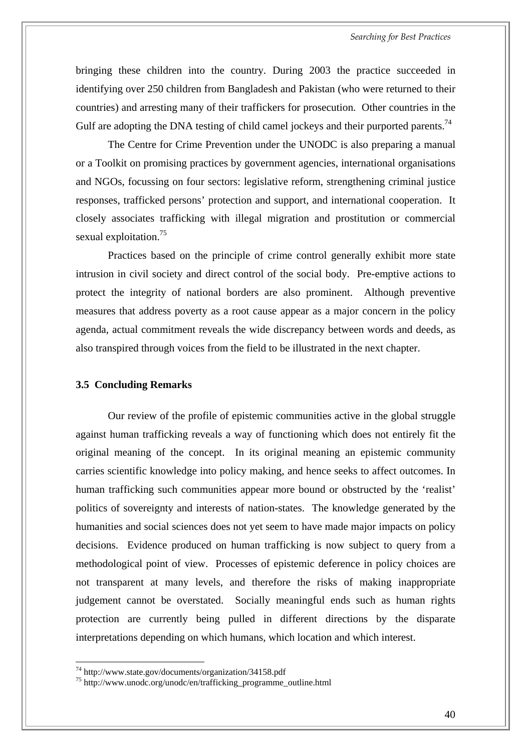bringing these children into the country. During 2003 the practice succeeded in identifying over 250 children from Bangladesh and Pakistan (who were returned to their countries) and arresting many of their traffickers for prosecution. Other countries in the Gulf are adopting the DNA testing of child camel jockeys and their purported parents.<sup>74</sup>

The Centre for Crime Prevention under the UNODC is also preparing a manual or a Toolkit on promising practices by government agencies, international organisations and NGOs, focussing on four sectors: legislative reform, strengthening criminal justice responses, trafficked persons' protection and support, and international cooperation. It closely associates trafficking with illegal migration and prostitution or commercial sexual exploitation.<sup>75</sup>

Practices based on the principle of crime control generally exhibit more state intrusion in civil society and direct control of the social body. Pre-emptive actions to protect the integrity of national borders are also prominent. Although preventive measures that address poverty as a root cause appear as a major concern in the policy agenda, actual commitment reveals the wide discrepancy between words and deeds, as also transpired through voices from the field to be illustrated in the next chapter.

#### **3.5 Concluding Remarks**

Our review of the profile of epistemic communities active in the global struggle against human trafficking reveals a way of functioning which does not entirely fit the original meaning of the concept. In its original meaning an epistemic community carries scientific knowledge into policy making, and hence seeks to affect outcomes. In human trafficking such communities appear more bound or obstructed by the 'realist' politics of sovereignty and interests of nation-states. The knowledge generated by the humanities and social sciences does not yet seem to have made major impacts on policy decisions. Evidence produced on human trafficking is now subject to query from a methodological point of view. Processes of epistemic deference in policy choices are not transparent at many levels, and therefore the risks of making inappropriate judgement cannot be overstated. Socially meaningful ends such as human rights protection are currently being pulled in different directions by the disparate interpretations depending on which humans, which location and which interest.

<span id="page-47-0"></span> $^{74}$  http://www.state.gov/documents/organization/34158.pdf

<span id="page-47-1"></span><sup>&</sup>lt;sup>75</sup> [http://www.unodc.org/unodc/en/trafficking\\_programme\\_outline.html](http://www.unodc.org/unodc/en/trafficking_programme_outline.html)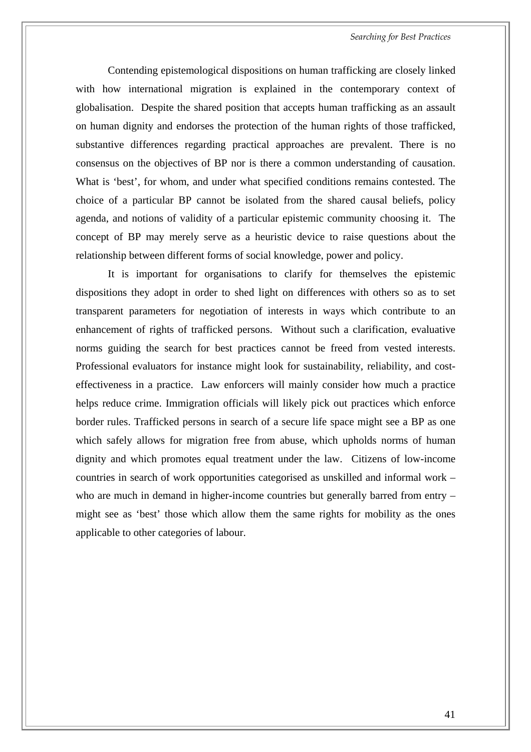Contending epistemological dispositions on human trafficking are closely linked with how international migration is explained in the contemporary context of globalisation. Despite the shared position that accepts human trafficking as an assault on human dignity and endorses the protection of the human rights of those trafficked, substantive differences regarding practical approaches are prevalent. There is no consensus on the objectives of BP nor is there a common understanding of causation. What is 'best', for whom, and under what specified conditions remains contested. The choice of a particular BP cannot be isolated from the shared causal beliefs, policy agenda, and notions of validity of a particular epistemic community choosing it. The concept of BP may merely serve as a heuristic device to raise questions about the relationship between different forms of social knowledge, power and policy.

It is important for organisations to clarify for themselves the epistemic dispositions they adopt in order to shed light on differences with others so as to set transparent parameters for negotiation of interests in ways which contribute to an enhancement of rights of trafficked persons. Without such a clarification, evaluative norms guiding the search for best practices cannot be freed from vested interests. Professional evaluators for instance might look for sustainability, reliability, and costeffectiveness in a practice. Law enforcers will mainly consider how much a practice helps reduce crime. Immigration officials will likely pick out practices which enforce border rules. Trafficked persons in search of a secure life space might see a BP as one which safely allows for migration free from abuse, which upholds norms of human dignity and which promotes equal treatment under the law. Citizens of low-income countries in search of work opportunities categorised as unskilled and informal work – who are much in demand in higher-income countries but generally barred from entry – might see as 'best' those which allow them the same rights for mobility as the ones applicable to other categories of labour.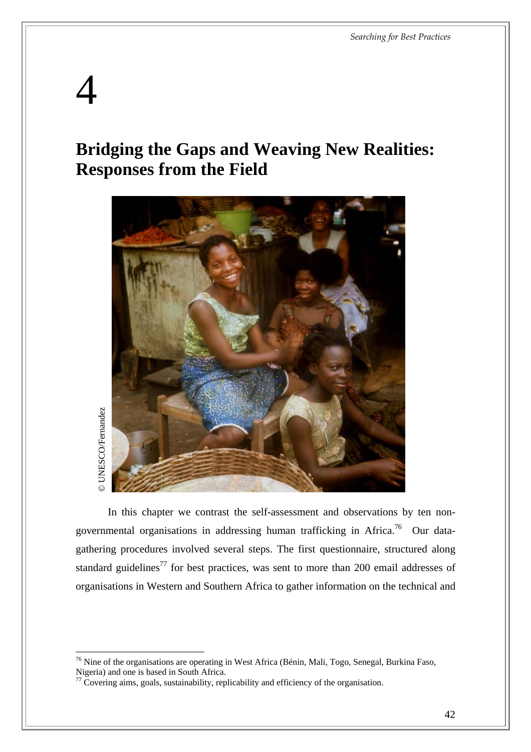# 4

 $\overline{a}$ 

## **Bridging the Gaps and Weaving New Realities: Responses from the Field**



In this chapter we contrast the self-assessment and observations by ten nongovernmental organisations in addressing human trafficking in Africa[.76](#page-49-0) Our datagathering procedures involved several steps. The first questionnaire, structured along standard guidelines<sup>77</sup> for best practices, was sent to more than 200 email addresses of organisations in Western and Southern Africa to gather information on the technical and

<span id="page-49-0"></span> $^{76}$  Nine of the organisations are operating in West Africa (Bénin, Mali, Togo, Senegal, Burkina Faso, Nigeria) and one is based in South Africa.<br><sup>77</sup> Covering aims, goals, sustainability, replicability and efficiency of the organisation.

<span id="page-49-1"></span>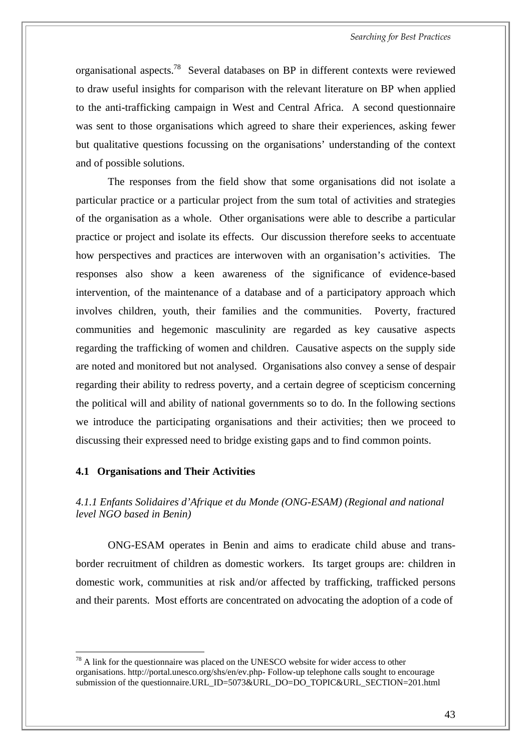organisational aspects[.78](#page-50-0) Several databases on BP in different contexts were reviewed to draw useful insights for comparison with the relevant literature on BP when applied to the anti-trafficking campaign in West and Central Africa. A second questionnaire was sent to those organisations which agreed to share their experiences, asking fewer but qualitative questions focussing on the organisations' understanding of the context and of possible solutions.

The responses from the field show that some organisations did not isolate a particular practice or a particular project from the sum total of activities and strategies of the organisation as a whole. Other organisations were able to describe a particular practice or project and isolate its effects. Our discussion therefore seeks to accentuate how perspectives and practices are interwoven with an organisation's activities. The responses also show a keen awareness of the significance of evidence-based intervention, of the maintenance of a database and of a participatory approach which involves children, youth, their families and the communities. Poverty, fractured communities and hegemonic masculinity are regarded as key causative aspects regarding the trafficking of women and children. Causative aspects on the supply side are noted and monitored but not analysed. Organisations also convey a sense of despair regarding their ability to redress poverty, and a certain degree of scepticism concerning the political will and ability of national governments so to do. In the following sections we introduce the participating organisations and their activities; then we proceed to discussing their expressed need to bridge existing gaps and to find common points.

#### **4.1 Organisations and Their Activities**

 $\overline{a}$ 

*4.1.1 Enfants Solidaires d'Afrique et du Monde (ONG-ESAM) (Regional and national level NGO based in Benin)*

ONG-ESAM operates in Benin and aims to eradicate child abuse and transborder recruitment of children as domestic workers. Its target groups are: children in domestic work, communities at risk and/or affected by trafficking, trafficked persons and their parents. Most efforts are concentrated on advocating the adoption of a code of

<span id="page-50-0"></span> $^{78}$  A link for the questionnaire was placed on the UNESCO website for wider access to other organisations.<http://portal.unesco.org/shs/en/ev.php-> Follow-up telephone calls sought to encourage submission of the questionnaire.URL\_ID=5073&URL\_DO=DO\_TOPIC&URL\_SECTION=201.html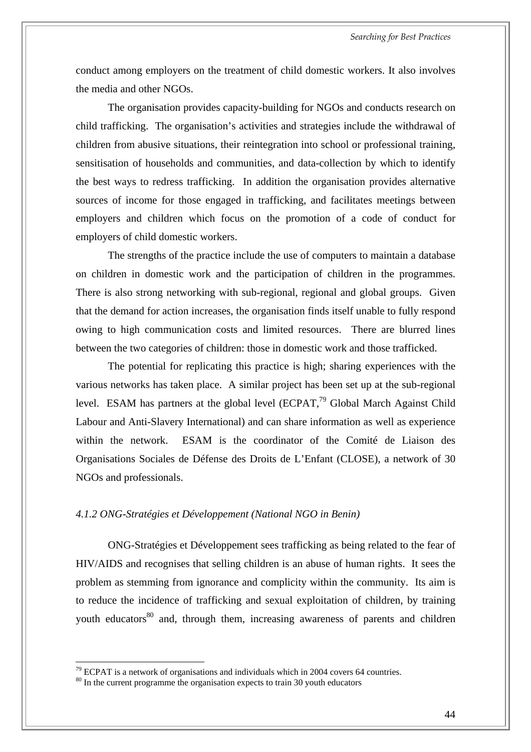conduct among employers on the treatment of child domestic workers. It also involves the media and other NGOs.

The organisation provides capacity-building for NGOs and conducts research on child trafficking. The organisation's activities and strategies include the withdrawal of children from abusive situations, their reintegration into school or professional training, sensitisation of households and communities, and data-collection by which to identify the best ways to redress trafficking. In addition the organisation provides alternative sources of income for those engaged in trafficking, and facilitates meetings between employers and children which focus on the promotion of a code of conduct for employers of child domestic workers.

The strengths of the practice include the use of computers to maintain a database on children in domestic work and the participation of children in the programmes. There is also strong networking with sub-regional, regional and global groups. Given that the demand for action increases, the organisation finds itself unable to fully respond owing to high communication costs and limited resources. There are blurred lines between the two categories of children: those in domestic work and those trafficked.

The potential for replicating this practice is high; sharing experiences with the various networks has taken place. A similar project has been set up at the sub-regional level. ESAM has partners at the global level (ECPAT, $^{79}$  Global March Against Child Labour and Anti-Slavery International) and can share information as well as experience within the network. ESAM is the coordinator of the Comité de Liaison des Organisations Sociales de Défense des Droits de L'Enfant (CLOSE), a network of 30 NGOs and professionals.

#### *4.1.2 ONG-Stratégies et Développement (National NGO in Benin)*

ONG-Stratégies et Développement sees trafficking as being related to the fear of HIV/AIDS and recognises that selling children is an abuse of human rights. It sees the problem as stemming from ignorance and complicity within the community. Its aim is to reduce the incidence of trafficking and sexual exploitation of children, by training youth educators<sup>80</sup> and, through them, increasing awareness of parents and children

<span id="page-51-0"></span> $79$  ECPAT is a network of organisations and individuals which in 2004 covers 64 countries.

<span id="page-51-1"></span> $80$  In the current programme the organisation expects to train 30 youth educators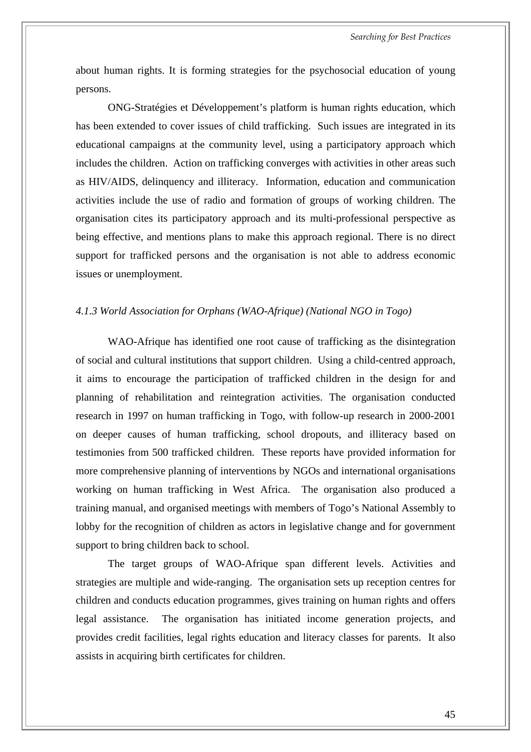about human rights. It is forming strategies for the psychosocial education of young persons.

ONG-Stratégies et Développement's platform is human rights education, which has been extended to cover issues of child trafficking. Such issues are integrated in its educational campaigns at the community level, using a participatory approach which includes the children. Action on trafficking converges with activities in other areas such as HIV/AIDS, delinquency and illiteracy. Information, education and communication activities include the use of radio and formation of groups of working children. The organisation cites its participatory approach and its multi-professional perspective as being effective, and mentions plans to make this approach regional. There is no direct support for trafficked persons and the organisation is not able to address economic issues or unemployment.

#### *4.1.3 World Association for Orphans (WAO-Afrique) (National NGO in Togo)*

WAO-Afrique has identified one root cause of trafficking as the disintegration of social and cultural institutions that support children. Using a child-centred approach, it aims to encourage the participation of trafficked children in the design for and planning of rehabilitation and reintegration activities. The organisation conducted research in 1997 on human trafficking in Togo, with follow-up research in 2000-2001 on deeper causes of human trafficking, school dropouts, and illiteracy based on testimonies from 500 trafficked children. These reports have provided information for more comprehensive planning of interventions by NGOs and international organisations working on human trafficking in West Africa. The organisation also produced a training manual, and organised meetings with members of Togo's National Assembly to lobby for the recognition of children as actors in legislative change and for government support to bring children back to school.

The target groups of WAO-Afrique span different levels. Activities and strategies are multiple and wide-ranging. The organisation sets up reception centres for children and conducts education programmes, gives training on human rights and offers legal assistance. The organisation has initiated income generation projects, and provides credit facilities, legal rights education and literacy classes for parents. It also assists in acquiring birth certificates for children.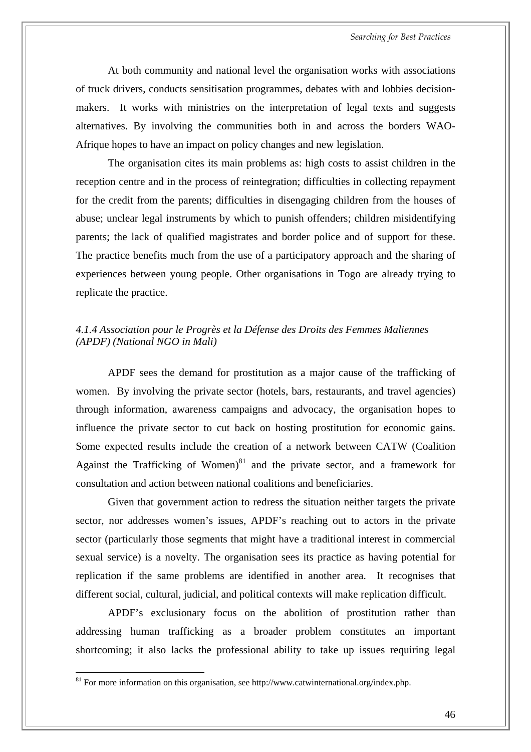At both community and national level the organisation works with associations of truck drivers, conducts sensitisation programmes, debates with and lobbies decisionmakers. It works with ministries on the interpretation of legal texts and suggests alternatives. By involving the communities both in and across the borders WAO-Afrique hopes to have an impact on policy changes and new legislation.

The organisation cites its main problems as: high costs to assist children in the reception centre and in the process of reintegration; difficulties in collecting repayment for the credit from the parents; difficulties in disengaging children from the houses of abuse; unclear legal instruments by which to punish offenders; children misidentifying parents; the lack of qualified magistrates and border police and of support for these. The practice benefits much from the use of a participatory approach and the sharing of experiences between young people. Other organisations in Togo are already trying to replicate the practice.

#### *4.1.4 Association pour le Progrès et la Défense des Droits des Femmes Maliennes (APDF) (National NGO in Mali)*

APDF sees the demand for prostitution as a major cause of the trafficking of women. By involving the private sector (hotels, bars, restaurants, and travel agencies) through information, awareness campaigns and advocacy, the organisation hopes to influence the private sector to cut back on hosting prostitution for economic gains. Some expected results include the creation of a network between CATW (Coalition Against the Trafficking of Women) $81$  and the private sector, and a framework for consultation and action between national coalitions and beneficiaries.

Given that government action to redress the situation neither targets the private sector, nor addresses women's issues, APDF's reaching out to actors in the private sector (particularly those segments that might have a traditional interest in commercial sexual service) is a novelty. The organisation sees its practice as having potential for replication if the same problems are identified in another area. It recognises that different social, cultural, judicial, and political contexts will make replication difficult.

APDF's exclusionary focus on the abolition of prostitution rather than addressing human trafficking as a broader problem constitutes an important shortcoming; it also lacks the professional ability to take up issues requiring legal

<span id="page-53-0"></span><sup>&</sup>lt;sup>81</sup> For more information on this organisation, see<http://www.catwinternational.org/index.php.>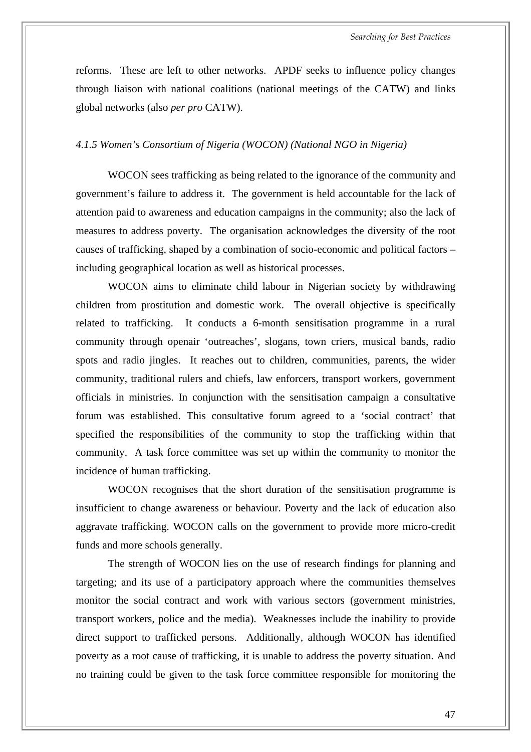reforms. These are left to other networks. APDF seeks to influence policy changes through liaison with national coalitions (national meetings of the CATW) and links global networks (also *per pro* CATW).

#### *4.1.5 Women's Consortium of Nigeria (WOCON) (National NGO in Nigeria)*

WOCON sees trafficking as being related to the ignorance of the community and government's failure to address it. The government is held accountable for the lack of attention paid to awareness and education campaigns in the community; also the lack of measures to address poverty. The organisation acknowledges the diversity of the root causes of trafficking, shaped by a combination of socio-economic and political factors – including geographical location as well as historical processes.

WOCON aims to eliminate child labour in Nigerian society by withdrawing children from prostitution and domestic work. The overall objective is specifically related to trafficking. It conducts a 6-month sensitisation programme in a rural community through openair 'outreaches', slogans, town criers, musical bands, radio spots and radio jingles. It reaches out to children, communities, parents, the wider community, traditional rulers and chiefs, law enforcers, transport workers, government officials in ministries. In conjunction with the sensitisation campaign a consultative forum was established. This consultative forum agreed to a 'social contract' that specified the responsibilities of the community to stop the trafficking within that community. A task force committee was set up within the community to monitor the incidence of human trafficking.

WOCON recognises that the short duration of the sensitisation programme is insufficient to change awareness or behaviour. Poverty and the lack of education also aggravate trafficking. WOCON calls on the government to provide more micro-credit funds and more schools generally.

The strength of WOCON lies on the use of research findings for planning and targeting; and its use of a participatory approach where the communities themselves monitor the social contract and work with various sectors (government ministries, transport workers, police and the media). Weaknesses include the inability to provide direct support to trafficked persons. Additionally, although WOCON has identified poverty as a root cause of trafficking, it is unable to address the poverty situation. And no training could be given to the task force committee responsible for monitoring the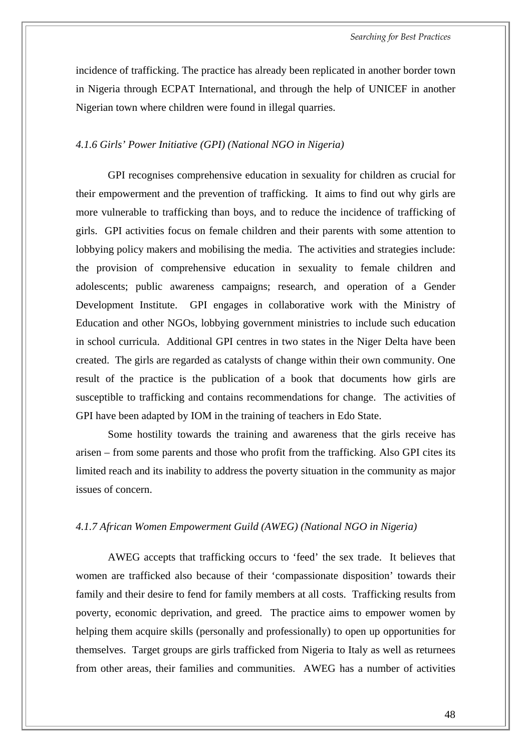incidence of trafficking. The practice has already been replicated in another border town in Nigeria through ECPAT International, and through the help of UNICEF in another Nigerian town where children were found in illegal quarries.

#### *4.1.6 Girls' Power Initiative (GPI) (National NGO in Nigeria)*

GPI recognises comprehensive education in sexuality for children as crucial for their empowerment and the prevention of trafficking. It aims to find out why girls are more vulnerable to trafficking than boys, and to reduce the incidence of trafficking of girls. GPI activities focus on female children and their parents with some attention to lobbying policy makers and mobilising the media. The activities and strategies include: the provision of comprehensive education in sexuality to female children and adolescents; public awareness campaigns; research, and operation of a Gender Development Institute. GPI engages in collaborative work with the Ministry of Education and other NGOs, lobbying government ministries to include such education in school curricula. Additional GPI centres in two states in the Niger Delta have been created. The girls are regarded as catalysts of change within their own community. One result of the practice is the publication of a book that documents how girls are susceptible to trafficking and contains recommendations for change. The activities of GPI have been adapted by IOM in the training of teachers in Edo State.

Some hostility towards the training and awareness that the girls receive has arisen – from some parents and those who profit from the trafficking. Also GPI cites its limited reach and its inability to address the poverty situation in the community as major issues of concern.

#### *4.1.7 African Women Empowerment Guild (AWEG) (National NGO in Nigeria)*

AWEG accepts that trafficking occurs to 'feed' the sex trade. It believes that women are trafficked also because of their 'compassionate disposition' towards their family and their desire to fend for family members at all costs. Trafficking results from poverty, economic deprivation, and greed. The practice aims to empower women by helping them acquire skills (personally and professionally) to open up opportunities for themselves. Target groups are girls trafficked from Nigeria to Italy as well as returnees from other areas, their families and communities. AWEG has a number of activities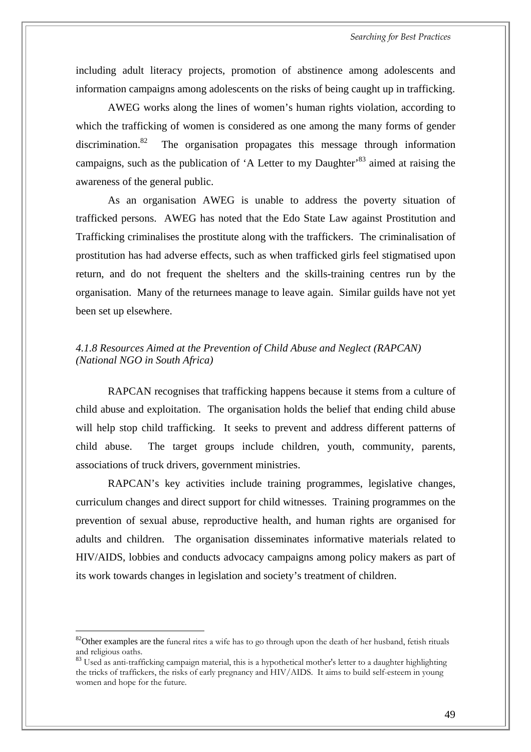including adult literacy projects, promotion of abstinence among adolescents and information campaigns among adolescents on the risks of being caught up in trafficking.

AWEG works along the lines of women's human rights violation, according to which the trafficking of women is considered as one among the many forms of gender discrimination.<sup>82</sup> The organisation propagates this message through information campaigns, such as the publication of  $A$  Letter to my Daughter<sup>83</sup> aimed at raising the awareness of the general public.

As an organisation AWEG is unable to address the poverty situation of trafficked persons. AWEG has noted that the Edo State Law against Prostitution and Trafficking criminalises the prostitute along with the traffickers. The criminalisation of prostitution has had adverse effects, such as when trafficked girls feel stigmatised upon return, and do not frequent the shelters and the skills-training centres run by the organisation. Many of the returnees manage to leave again. Similar guilds have not yet been set up elsewhere.

#### *4.1.8 Resources Aimed at the Prevention of Child Abuse and Neglect (RAPCAN) (National NGO in South Africa)*

RAPCAN recognises that trafficking happens because it stems from a culture of child abuse and exploitation. The organisation holds the belief that ending child abuse will help stop child trafficking. It seeks to prevent and address different patterns of child abuse. The target groups include children, youth, community, parents, associations of truck drivers, government ministries.

RAPCAN's key activities include training programmes, legislative changes, curriculum changes and direct support for child witnesses. Training programmes on the prevention of sexual abuse, reproductive health, and human rights are organised for adults and children. The organisation disseminates informative materials related to HIV/AIDS, lobbies and conducts advocacy campaigns among policy makers as part of its work towards changes in legislation and society's treatment of children.

<span id="page-56-0"></span><sup>&</sup>lt;sup>82</sup>Other examples are the funeral rites a wife has to go through upon the death of her husband, fetish rituals and religious oaths.

<span id="page-56-1"></span><sup>83</sup> Used as anti-trafficking campaign material, this is a hypothetical mother's letter to a daughter highlighting the tricks of traffickers, the risks of early pregnancy and HIV/AIDS. It aims to build self-esteem in young women and hope for the future.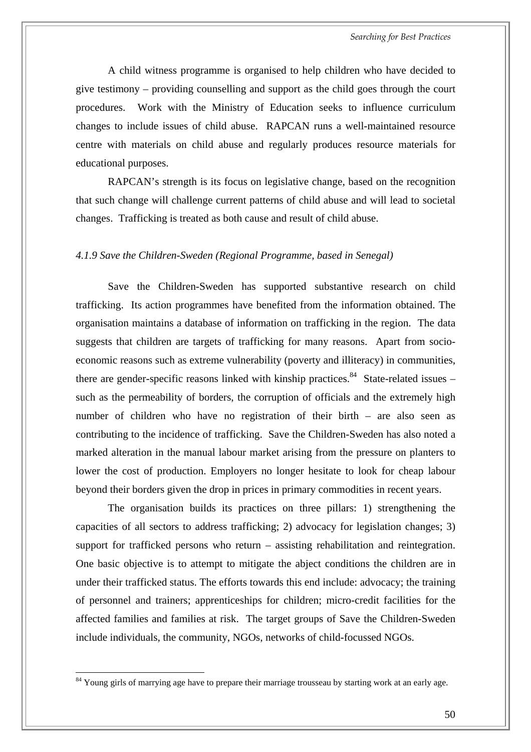A child witness programme is organised to help children who have decided to give testimony – providing counselling and support as the child goes through the court procedures. Work with the Ministry of Education seeks to influence curriculum changes to include issues of child abuse. RAPCAN runs a well-maintained resource centre with materials on child abuse and regularly produces resource materials for educational purposes.

RAPCAN's strength is its focus on legislative change, based on the recognition that such change will challenge current patterns of child abuse and will lead to societal changes. Trafficking is treated as both cause and result of child abuse.

#### *4.1.9 Save the Children-Sweden (Regional Programme, based in Senegal)*

Save the Children-Sweden has supported substantive research on child trafficking. Its action programmes have benefited from the information obtained. The organisation maintains a database of information on trafficking in the region. The data suggests that children are targets of trafficking for many reasons. Apart from socioeconomic reasons such as extreme vulnerability (poverty and illiteracy) in communities, there are gender-specific reasons linked with kinship practices.<sup>84</sup> State-related issues – such as the permeability of borders, the corruption of officials and the extremely high number of children who have no registration of their birth – are also seen as contributing to the incidence of trafficking. Save the Children-Sweden has also noted a marked alteration in the manual labour market arising from the pressure on planters to lower the cost of production. Employers no longer hesitate to look for cheap labour beyond their borders given the drop in prices in primary commodities in recent years.

The organisation builds its practices on three pillars: 1) strengthening the capacities of all sectors to address trafficking; 2) advocacy for legislation changes; 3) support for trafficked persons who return – assisting rehabilitation and reintegration. One basic objective is to attempt to mitigate the abject conditions the children are in under their trafficked status. The efforts towards this end include: advocacy; the training of personnel and trainers; apprenticeships for children; micro-credit facilities for the affected families and families at risk. The target groups of Save the Children-Sweden include individuals, the community, NGOs, networks of child-focussed NGOs.

<span id="page-57-0"></span><sup>&</sup>lt;sup>84</sup> Young girls of marrying age have to prepare their marriage trousseau by starting work at an early age.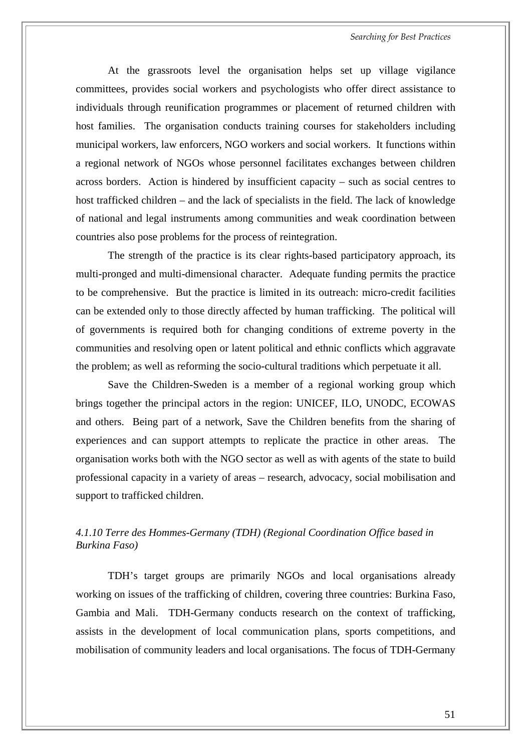*Searching for Best Practices* 

At the grassroots level the organisation helps set up village vigilance committees, provides social workers and psychologists who offer direct assistance to individuals through reunification programmes or placement of returned children with host families. The organisation conducts training courses for stakeholders including municipal workers, law enforcers, NGO workers and social workers. It functions within a regional network of NGOs whose personnel facilitates exchanges between children across borders. Action is hindered by insufficient capacity – such as social centres to host trafficked children – and the lack of specialists in the field. The lack of knowledge of national and legal instruments among communities and weak coordination between countries also pose problems for the process of reintegration.

The strength of the practice is its clear rights-based participatory approach, its multi-pronged and multi-dimensional character. Adequate funding permits the practice to be comprehensive. But the practice is limited in its outreach: micro-credit facilities can be extended only to those directly affected by human trafficking. The political will of governments is required both for changing conditions of extreme poverty in the communities and resolving open or latent political and ethnic conflicts which aggravate the problem; as well as reforming the socio-cultural traditions which perpetuate it all.

Save the Children-Sweden is a member of a regional working group which brings together the principal actors in the region: UNICEF, ILO, UNODC, ECOWAS and others. Being part of a network, Save the Children benefits from the sharing of experiences and can support attempts to replicate the practice in other areas. The organisation works both with the NGO sector as well as with agents of the state to build professional capacity in a variety of areas – research, advocacy, social mobilisation and support to trafficked children.

#### *4.1.10 Terre des Hommes-Germany (TDH) (Regional Coordination Office based in Burkina Faso)*

TDH's target groups are primarily NGOs and local organisations already working on issues of the trafficking of children, covering three countries: Burkina Faso, Gambia and Mali. TDH-Germany conducts research on the context of trafficking, assists in the development of local communication plans, sports competitions, and mobilisation of community leaders and local organisations. The focus of TDH-Germany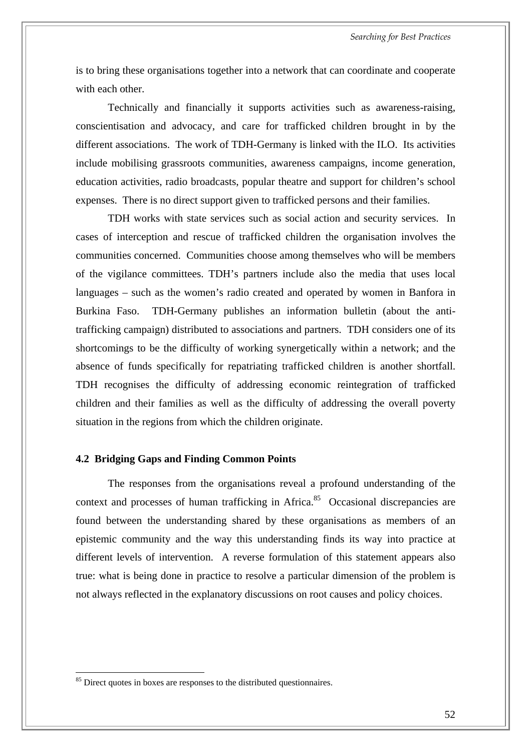is to bring these organisations together into a network that can coordinate and cooperate with each other.

Technically and financially it supports activities such as awareness-raising, conscientisation and advocacy, and care for trafficked children brought in by the different associations. The work of TDH-Germany is linked with the ILO. Its activities include mobilising grassroots communities, awareness campaigns, income generation, education activities, radio broadcasts, popular theatre and support for children's school expenses. There is no direct support given to trafficked persons and their families.

TDH works with state services such as social action and security services. In cases of interception and rescue of trafficked children the organisation involves the communities concerned. Communities choose among themselves who will be members of the vigilance committees. TDH's partners include also the media that uses local languages – such as the women's radio created and operated by women in Banfora in Burkina Faso. TDH-Germany publishes an information bulletin (about the antitrafficking campaign) distributed to associations and partners. TDH considers one of its shortcomings to be the difficulty of working synergetically within a network; and the absence of funds specifically for repatriating trafficked children is another shortfall. TDH recognises the difficulty of addressing economic reintegration of trafficked children and their families as well as the difficulty of addressing the overall poverty situation in the regions from which the children originate.

#### **4.2 Bridging Gaps and Finding Common Points**

The responses from the organisations reveal a profound understanding of the context and processes of human trafficking in Africa.<sup>85</sup> Occasional discrepancies are found between the understanding shared by these organisations as members of an epistemic community and the way this understanding finds its way into practice at different levels of intervention. A reverse formulation of this statement appears also true: what is being done in practice to resolve a particular dimension of the problem is not always reflected in the explanatory discussions on root causes and policy choices.

<span id="page-59-0"></span> $85$  Direct quotes in boxes are responses to the distributed questionnaires.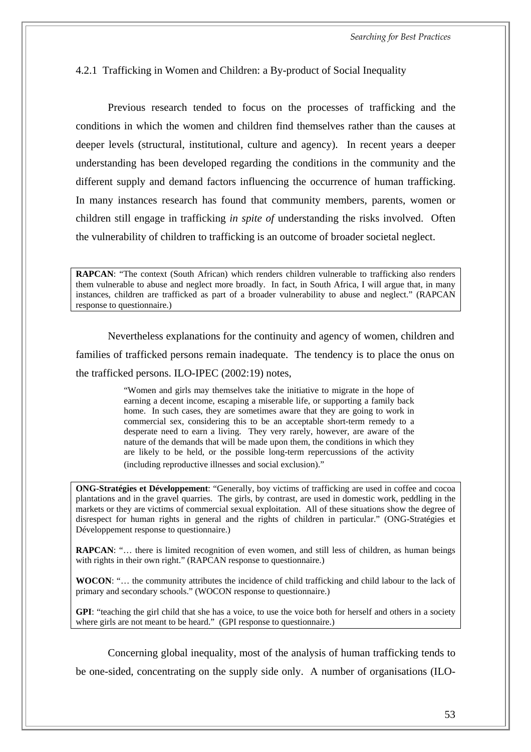#### 4.2.1 Trafficking in Women and Children: a By-product of Social Inequality

Previous research tended to focus on the processes of trafficking and the conditions in which the women and children find themselves rather than the causes at deeper levels (structural, institutional, culture and agency). In recent years a deeper understanding has been developed regarding the conditions in the community and the different supply and demand factors influencing the occurrence of human trafficking. In many instances research has found that community members, parents, women or children still engage in trafficking *in spite of* understanding the risks involved. Often the vulnerability of children to trafficking is an outcome of broader societal neglect.

**RAPCAN**: "The context (South African) which renders children vulnerable to trafficking also renders them vulnerable to abuse and neglect more broadly. In fact, in South Africa, I will argue that, in many instances, children are trafficked as part of a broader vulnerability to abuse and neglect." (RAPCAN response to questionnaire.)

Nevertheless explanations for the continuity and agency of women, children and families of trafficked persons remain inadequate. The tendency is to place the onus on the trafficked persons. ILO-IPEC (2002:19) notes,

> "Women and girls may themselves take the initiative to migrate in the hope of earning a decent income, escaping a miserable life, or supporting a family back home. In such cases, they are sometimes aware that they are going to work in commercial sex, considering this to be an acceptable short-term remedy to a desperate need to earn a living. They very rarely, however, are aware of the nature of the demands that will be made upon them, the conditions in which they are likely to be held, or the possible long-term repercussions of the activity (including reproductive illnesses and social exclusion)."

**ONG-Stratégies et Développement**: "Generally, boy victims of trafficking are used in coffee and cocoa plantations and in the gravel quarries. The girls, by contrast, are used in domestic work, peddling in the markets or they are victims of commercial sexual exploitation. All of these situations show the degree of disrespect for human rights in general and the rights of children in particular." (ONG-Stratégies et Développement response to questionnaire.)

**RAPCAN**: "... there is limited recognition of even women, and still less of children, as human beings with rights in their own right." (RAPCAN response to questionnaire.)

**WOCON**: "… the community attributes the incidence of child trafficking and child labour to the lack of primary and secondary schools." (WOCON response to questionnaire.)

**GPI**: "teaching the girl child that she has a voice, to use the voice both for herself and others in a society where girls are not meant to be heard." (GPI response to questionnaire.)

Concerning global inequality, most of the analysis of human trafficking tends to be one-sided, concentrating on the supply side only. A number of organisations (ILO-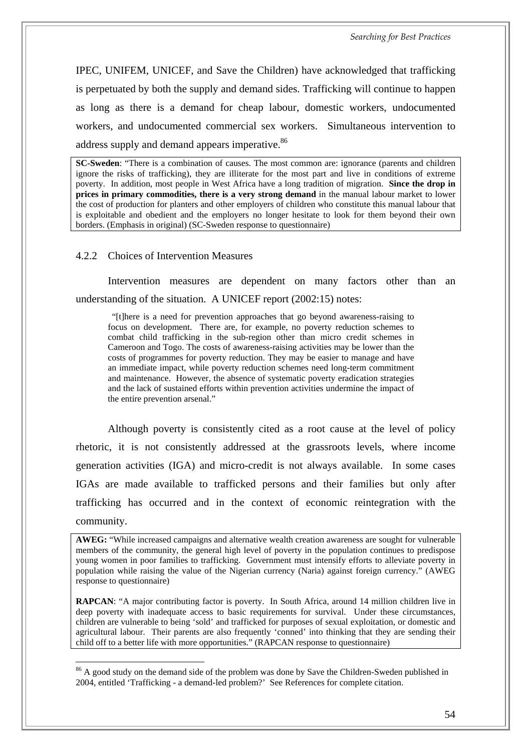IPEC, UNIFEM, UNICEF, and Save the Children) have acknowledged that trafficking is perpetuated by both the supply and demand sides. Trafficking will continue to happen as long as there is a demand for cheap labour, domestic workers, undocumented workers, and undocumented commercial sex workers. Simultaneous intervention to address supply and demand appears imperative.<sup>86</sup>

**SC-Sweden**: "There is a combination of causes. The most common are: ignorance (parents and children ignore the risks of trafficking), they are illiterate for the most part and live in conditions of extreme poverty. In addition, most people in West Africa have a long tradition of migration. **Since the drop in prices in primary commodities, there is a very strong demand** in the manual labour market to lower the cost of production for planters and other employers of children who constitute this manual labour that is exploitable and obedient and the employers no longer hesitate to look for them beyond their own borders. (Emphasis in original) (SC-Sweden response to questionnaire)

4.2.2 Choices of Intervention Measures

 $\overline{a}$ 

Intervention measures are dependent on many factors other than an understanding of the situation. A UNICEF report (2002:15) notes:

"[t]here is a need for prevention approaches that go beyond awareness-raising to focus on development. There are, for example, no poverty reduction schemes to combat child trafficking in the sub-region other than micro credit schemes in Cameroon and Togo. The costs of awareness-raising activities may be lower than the costs of programmes for poverty reduction. They may be easier to manage and have an immediate impact, while poverty reduction schemes need long-term commitment and maintenance. However, the absence of systematic poverty eradication strategies and the lack of sustained efforts within prevention activities undermine the impact of the entire prevention arsenal."

Although poverty is consistently cited as a root cause at the level of policy rhetoric, it is not consistently addressed at the grassroots levels, where income generation activities (IGA) and micro-credit is not always available. In some cases IGAs are made available to trafficked persons and their families but only after trafficking has occurred and in the context of economic reintegration with the community.

**AWEG:** "While increased campaigns and alternative wealth creation awareness are sought for vulnerable members of the community, the general high level of poverty in the population continues to predispose young women in poor families to trafficking. Government must intensify efforts to alleviate poverty in population while raising the value of the Nigerian currency (Naria) against foreign currency." (AWEG response to questionnaire)

**RAPCAN**: "A major contributing factor is poverty. In South Africa, around 14 million children live in deep poverty with inadequate access to basic requirements for survival. Under these circumstances, children are vulnerable to being 'sold' and trafficked for purposes of sexual exploitation, or domestic and agricultural labour. Their parents are also frequently 'conned' into thinking that they are sending their child off to a better life with more opportunities." (RAPCAN response to questionnaire)

<span id="page-61-0"></span><sup>&</sup>lt;sup>86</sup> A good study on the demand side of the problem was done by Save the Children-Sweden published in 2004, entitled 'Trafficking - a demand-led problem?' See References for complete citation.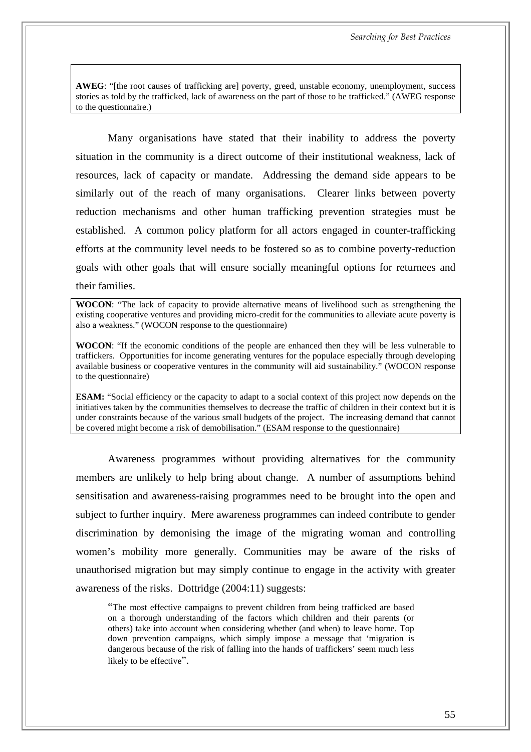**AWEG**: "[the root causes of trafficking are] poverty, greed, unstable economy, unemployment, success stories as told by the trafficked, lack of awareness on the part of those to be trafficked." (AWEG response to the questionnaire.)

Many organisations have stated that their inability to address the poverty situation in the community is a direct outcome of their institutional weakness, lack of resources, lack of capacity or mandate. Addressing the demand side appears to be similarly out of the reach of many organisations. Clearer links between poverty reduction mechanisms and other human trafficking prevention strategies must be established. A common policy platform for all actors engaged in counter-trafficking efforts at the community level needs to be fostered so as to combine poverty-reduction goals with other goals that will ensure socially meaningful options for returnees and their families.

**WOCON**: "The lack of capacity to provide alternative means of livelihood such as strengthening the existing cooperative ventures and providing micro-credit for the communities to alleviate acute poverty is also a weakness." (WOCON response to the questionnaire)

**WOCON**: "If the economic conditions of the people are enhanced then they will be less vulnerable to traffickers. Opportunities for income generating ventures for the populace especially through developing available business or cooperative ventures in the community will aid sustainability." (WOCON response to the questionnaire)

**ESAM:** "Social efficiency or the capacity to adapt to a social context of this project now depends on the initiatives taken by the communities themselves to decrease the traffic of children in their context but it is under constraints because of the various small budgets of the project. The increasing demand that cannot be covered might become a risk of demobilisation." (ESAM response to the questionnaire)

Awareness programmes without providing alternatives for the community members are unlikely to help bring about change. A number of assumptions behind sensitisation and awareness-raising programmes need to be brought into the open and subject to further inquiry. Mere awareness programmes can indeed contribute to gender discrimination by demonising the image of the migrating woman and controlling women's mobility more generally. Communities may be aware of the risks of unauthorised migration but may simply continue to engage in the activity with greater awareness of the risks. Dottridge (2004:11) suggests:

"The most effective campaigns to prevent children from being trafficked are based on a thorough understanding of the factors which children and their parents (or others) take into account when considering whether (and when) to leave home. Top down prevention campaigns, which simply impose a message that 'migration is dangerous because of the risk of falling into the hands of traffickers' seem much less likely to be effective".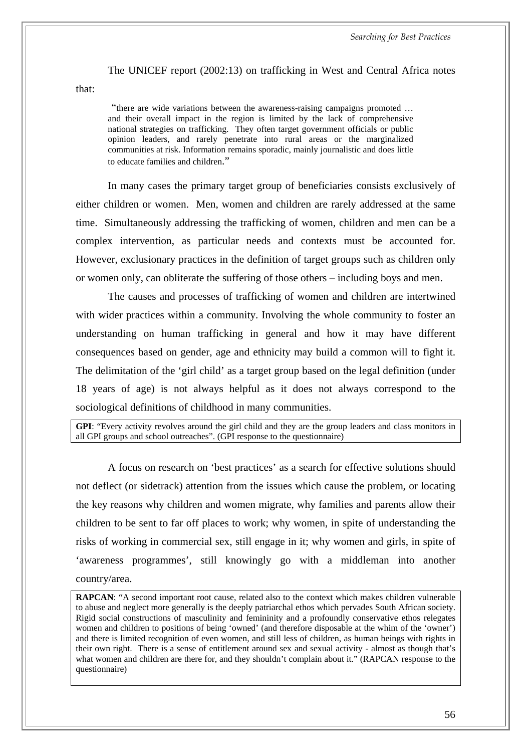*Searching for Best Practices* 

The UNICEF report (2002:13) on trafficking in West and Central Africa notes

that:

 "there are wide variations between the awareness-raising campaigns promoted … and their overall impact in the region is limited by the lack of comprehensive national strategies on trafficking. They often target government officials or public opinion leaders, and rarely penetrate into rural areas or the marginalized communities at risk. Information remains sporadic, mainly journalistic and does little to educate families and children."

In many cases the primary target group of beneficiaries consists exclusively of either children or women. Men, women and children are rarely addressed at the same time. Simultaneously addressing the trafficking of women, children and men can be a complex intervention, as particular needs and contexts must be accounted for. However, exclusionary practices in the definition of target groups such as children only or women only, can obliterate the suffering of those others – including boys and men.

The causes and processes of trafficking of women and children are intertwined with wider practices within a community. Involving the whole community to foster an understanding on human trafficking in general and how it may have different consequences based on gender, age and ethnicity may build a common will to fight it. The delimitation of the 'girl child' as a target group based on the legal definition (under 18 years of age) is not always helpful as it does not always correspond to the sociological definitions of childhood in many communities.

**GPI**: "Every activity revolves around the girl child and they are the group leaders and class monitors in all GPI groups and school outreaches". (GPI response to the questionnaire)

A focus on research on 'best practices' as a search for effective solutions should not deflect (or sidetrack) attention from the issues which cause the problem, or locating the key reasons why children and women migrate, why families and parents allow their children to be sent to far off places to work; why women, in spite of understanding the risks of working in commercial sex, still engage in it; why women and girls, in spite of 'awareness programmes', still knowingly go with a middleman into another country/area.

**RAPCAN**: "A second important root cause, related also to the context which makes children vulnerable to abuse and neglect more generally is the deeply patriarchal ethos which pervades South African society. Rigid social constructions of masculinity and femininity and a profoundly conservative ethos relegates women and children to positions of being 'owned' (and therefore disposable at the whim of the 'owner') and there is limited recognition of even women, and still less of children, as human beings with rights in their own right. There is a sense of entitlement around sex and sexual activity - almost as though that's what women and children are there for, and they shouldn't complain about it." (RAPCAN response to the questionnaire)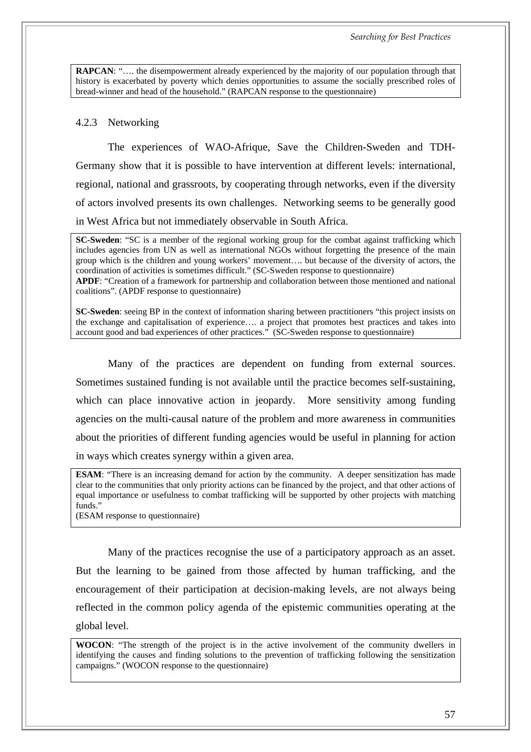**RAPCAN:** ".... the disempowerment already experienced by the majority of our population through that history is exacerbated by poverty which denies opportunities to assume the socially prescribed roles of bread-winner and head of the household." (RAPCAN response to the questionnaire)

#### 4.2.3 Networking

The experiences of WAO-Afrique, Save the Children-Sweden and TDH-Germany show that it is possible to have intervention at different levels: international, regional, national and grassroots, by cooperating through networks, even if the diversity of actors involved presents its own challenges. Networking seems to be generally good in West Africa but not immediately observable in South Africa.

**SC-Sweden**: "SC is a member of the regional working group for the combat against trafficking which includes agencies from UN as well as international NGOs without forgetting the presence of the main group which is the children and young workers' movement…. but because of the diversity of actors, the coordination of activities is sometimes difficult." (SC-Sweden response to questionnaire) **APDF**: "Creation of a framework for partnership and collaboration between those mentioned and national coalitions". (APDF response to questionnaire)

**SC-Sweden**: seeing BP in the context of information sharing between practitioners "this project insists on the exchange and capitalisation of experience…. a project that promotes best practices and takes into account good and bad experiences of other practices." (SC-Sweden response to questionnaire)

Many of the practices are dependent on funding from external sources. Sometimes sustained funding is not available until the practice becomes self-sustaining, which can place innovative action in jeopardy. More sensitivity among funding agencies on the multi-causal nature of the problem and more awareness in communities about the priorities of different funding agencies would be useful in planning for action in ways which creates synergy within a given area.

**ESAM:** "There is an increasing demand for action by the community. A deeper sensitization has made clear to the communities that only priority actions can be financed by the project, and that other actions of equal importance or usefulness to combat trafficking will be supported by other projects with matching funds."

(ESAM response to questionnaire)

Many of the practices recognise the use of a participatory approach as an asset. But the learning to be gained from those affected by human trafficking, and the encouragement of their participation at decision-making levels, are not always being reflected in the common policy agenda of the epistemic communities operating at the global level.

**WOCON**: "The strength of the project is in the active involvement of the community dwellers in identifying the causes and finding solutions to the prevention of trafficking following the sensitization campaigns." (WOCON response to the questionnaire)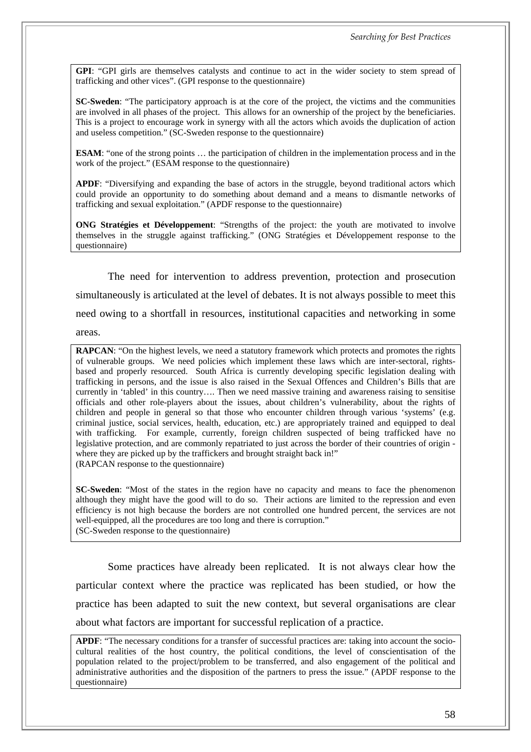**GPI**: "GPI girls are themselves catalysts and continue to act in the wider society to stem spread of trafficking and other vices". (GPI response to the questionnaire)

**SC-Sweden**: "The participatory approach is at the core of the project, the victims and the communities are involved in all phases of the project. This allows for an ownership of the project by the beneficiaries. This is a project to encourage work in synergy with all the actors which avoids the duplication of action and useless competition." (SC-Sweden response to the questionnaire)

**ESAM**: "one of the strong points … the participation of children in the implementation process and in the work of the project." (ESAM response to the questionnaire)

**APDF**: "Diversifying and expanding the base of actors in the struggle, beyond traditional actors which could provide an opportunity to do something about demand and a means to dismantle networks of trafficking and sexual exploitation." (APDF response to the questionnaire)

**ONG Stratégies et Développement**: "Strengths of the project: the youth are motivated to involve themselves in the struggle against trafficking." (ONG Stratégies et Développement response to the questionnaire)

The need for intervention to address prevention, protection and prosecution simultaneously is articulated at the level of debates. It is not always possible to meet this need owing to a shortfall in resources, institutional capacities and networking in some areas.

**RAPCAN:** "On the highest levels, we need a statutory framework which protects and promotes the rights of vulnerable groups. We need policies which implement these laws which are inter-sectoral, rightsbased and properly resourced. South Africa is currently developing specific legislation dealing with trafficking in persons, and the issue is also raised in the Sexual Offences and Children's Bills that are currently in 'tabled' in this country…. Then we need massive training and awareness raising to sensitise officials and other role-players about the issues, about children's vulnerability, about the rights of children and people in general so that those who encounter children through various 'systems' (e.g. criminal justice, social services, health, education, etc.) are appropriately trained and equipped to deal with trafficking. For example, currently, foreign children suspected of being trafficked have no legislative protection, and are commonly repatriated to just across the border of their countries of origin where they are picked up by the traffickers and brought straight back in!" (RAPCAN response to the questionnaire)

**SC-Sweden**: "Most of the states in the region have no capacity and means to face the phenomenon although they might have the good will to do so. Their actions are limited to the repression and even efficiency is not high because the borders are not controlled one hundred percent, the services are not well-equipped, all the procedures are too long and there is corruption." (SC-Sweden response to the questionnaire)

Some practices have already been replicated. It is not always clear how the particular context where the practice was replicated has been studied, or how the practice has been adapted to suit the new context, but several organisations are clear about what factors are important for successful replication of a practice.

**APDF**: "The necessary conditions for a transfer of successful practices are: taking into account the sociocultural realities of the host country, the political conditions, the level of conscientisation of the population related to the project/problem to be transferred, and also engagement of the political and administrative authorities and the disposition of the partners to press the issue." (APDF response to the questionnaire)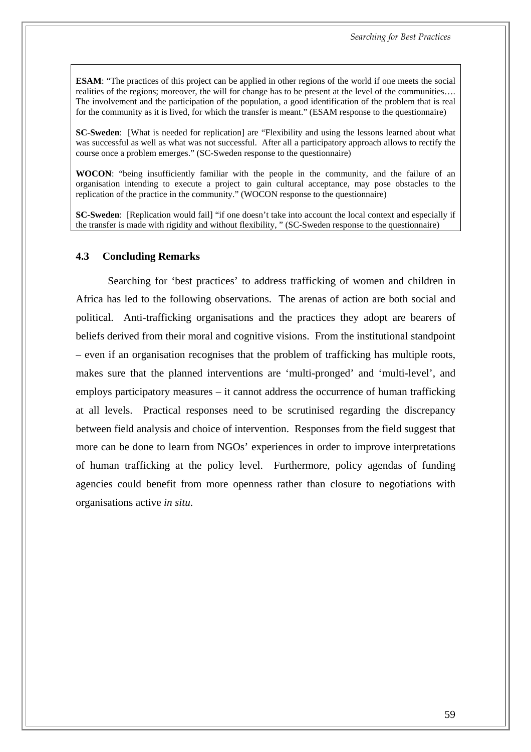**ESAM**: "The practices of this project can be applied in other regions of the world if one meets the social realities of the regions; moreover, the will for change has to be present at the level of the communities…. The involvement and the participation of the population, a good identification of the problem that is real for the community as it is lived, for which the transfer is meant." (ESAM response to the questionnaire)

**SC-Sweden**: [What is needed for replication] are "Flexibility and using the lessons learned about what was successful as well as what was not successful. After all a participatory approach allows to rectify the course once a problem emerges." (SC-Sweden response to the questionnaire)

**WOCON**: "being insufficiently familiar with the people in the community, and the failure of an organisation intending to execute a project to gain cultural acceptance, may pose obstacles to the replication of the practice in the community." (WOCON response to the questionnaire)

**SC-Sweden**: [Replication would fail] "if one doesn't take into account the local context and especially if the transfer is made with rigidity and without flexibility, " (SC-Sweden response to the questionnaire)

#### **4.3 Concluding Remarks**

Searching for 'best practices' to address trafficking of women and children in Africa has led to the following observations. The arenas of action are both social and political. Anti-trafficking organisations and the practices they adopt are bearers of beliefs derived from their moral and cognitive visions. From the institutional standpoint – even if an organisation recognises that the problem of trafficking has multiple roots, makes sure that the planned interventions are 'multi-pronged' and 'multi-level', and employs participatory measures – it cannot address the occurrence of human trafficking at all levels. Practical responses need to be scrutinised regarding the discrepancy between field analysis and choice of intervention. Responses from the field suggest that more can be done to learn from NGOs' experiences in order to improve interpretations of human trafficking at the policy level. Furthermore, policy agendas of funding agencies could benefit from more openness rather than closure to negotiations with organisations active *in situ*.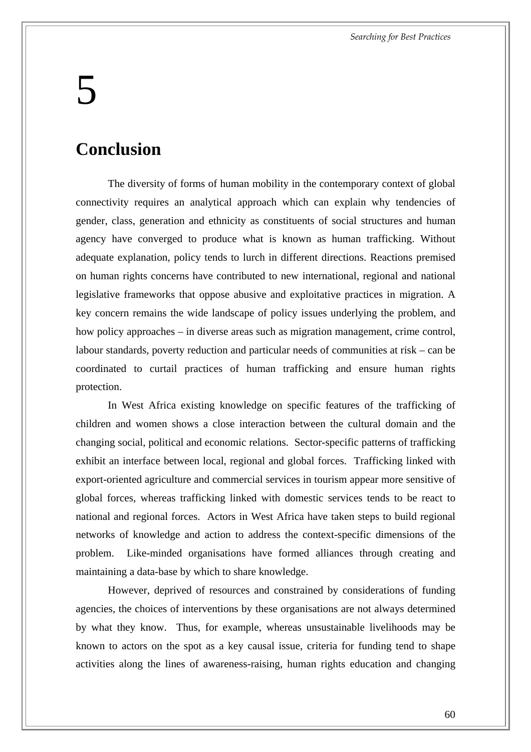# 5

### **Conclusion**

The diversity of forms of human mobility in the contemporary context of global connectivity requires an analytical approach which can explain why tendencies of gender, class, generation and ethnicity as constituents of social structures and human agency have converged to produce what is known as human trafficking. Without adequate explanation, policy tends to lurch in different directions. Reactions premised on human rights concerns have contributed to new international, regional and national legislative frameworks that oppose abusive and exploitative practices in migration. A key concern remains the wide landscape of policy issues underlying the problem, and how policy approaches – in diverse areas such as migration management, crime control, labour standards, poverty reduction and particular needs of communities at risk – can be coordinated to curtail practices of human trafficking and ensure human rights protection.

In West Africa existing knowledge on specific features of the trafficking of children and women shows a close interaction between the cultural domain and the changing social, political and economic relations. Sector-specific patterns of trafficking exhibit an interface between local, regional and global forces. Trafficking linked with export-oriented agriculture and commercial services in tourism appear more sensitive of global forces, whereas trafficking linked with domestic services tends to be react to national and regional forces. Actors in West Africa have taken steps to build regional networks of knowledge and action to address the context-specific dimensions of the problem. Like-minded organisations have formed alliances through creating and maintaining a data-base by which to share knowledge.

However, deprived of resources and constrained by considerations of funding agencies, the choices of interventions by these organisations are not always determined by what they know. Thus, for example, whereas unsustainable livelihoods may be known to actors on the spot as a key causal issue, criteria for funding tend to shape activities along the lines of awareness-raising, human rights education and changing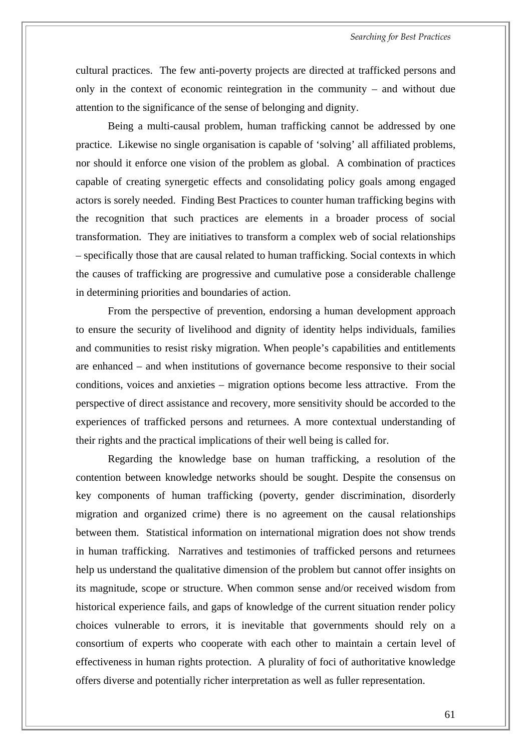cultural practices. The few anti-poverty projects are directed at trafficked persons and only in the context of economic reintegration in the community – and without due attention to the significance of the sense of belonging and dignity.

Being a multi-causal problem, human trafficking cannot be addressed by one practice. Likewise no single organisation is capable of 'solving' all affiliated problems, nor should it enforce one vision of the problem as global. A combination of practices capable of creating synergetic effects and consolidating policy goals among engaged actors is sorely needed. Finding Best Practices to counter human trafficking begins with the recognition that such practices are elements in a broader process of social transformation. They are initiatives to transform a complex web of social relationships – specifically those that are causal related to human trafficking. Social contexts in which the causes of trafficking are progressive and cumulative pose a considerable challenge in determining priorities and boundaries of action.

From the perspective of prevention, endorsing a human development approach to ensure the security of livelihood and dignity of identity helps individuals, families and communities to resist risky migration. When people's capabilities and entitlements are enhanced – and when institutions of governance become responsive to their social conditions, voices and anxieties – migration options become less attractive. From the perspective of direct assistance and recovery, more sensitivity should be accorded to the experiences of trafficked persons and returnees. A more contextual understanding of their rights and the practical implications of their well being is called for.

Regarding the knowledge base on human trafficking, a resolution of the contention between knowledge networks should be sought. Despite the consensus on key components of human trafficking (poverty, gender discrimination, disorderly migration and organized crime) there is no agreement on the causal relationships between them. Statistical information on international migration does not show trends in human trafficking. Narratives and testimonies of trafficked persons and returnees help us understand the qualitative dimension of the problem but cannot offer insights on its magnitude, scope or structure. When common sense and/or received wisdom from historical experience fails, and gaps of knowledge of the current situation render policy choices vulnerable to errors, it is inevitable that governments should rely on a consortium of experts who cooperate with each other to maintain a certain level of effectiveness in human rights protection. A plurality of foci of authoritative knowledge offers diverse and potentially richer interpretation as well as fuller representation.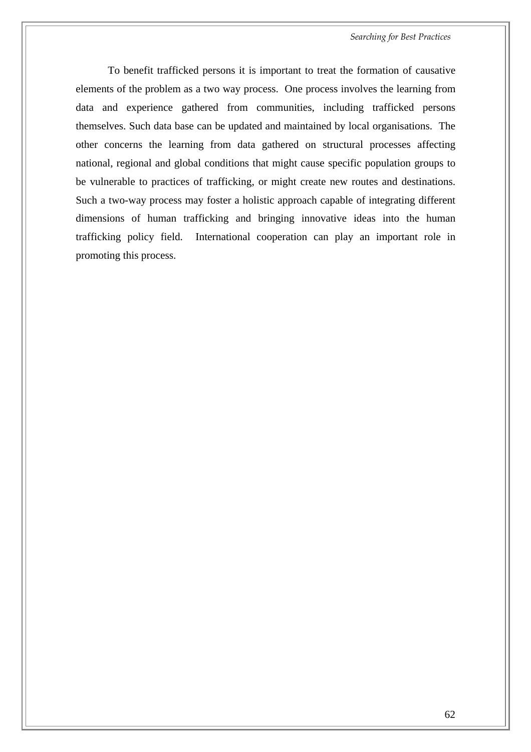*Searching for Best Practices* 

To benefit trafficked persons it is important to treat the formation of causative elements of the problem as a two way process. One process involves the learning from data and experience gathered from communities, including trafficked persons themselves. Such data base can be updated and maintained by local organisations. The other concerns the learning from data gathered on structural processes affecting national, regional and global conditions that might cause specific population groups to be vulnerable to practices of trafficking, or might create new routes and destinations. Such a two-way process may foster a holistic approach capable of integrating different dimensions of human trafficking and bringing innovative ideas into the human trafficking policy field. International cooperation can play an important role in promoting this process.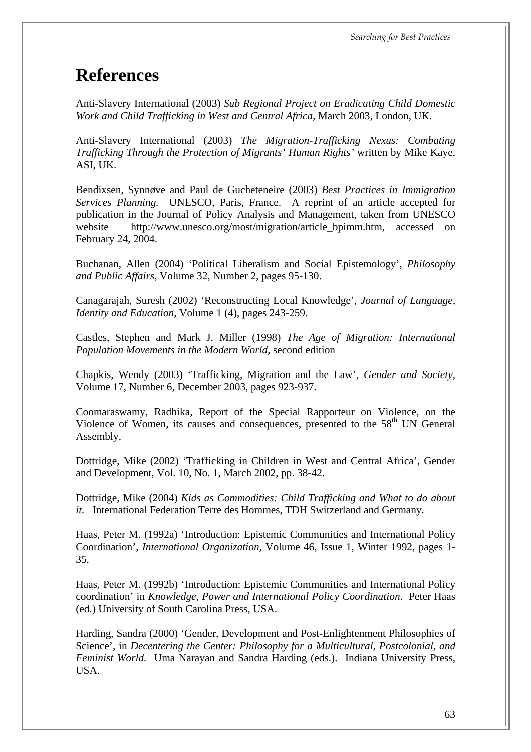*Searching for Best Practices* 

## **References**

Anti-Slavery International (2003) *Sub Regional Project on Eradicating Child Domestic Work and Child Trafficking in West and Central Africa*, March 2003, London, UK.

Anti-Slavery International (2003) *The Migration-Trafficking Nexus: Combating Trafficking Through the Protection of Migrants' Human Rights'* written by Mike Kaye, ASI, UK.

Bendixsen, Synnøve and Paul de Gucheteneire (2003) *Best Practices in Immigration Services Planning.* UNESCO, Paris, France. A reprint of an article accepted for publication in the Journal of Policy Analysis and Management, taken from UNESCO website http://www.unesco.org/most/migration/article bpimm.htm, accessed on February 24, 2004.

Buchanan, Allen (2004) 'Political Liberalism and Social Epistemology', *Philosophy and Public Affairs*, Volume 32, Number 2, pages 95-130.

Canagarajah, Suresh (2002) 'Reconstructing Local Knowledge', *Journal of Language, Identity and Education*, Volume 1 (4), pages 243-259.

Castles, Stephen and Mark J. Miller (1998) *The Age of Migration: International Population Movements in the Modern World*, second edition

Chapkis, Wendy (2003) 'Trafficking, Migration and the Law', *Gender and Society,* Volume 17, Number 6, December 2003, pages 923-937.

Coomaraswamy, Radhika, Report of the Special Rapporteur on Violence, on the Violence of Women, its causes and consequences, presented to the 58<sup>th</sup> UN General Assembly.

Dottridge, Mike (2002) 'Trafficking in Children in West and Central Africa', Gender and Development, Vol. 10, No. 1, March 2002, pp. 38-42.

Dottridge, Mike (2004) *Kids as Commodities: Child Trafficking and What to do about it.* International Federation Terre des Hommes, TDH Switzerland and Germany.

Haas, Peter M. (1992a) 'Introduction: Epistemic Communities and International Policy Coordination', *International Organization,* Volume 46, Issue 1, Winter 1992, pages 1- 35.

Haas, Peter M. (1992b) 'Introduction: Epistemic Communities and International Policy coordination' in *Knowledge, Power and International Policy Coordination*. Peter Haas (ed.) University of South Carolina Press, USA.

Harding, Sandra (2000) 'Gender, Development and Post-Enlightenment Philosophies of Science', in *Decentering the Center: Philosophy for a Multicultural, Postcolonial, and Feminist World.* Uma Narayan and Sandra Harding (eds.). Indiana University Press, USA.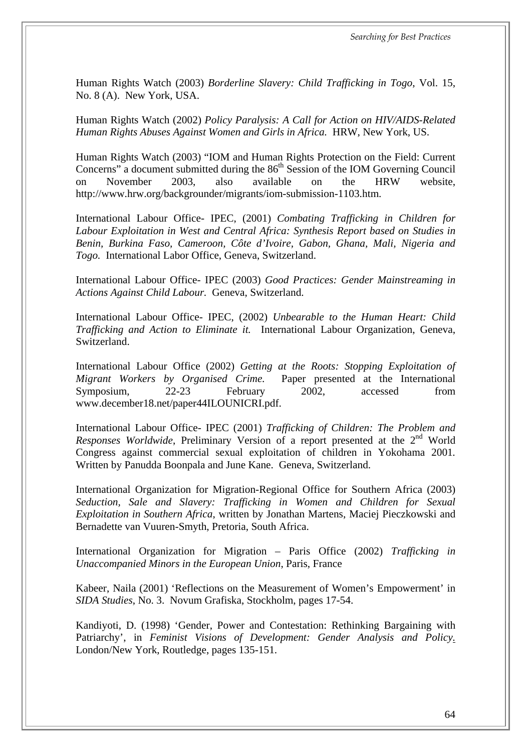Human Rights Watch (2003) *Borderline Slavery: Child Trafficking in Togo*, Vol. 15, No. 8 (A). New York, USA.

Human Rights Watch (2002) *Policy Paralysis: A Call for Action on HIV/AIDS-Related Human Rights Abuses Against Women and Girls in Africa.* HRW, New York, US.

Human Rights Watch (2003) "IOM and Human Rights Protection on the Field: Current Concerns" a document submitted during the  $86<sup>th</sup>$  Session of the IOM Governing Council on November 2003, also available on the HRW website, [http://www.hrw.org/backgrounder/migrants/iom-submission-1103.htm.](http://www.hrw.org/backgrounder/migrants/iom-submission-1103.htm)

International Labour Office- IPEC, (2001) *Combating Trafficking in Children for Labour Exploitation in West and Central Africa: Synthesis Report based on Studies in Benin, Burkina Faso, Cameroon, Côte d'Ivoire, Gabon, Ghana, Mali, Nigeria and Togo.* International Labor Office, Geneva, Switzerland.

International Labour Office- IPEC (2003) *Good Practices: Gender Mainstreaming in Actions Against Child Labour.* Geneva, Switzerland.

International Labour Office- IPEC, (2002) *Unbearable to the Human Heart: Child Trafficking and Action to Eliminate it.* International Labour Organization, Geneva, Switzerland.

International Labour Office (2002) *Getting at the Roots: Stopping Exploitation of Migrant Workers by Organised Crime.* Paper presented at the International Symposium, 22-23 February 2002, accessed from www.december18.net/paper44ILOUNICRI.pdf.

International Labour Office- IPEC (2001) *Trafficking of Children: The Problem and Responses Worldwide*, Preliminary Version of a report presented at the 2<sup>nd</sup> World Congress against commercial sexual exploitation of children in Yokohama 2001*.* Written by Panudda Boonpala and June Kane. Geneva, Switzerland.

International Organization for Migration-Regional Office for Southern Africa (2003) *Seduction, Sale and Slavery: Trafficking in Women and Children for Sexual Exploitation in Southern Africa*, written by Jonathan Martens, Maciej Pieczkowski and Bernadette van Vuuren-Smyth, Pretoria, South Africa.

International Organization for Migration – Paris Office (2002) *Trafficking in Unaccompanied Minors in the European Union*, Paris, France

Kabeer, Naila (2001) 'Reflections on the Measurement of Women's Empowerment' in *SIDA Studies*, No. 3. Novum Grafiska, Stockholm, pages 17-54.

Kandiyoti, D. (1998) 'Gender, Power and Contestation: Rethinking Bargaining with Patriarchy', in *Feminist Visions of Development: Gender Analysis and Policy.* London/New York, Routledge, pages 135-151.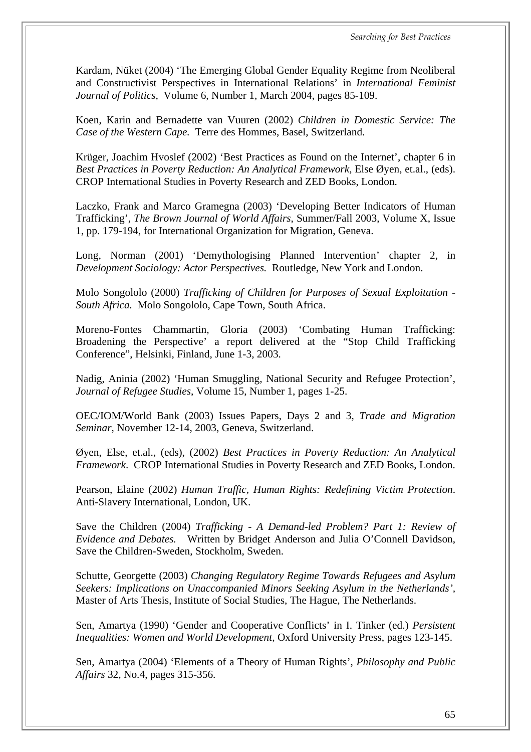Kardam, Nüket (2004) 'The Emerging Global Gender Equality Regime from Neoliberal and Constructivist Perspectives in International Relations' in *International Feminist Journal of Politics,* Volume 6, Number 1, March 2004, pages 85-109.

Koen, Karin and Bernadette van Vuuren (2002) *Children in Domestic Service: The Case of the Western Cape.* Terre des Hommes, Basel, Switzerland.

Krüger, Joachim Hvoslef (2002) 'Best Practices as Found on the Internet', chapter 6 in *Best Practices in Poverty Reduction: An Analytical Framework,* Else Øyen, et.al., (eds). CROP International Studies in Poverty Research and ZED Books, London.

Laczko, Frank and Marco Gramegna (2003) 'Developing Better Indicators of Human Trafficking', *The Brown Journal of World Affairs*, Summer/Fall 2003, Volume X, Issue 1, pp. 179-194, for International Organization for Migration, Geneva.

Long, Norman (2001) 'Demythologising Planned Intervention' chapter 2, in *Development Sociology: Actor Perspectives.* Routledge, New York and London.

Molo Songololo (2000) *Trafficking of Children for Purposes of Sexual Exploitation - South Africa.* Molo Songololo, Cape Town, South Africa.

Moreno-Fontes Chammartin, Gloria (2003) 'Combating Human Trafficking: Broadening the Perspective' a report delivered at the "Stop Child Trafficking Conference", Helsinki, Finland, June 1-3, 2003.

Nadig, Aninia (2002) 'Human Smuggling, National Security and Refugee Protection', *Journal of Refugee Studies*, Volume 15, Number 1, pages 1-25.

OEC/IOM/World Bank (2003) Issues Papers, Days 2 and 3, *Trade and Migration Seminar*, November 12-14, 2003, Geneva, Switzerland.

Øyen, Else, et.al., (eds), (2002) *Best Practices in Poverty Reduction: An Analytical Framework*. CROP International Studies in Poverty Research and ZED Books, London.

Pearson, Elaine (2002) *Human Traffic, Human Rights: Redefining Victim Protection*. Anti-Slavery International, London, UK.

Save the Children (2004) *Trafficking - A Demand-led Problem? Part 1: Review of Evidence and Debates.* Written by Bridget Anderson and Julia O'Connell Davidson, Save the Children-Sweden, Stockholm, Sweden.

Schutte, Georgette (2003) *Changing Regulatory Regime Towards Refugees and Asylum Seekers: Implications on Unaccompanied Minors Seeking Asylum in the Netherlands',* Master of Arts Thesis, Institute of Social Studies, The Hague, The Netherlands.

Sen, Amartya (1990) 'Gender and Cooperative Conflicts' in I. Tinker (ed.) *Persistent Inequalities: Women and World Development*, Oxford University Press, pages 123-145.

Sen, Amartya (2004) 'Elements of a Theory of Human Rights', *Philosophy and Public Affairs* 32, No.4, pages 315-356.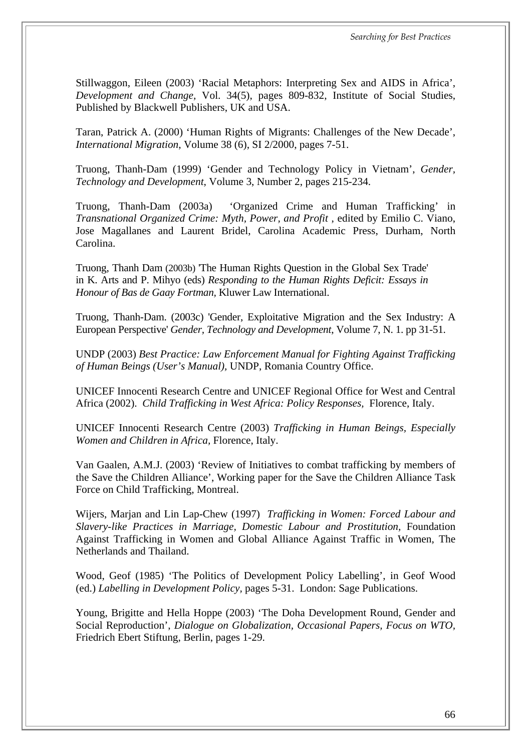Stillwaggon, Eileen (2003) 'Racial Metaphors: Interpreting Sex and AIDS in Africa', *Development and Change,* Vol. 34(5), pages 809-832, Institute of Social Studies, Published by Blackwell Publishers, UK and USA.

Taran, Patrick A. (2000) 'Human Rights of Migrants: Challenges of the New Decade', *International Migration*, Volume 38 (6), SI 2/2000, pages 7-51.

Truong, Thanh-Dam (1999) 'Gender and Technology Policy in Vietnam', *Gender, Technology and Development*, Volume 3, Number 2, pages 215-234.

Truong, Thanh-Dam (2003a) 'Organized Crime and Human Trafficking' in *Transnational Organized Crime: Myth, Power, and Profit* , edited by Emilio C. Viano, Jose Magallanes and Laurent Bridel, Carolina Academic Press, Durham, North Carolina.

Truong, Thanh Dam (2003b) 'The Human Rights Question in the Global Sex Trade' in K. Arts and P. Mihyo (eds) *Responding to the Human Rights Deficit: Essays in Honour of Bas de Gaay Fortman,* Kluwer Law International.

Truong, Thanh-Dam. (2003c) 'Gender, Exploitative Migration and the Sex Industry: A European Perspective' *Gender, Technology and Development*, Volume 7, N. 1. pp 31-51.

UNDP (2003) *Best Practice: Law Enforcement Manual for Fighting Against Trafficking of Human Beings (User's Manual),* UNDP, Romania Country Office.

UNICEF Innocenti Research Centre and UNICEF Regional Office for West and Central Africa (2002). *Child Trafficking in West Africa: Policy Responses,* Florence, Italy.

UNICEF Innocenti Research Centre (2003) *Trafficking in Human Beings, Especially Women and Children in Africa,* Florence, Italy.

Van Gaalen, A.M.J. (2003) 'Review of Initiatives to combat trafficking by members of the Save the Children Alliance', Working paper for the Save the Children Alliance Task Force on Child Trafficking, Montreal.

Wijers, Marjan and Lin Lap-Chew (1997) *Trafficking in Women: Forced Labour and Slavery-like Practices in Marriage, Domestic Labour and Prostitution,* Foundation Against Trafficking in Women and Global Alliance Against Traffic in Women, The Netherlands and Thailand.

Wood, Geof (1985) 'The Politics of Development Policy Labelling', in Geof Wood (ed.) *Labelling in Development Policy,* pages 5-31. London: Sage Publications.

Young, Brigitte and Hella Hoppe (2003) 'The Doha Development Round, Gender and Social Reproduction', *Dialogue on Globalization, Occasional Papers, Focus on WTO,* Friedrich Ebert Stiftung, Berlin, pages 1-29.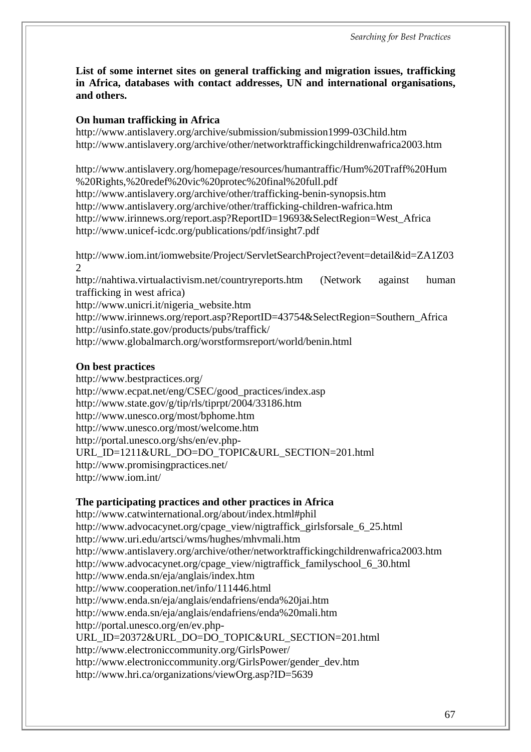**List of some internet sites on general trafficking and migration issues, trafficking in Africa, databases with contact addresses, UN and international organisations, and others.**

#### **On human trafficking in Africa**

<http://www.antislavery.org/archive/submission/submission1999-03Child.htm> <http://www.antislavery.org/archive/other/networktraffickingchildrenwafrica2003.htm>

<http://www.antislavery.org/homepage/resources/humantraffic/Hum%20Traff%20Hum> %20Rights,%20redef%20vic%20protec%20final%20full.pdf <http://www.antislavery.org/archive/other/trafficking-benin-synopsis.htm> <http://www.antislavery.org/archive/other/trafficking-children-wafrica.htm> [http://www.irinnews.org/report.asp?ReportID=19693&SelectRegion=West\\_Africa](http://www.irinnews.org/report.asp?ReportID=19693&SelectRegion=West_Africa) <http://www.unicef-icdc.org/publications/pdf/insight7.pdf>

<http://www.iom.int/iomwebsite/Project/ServletSearchProject?event=detail&id=ZA1Z03> 2

<http://nahtiwa.virtualactivism.net/countryreports.htm> (Network against human trafficking in west africa)

[http://www.unicri.it/nigeria\\_website.htm](http://www.unicri.it/nigeria_website.htm)

[http://www.irinnews.org/report.asp?ReportID=43754&SelectRegion=Southern\\_Africa](http://www.irinnews.org/report.asp?ReportID=43754&SelectRegion=Southern_Africa) <http://usinfo.state.gov/products/pubs/traffick/>

<http://www.globalmarch.org/worstformsreport/world/benin.html>

#### **On best practices**

<http://www.bestpractices.org/> [http://www.ecpat.net/eng/CSEC/good\\_practices/index.asp](http://www.ecpat.net/eng/CSEC/good_practices/index.asp) <http://www.state.gov/g/tip/rls/tiprpt/2004/33186.htm> <http://www.unesco.org/most/bphome.htm> <http://www.unesco.org/most/welcome.htm> <http://portal.unesco.org/shs/en/ev.php->URL\_ID=1211&URL\_DO=DO\_TOPIC&URL\_SECTION=201.html <http://www.promisingpractices.net/> <http://www.iom.int/>

## **The participating practices and other practices in Africa**

<http://www.catwinternational.org/about/index.html#phil> [http://www.advocacynet.org/cpage\\_view/nigtraffick\\_girlsforsale\\_6\\_25.html](http://www.advocacynet.org/cpage_view/nigtraffick_girlsforsale_6_25.html) <http://www.uri.edu/artsci/wms/hughes/mhvmali.htm> <http://www.antislavery.org/archive/other/networktraffickingchildrenwafrica2003.htm> [http://www.advocacynet.org/cpage\\_view/nigtraffick\\_familyschool\\_6\\_30.html](http://www.advocacynet.org/cpage_view/nigtraffick_familyschool_6_30.html) <http://www.enda.sn/eja/anglais/index.htm> <http://www.cooperation.net/info/111446.html> <http://www.enda.sn/eja/anglais/endafriens/enda%20jai.htm> <http://www.enda.sn/eja/anglais/endafriens/enda%20mali.htm> <http://portal.unesco.org/en/ev.php->URL\_ID=20372&URL\_DO=DO\_TOPIC&URL\_SECTION=201.html <http://www.electroniccommunity.org/GirlsPower/> [http://www.electroniccommunity.org/GirlsPower/gender\\_dev.htm](http://www.electroniccommunity.org/GirlsPower/gender_dev.htm) <http://www.hri.ca/organizations/viewOrg.asp?ID=5639>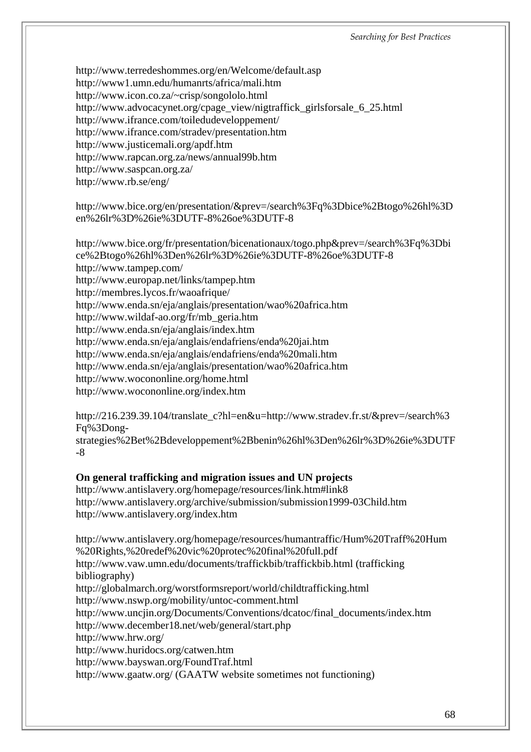<http://www.terredeshommes.org/en/Welcome/default.asp> <http://www1.umn.edu/humanrts/africa/mali.htm> <http://www.icon.co.za/~crisp/songololo.html> [http://www.advocacynet.org/cpage\\_view/nigtraffick\\_girlsforsale\\_6\\_25.html](http://www.advocacynet.org/cpage_view/nigtraffick_girlsforsale_6_25.html) <http://www.ifrance.com/toiledudeveloppement/> <http://www.ifrance.com/stradev/presentation.htm> <http://www.justicemali.org/apdf.htm> <http://www.rapcan.org.za/news/annual99b.htm> <http://www.saspcan.org.za/> <http://www.rb.se/eng/>

<http://www.bice.org/en/presentation/&prev=/search%3Fq%3Dbice%2Btogo%26hl%3D> en%26lr%3D%26ie%3DUTF-8%26oe%3DUTF-8

<http://www.bice.org/fr/presentation/bicenationaux/togo.php&prev=/search%3Fq%3Dbi> ce%2Btogo%26hl%3Den%26lr%3D%26ie%3DUTF-8%26oe%3DUTF-8 <http://www.tampep.com/> <http://www.europap.net/links/tampep.htm> <http://membres.lycos.fr/waoafrique/> <http://www.enda.sn/eja/anglais/presentation/wao%20africa.htm> [http://www.wildaf-ao.org/fr/mb\\_geria.htm](http://www.wildaf-ao.org/fr/mb_geria.htm) <http://www.enda.sn/eja/anglais/index.htm> <http://www.enda.sn/eja/anglais/endafriens/enda%20jai.htm> <http://www.enda.sn/eja/anglais/endafriens/enda%20mali.htm> <http://www.enda.sn/eja/anglais/presentation/wao%20africa.htm> <http://www.wocononline.org/home.html> <http://www.wocononline.org/index.htm>

[http://216.239.39.104/translate\\_c?hl=en&u=](http://216.239.39.104/translate_c?hl=en&u=)<http://www.stradev.fr.st/&prev=/search%3> Fq%3Dong-

strategies%2Bet%2Bdeveloppement%2Bbenin%26hl%3Den%26lr%3D%26ie%3DUTF -8

#### **On general trafficking and migration issues and UN projects**

<http://www.antislavery.org/homepage/resources/link.htm#link8> <http://www.antislavery.org/archive/submission/submission1999-03Child.htm> <http://www.antislavery.org/index.htm>

<http://www.antislavery.org/homepage/resources/humantraffic/Hum%20Traff%20Hum> %20Rights,%20redef%20vic%20protec%20final%20full.pdf <http://www.vaw.umn.edu/documents/traffickbib/traffickbib.html>(trafficking bibliography) <http://globalmarch.org/worstformsreport/world/childtrafficking.html> <http://www.nswp.org/mobility/untoc-comment.html> [http://www.uncjin.org/Documents/Conventions/dcatoc/final\\_documents/index.htm](http://www.uncjin.org/Documents/Conventions/dcatoc/final_documents/index.htm) <http://www.december18.net/web/general/start.php> <http://www.hrw.org/> <http://www.huridocs.org/catwen.htm> <http://www.bayswan.org/FoundTraf.html> <http://www.gaatw.org/> (GAATW website sometimes not functioning)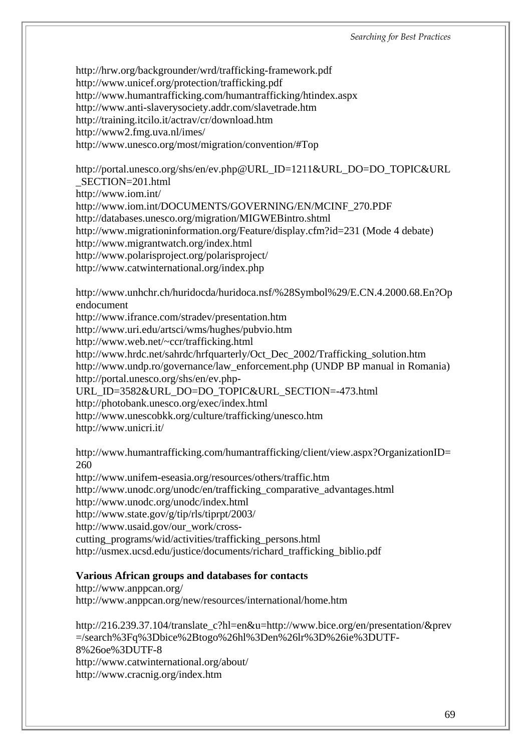<http://hrw.org/backgrounder/wrd/trafficking-framework.pdf> <http://www.unicef.org/protection/trafficking.pdf> <http://www.humantrafficking.com/humantrafficking/htindex.aspx> <http://www.anti-slaverysociety.addr.com/slavetrade.htm> <http://training.itcilo.it/actrav/cr/download.htm> <http://www2.fmg.uva.nl/imes/> <http://www.unesco.org/most/migration/convention/#Top>

[http://portal.unesco.org/shs/en/ev.php@URL\\_ID=1211&URL\\_DO=DO\\_TOPIC&URL](http://portal.unesco.org/shs/en/ev.php@URL_ID=1211&URL_DO=DO_TOPIC&URL) \_SECTION=201.html <http://www.iom.int/> [http://www.iom.int/DOCUMENTS/GOVERNING/EN/MCINF\\_270.PDF](http://www.iom.int/DOCUMENTS/GOVERNING/EN/MCINF_270.PDF)

<http://databases.unesco.org/migration/MIGWEBintro.shtml>

<http://www.migrationinformation.org/Feature/display.cfm?id=231> (Mode 4 debate)

<http://www.migrantwatch.org/index.html>

<http://www.polarisproject.org/polarisproject/>

<http://www.catwinternational.org/index.php>

<http://www.unhchr.ch/huridocda/huridoca.nsf/%28Symbol%29/E.CN.4.2000.68.En?Op> endocument

<http://www.ifrance.com/stradev/presentation.htm>

<http://www.uri.edu/artsci/wms/hughes/pubvio.htm>

<http://www.web.net/~ccr/trafficking.html>

[http://www.hrdc.net/sahrdc/hrfquarterly/Oct\\_Dec\\_2002/Trafficking\\_solution.htm](http://www.hrdc.net/sahrdc/hrfquarterly/Oct_Dec_2002/Trafficking_solution.htm) [http://www.undp.ro/governance/law\\_enforcement.php](http://www.undp.ro/governance/law_enforcement.php) (UNDP BP manual in Romania) <http://portal.unesco.org/shs/en/ev.php->

URL\_ID=3582&URL\_DO=DO\_TOPIC&URL\_SECTION=-473.html

<http://photobank.unesco.org/exec/index.html>

<http://www.unescobkk.org/culture/trafficking/unesco.htm>

<http://www.unicri.it/>

<http://www.humantrafficking.com/humantrafficking/client/view.aspx?OrganizationID=> 260

<http://www.unifem-eseasia.org/resources/others/traffic.htm> [http://www.unodc.org/unodc/en/trafficking\\_comparative\\_advantages.html](http://www.unodc.org/unodc/en/trafficking_comparative_advantages.html) <http://www.unodc.org/unodc/index.html> <http://www.state.gov/g/tip/rls/tiprpt/2003/> http://www.usaid.gov/our\_work/cross[cutting\\_programs/wid/activities/trafficking\\_persons.html](http://www.usaid.gov/our_work/crosscutting_programs/wid/activities/trafficking_persons.html) [http://usmex.ucsd.edu/justice/documents/richard\\_trafficking\\_biblio.pdf](http://usmex.ucsd.edu/justice/documents/richard_trafficking_biblio.pdf)

## **Various African groups and databases for contacts**

<http://www.anppcan.org/> <http://www.anppcan.org/new/resources/international/home.htm>

[http://216.239.37.104/translate\\_c?hl=en&u=](http://216.239.37.104/translate_c?hl=en&u=)<http://www.bice.org/en/presentation/&prev> =/search%3Fq%3Dbice%2Btogo%26hl%3Den%26lr%3D%26ie%3DUTF-8%26oe%3DUTF-8 <http://www.catwinternational.org/about/> <http://www.cracnig.org/index.htm>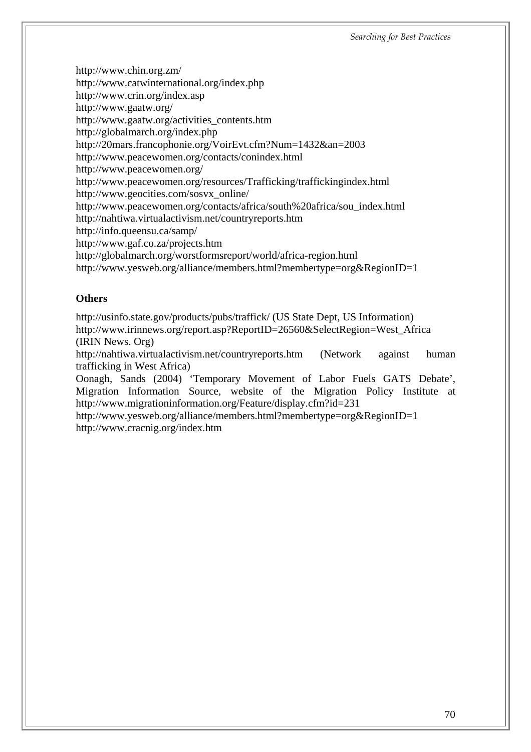<http://www.chin.org.zm/> <http://www.catwinternational.org/index.php> <http://www.crin.org/index.asp> <http://www.gaatw.org/> [http://www.gaatw.org/activities\\_contents.htm](http://www.gaatw.org/activities_contents.htm) <http://globalmarch.org/index.php> <http://20mars.francophonie.org/VoirEvt.cfm?Num=1432&an=2003> <http://www.peacewomen.org/contacts/conindex.html> <http://www.peacewomen.org/> <http://www.peacewomen.org/resources/Trafficking/traffickingindex.html> [http://www.geocities.com/sosvx\\_online/](http://www.geocities.com/sosvx_online/) [http://www.peacewomen.org/contacts/africa/south%20africa/sou\\_index.html](http://www.peacewomen.org/contacts/africa/south%20africa/sou_index.html) <http://nahtiwa.virtualactivism.net/countryreports.htm> <http://info.queensu.ca/samp/> <http://www.gaf.co.za/projects.htm> <http://globalmarch.org/worstformsreport/world/africa-region.html> <http://www.yesweb.org/alliance/members.html?membertype=org&RegionID=1>

#### **Others**

<http://usinfo.state.gov/products/pubs/traffick/> (US State Dept, US Information) [http://www.irinnews.org/report.asp?ReportID=26560&SelectRegion=West\\_Africa](http://www.irinnews.org/report.asp?ReportID=26560&SelectRegion=West_Africa) (IRIN News. Org)

<http://nahtiwa.virtualactivism.net/countryreports.htm> (Network against human trafficking in West Africa)

Oonagh, Sands (2004) 'Temporary Movement of Labor Fuels GATS Debate', Migration Information Source, website of the Migration Policy Institute at <http://www.migrationinformation.org/Feature/display.cfm?id=231>

<http://www.yesweb.org/alliance/members.html?membertype=org&RegionID=1> <http://www.cracnig.org/index.htm>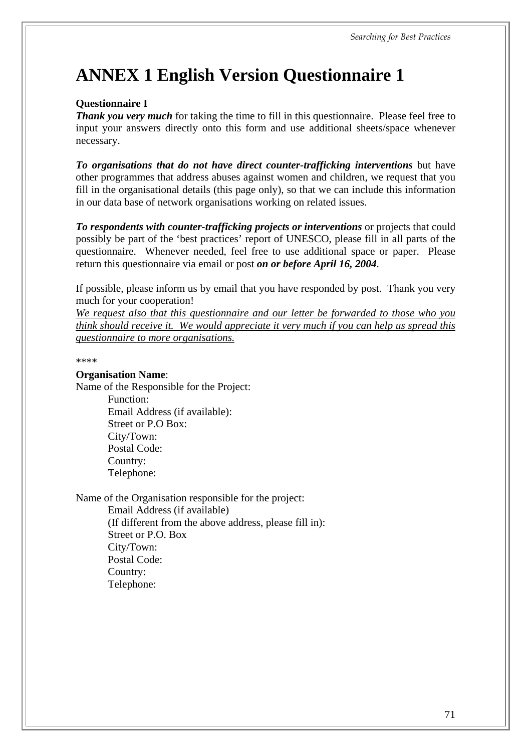# **ANNEX 1 English Version Questionnaire 1**

#### **Questionnaire I**

*Thank you very much* for taking the time to fill in this questionnaire. Please feel free to input your answers directly onto this form and use additional sheets/space whenever necessary.

*To organisations that do not have direct counter-trafficking interventions* but have other programmes that address abuses against women and children, we request that you fill in the organisational details (this page only), so that we can include this information in our data base of network organisations working on related issues.

To respondents with counter-trafficking projects or interventions or projects that could possibly be part of the 'best practices' report of UNESCO, please fill in all parts of the questionnaire. Whenever needed, feel free to use additional space or paper. Please return this questionnaire via email or post *on or before April 16, 2004*.

If possible, please inform us by email that you have responded by post. Thank you very much for your cooperation!

*We request also that this questionnaire and our letter be forwarded to those who you think should receive it. We would appreciate it very much if you can help us spread this questionnaire to more organisations.*

\*\*\*\*

#### **Organisation Name**:

Name of the Responsible for the Project:

Function: Email Address (if available): Street or P.O Box: City/Town: Postal Code: Country: Telephone:

Name of the Organisation responsible for the project:

Email Address (if available) (If different from the above address, please fill in): Street or P.O. Box City/Town: Postal Code: Country: Telephone: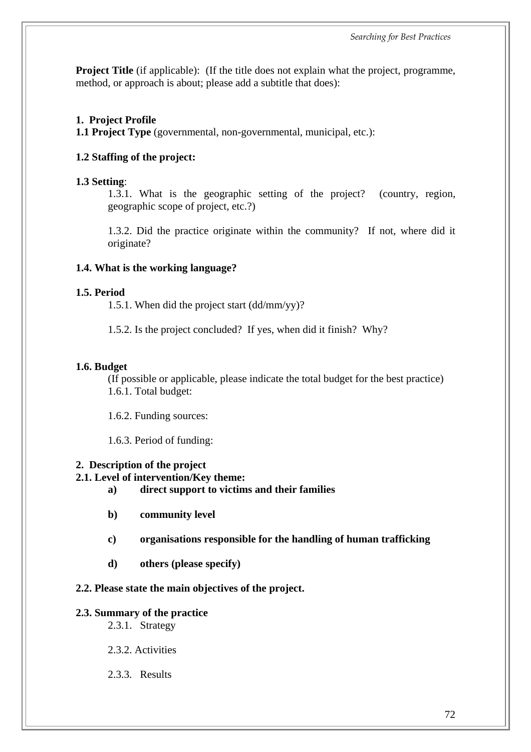*Searching for Best Practices* 

**Project Title** (if applicable): (If the title does not explain what the project, programme, method, or approach is about; please add a subtitle that does):

## **1. Project Profile**

**1.1 Project Type** (governmental, non-governmental, municipal, etc.):

## **1.2 Staffing of the project:**

## **1.3 Setting**:

1.3.1. What is the geographic setting of the project? (country, region, geographic scope of project, etc.?)

1.3.2. Did the practice originate within the community? If not, where did it originate?

## **1.4. What is the working language?**

## **1.5. Period**

1.5.1. When did the project start (dd/mm/yy)?

1.5.2. Is the project concluded? If yes, when did it finish? Why?

## **1.6. Budget**

(If possible or applicable, please indicate the total budget for the best practice) 1.6.1. Total budget:

1.6.2. Funding sources:

1.6.3. Period of funding:

## **2. Description of the project**

## **2.1. Level of intervention/Key theme:**

- **a) direct support to victims and their families**
- **b) community level**
- **c) organisations responsible for the handling of human trafficking**
- **d) others (please specify)**

## **2.2. Please state the main objectives of the project.**

## **2.3. Summary of the practice**

2.3.1. Strategy

2.3.2. Activities

2.3.3. Results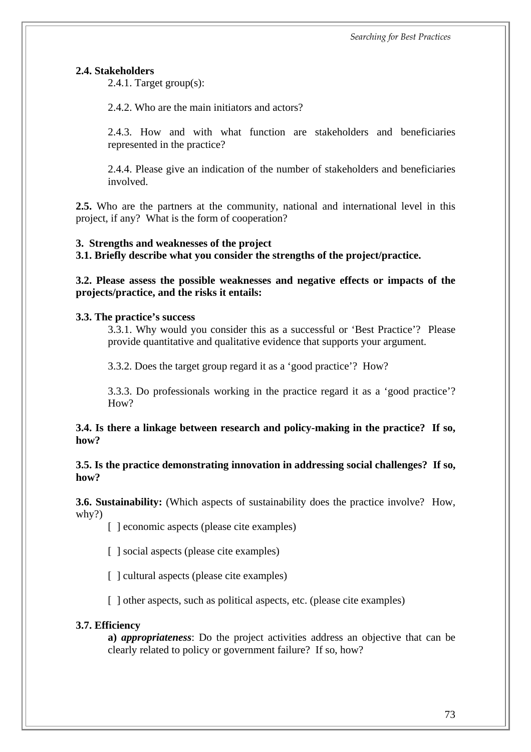#### **2.4. Stakeholders**

2.4.1. Target group(s):

2.4.2. Who are the main initiators and actors?

2.4.3. How and with what function are stakeholders and beneficiaries represented in the practice?

2.4.4. Please give an indication of the number of stakeholders and beneficiaries involved.

**2.5.** Who are the partners at the community, national and international level in this project, if any? What is the form of cooperation?

#### **3. Strengths and weaknesses of the project**

**3.1. Briefly describe what you consider the strengths of the project/practice.**

**3.2. Please assess the possible weaknesses and negative effects or impacts of the projects/practice, and the risks it entails:**

#### **3.3. The practice's success**

3.3.1. Why would you consider this as a successful or 'Best Practice'? Please provide quantitative and qualitative evidence that supports your argument.

3.3.2. Does the target group regard it as a 'good practice'? How?

3.3.3. Do professionals working in the practice regard it as a 'good practice'? How?

**3.4. Is there a linkage between research and policy-making in the practice? If so, how?**

#### **3.5. Is the practice demonstrating innovation in addressing social challenges? If so, how?**

**3.6. Sustainability:** (Which aspects of sustainability does the practice involve? How, why?)

[ ] economic aspects (please cite examples)

[ ] social aspects (please cite examples)

[ ] cultural aspects (please cite examples)

[ ] other aspects, such as political aspects, etc. (please cite examples)

#### **3.7. Efficiency**

**a)** *appropriateness*: Do the project activities address an objective that can be clearly related to policy or government failure? If so, how?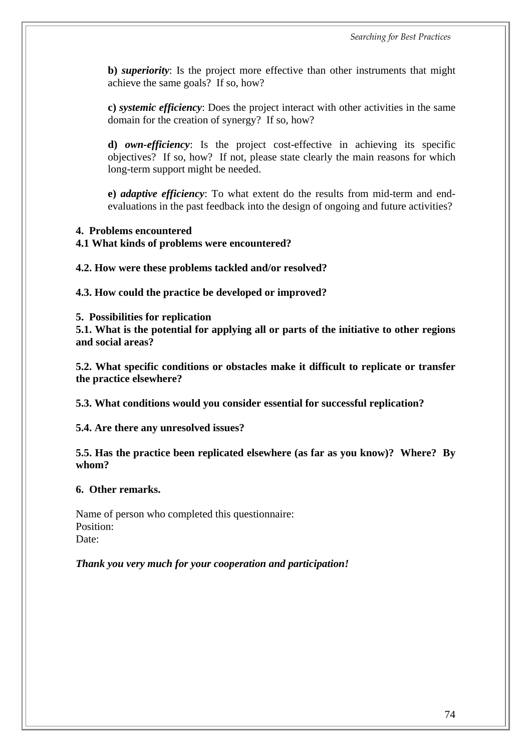**b)** *superiority*: Is the project more effective than other instruments that might achieve the same goals? If so, how?

**c)** *systemic efficiency*: Does the project interact with other activities in the same domain for the creation of synergy? If so, how?

**d)** *own-efficiency*: Is the project cost-effective in achieving its specific objectives? If so, how? If not, please state clearly the main reasons for which long-term support might be needed.

**e)** *adaptive efficiency*: To what extent do the results from mid-term and endevaluations in the past feedback into the design of ongoing and future activities?

#### **4. Problems encountered**

#### **4.1 What kinds of problems were encountered?**

**4.2. How were these problems tackled and/or resolved?**

**4.3. How could the practice be developed or improved?**

**5. Possibilities for replication**

**5.1. What is the potential for applying all or parts of the initiative to other regions and social areas?**

**5.2. What specific conditions or obstacles make it difficult to replicate or transfer the practice elsewhere?**

**5.3. What conditions would you consider essential for successful replication?**

**5.4. Are there any unresolved issues?**

**5.5. Has the practice been replicated elsewhere (as far as you know)? Where? By whom?**

**6. Other remarks.**

Name of person who completed this questionnaire: Position: Date:

*Thank you very much for your cooperation and participation!*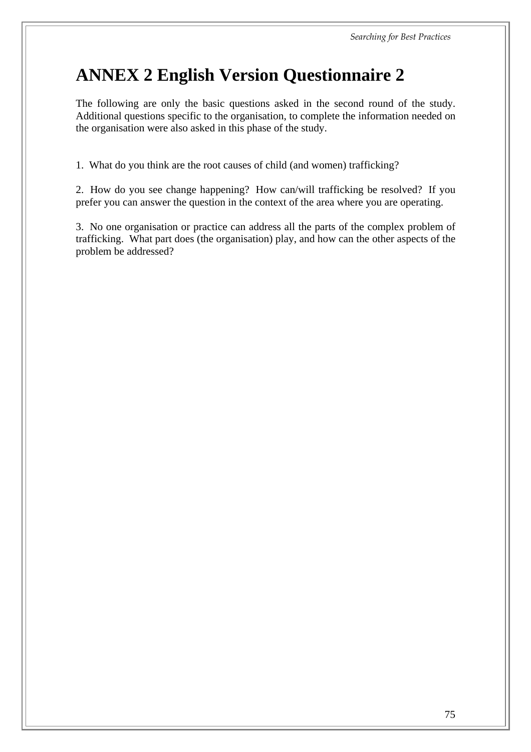# **ANNEX 2 English Version Questionnaire 2**

The following are only the basic questions asked in the second round of the study. Additional questions specific to the organisation, to complete the information needed on the organisation were also asked in this phase of the study.

1. What do you think are the root causes of child (and women) trafficking?

2. How do you see change happening? How can/will trafficking be resolved? If you prefer you can answer the question in the context of the area where you are operating.

3. No one organisation or practice can address all the parts of the complex problem of trafficking. What part does (the organisation) play, and how can the other aspects of the problem be addressed?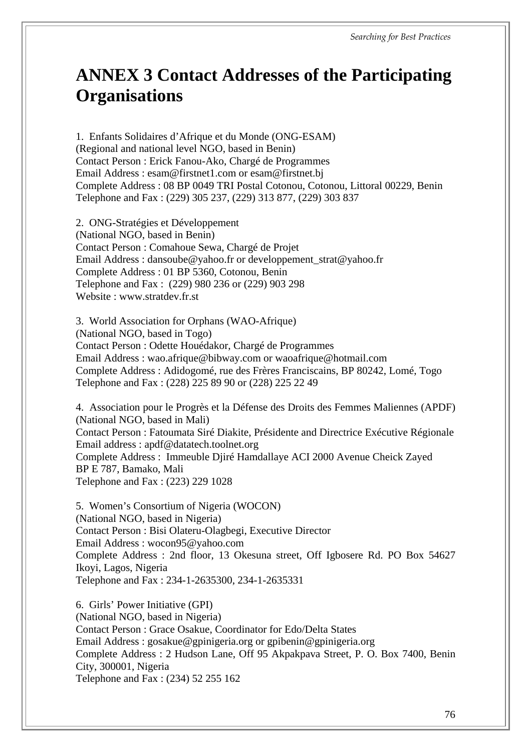## **ANNEX 3 Contact Addresses of the Participating Organisations**

1. Enfants Solidaires d'Afrique et du Monde (ONG-ESAM) (Regional and national level NGO, based in Benin) Contact Person : Erick Fanou-Ako, Chargé de Programmes Email Address : esam@firstnet1.com or esam@firstnet.bj Complete Address : 08 BP 0049 TRI Postal Cotonou, Cotonou, Littoral 00229, Benin Telephone and Fax : (229) 305 237, (229) 313 877, (229) 303 837

2. ONG-Stratégies et Développement (National NGO, based in Benin) Contact Person : Comahoue Sewa, Chargé de Projet Email Address : dansoube@yahoo.fr or developpement\_strat@yahoo.fr Complete Address : 01 BP 5360, Cotonou, Benin Telephone and Fax : (229) 980 236 or (229) 903 298 Website : www.stratdev.fr.st

3. World Association for Orphans (WAO-Afrique) (National NGO, based in Togo) Contact Person : Odette Houédakor, Chargé de Programmes Email Address : wao.afrique@bibway.com or waoafrique@hotmail.com Complete Address : Adidogomé, rue des Frères Franciscains, BP 80242, Lomé, Togo Telephone and Fax : (228) 225 89 90 or (228) 225 22 49

4. Association pour le Progrès et la Défense des Droits des Femmes Maliennes (APDF) (National NGO, based in Mali) Contact Person : Fatoumata Siré Diakite, Présidente and Directrice Exécutive Régionale Email address : apdf@datatech.toolnet.org Complete Address : Immeuble Djiré Hamdallaye ACI 2000 Avenue Cheick Zayed BP E 787, Bamako, Mali Telephone and Fax : (223) 229 1028

5. Women's Consortium of Nigeria (WOCON) (National NGO, based in Nigeria) Contact Person : Bisi Olateru-Olagbegi, Executive Director Email Address : wocon95@yahoo.com Complete Address : 2nd floor, 13 Okesuna street, Off Igbosere Rd. PO Box 54627 Ikoyi, Lagos, Nigeria Telephone and Fax : 234-1-2635300, 234-1-2635331

6. Girls' Power Initiative (GPI) (National NGO, based in Nigeria) Contact Person : Grace Osakue, Coordinator for Edo/Delta States Email Address : gosakue@gpinigeria.org or gpibenin@gpinigeria.org Complete Address : 2 Hudson Lane, Off 95 Akpakpava Street, P. O. Box 7400, Benin City, 300001, Nigeria Telephone and Fax : (234) 52 255 162